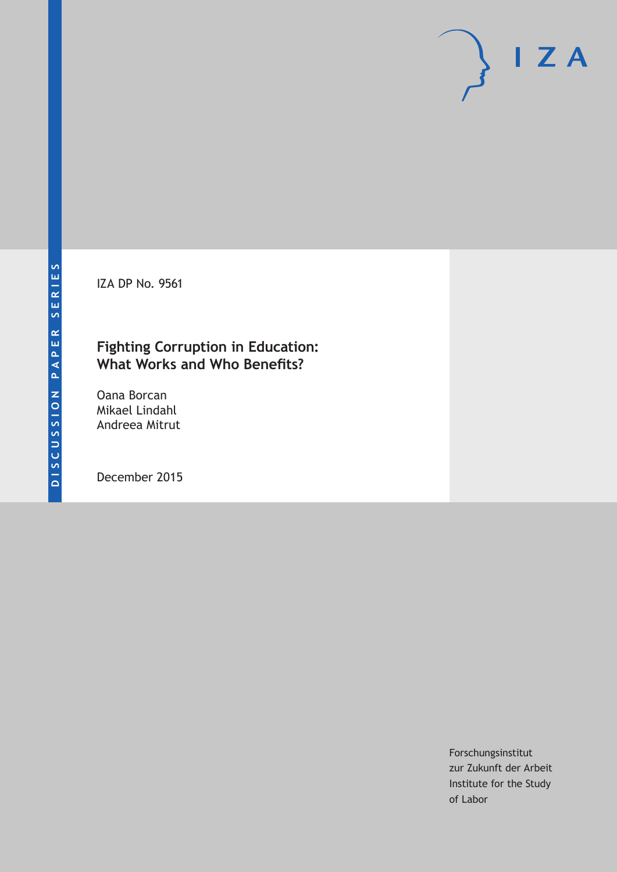IZA DP No. 9561

### **Fighting Corruption in Education: What Works and Who Benefits?**

Oana Borcan Mikael Lindahl Andreea Mitrut

December 2015

Forschungsinstitut zur Zukunft der Arbeit Institute for the Study of Labor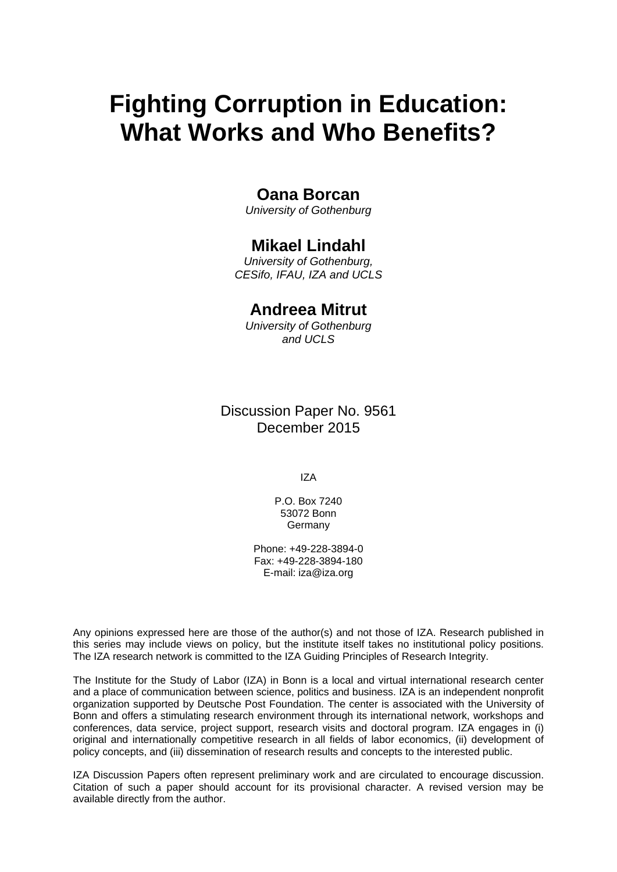# **Fighting Corruption in Education: What Works and Who Benefits?**

### **Oana Borcan**

*University of Gothenburg* 

### **Mikael Lindahl**

*University of Gothenburg, CESifo, IFAU, IZA and UCLS* 

### **Andreea Mitrut**

*University of Gothenburg and UCLS*

Discussion Paper No. 9561 December 2015

IZA

P.O. Box 7240 53072 Bonn Germany

Phone: +49-228-3894-0 Fax: +49-228-3894-180 E-mail: iza@iza.org

Any opinions expressed here are those of the author(s) and not those of IZA. Research published in this series may include views on policy, but the institute itself takes no institutional policy positions. The IZA research network is committed to the IZA Guiding Principles of Research Integrity.

The Institute for the Study of Labor (IZA) in Bonn is a local and virtual international research center and a place of communication between science, politics and business. IZA is an independent nonprofit organization supported by Deutsche Post Foundation. The center is associated with the University of Bonn and offers a stimulating research environment through its international network, workshops and conferences, data service, project support, research visits and doctoral program. IZA engages in (i) original and internationally competitive research in all fields of labor economics, (ii) development of policy concepts, and (iii) dissemination of research results and concepts to the interested public.

IZA Discussion Papers often represent preliminary work and are circulated to encourage discussion. Citation of such a paper should account for its provisional character. A revised version may be available directly from the author.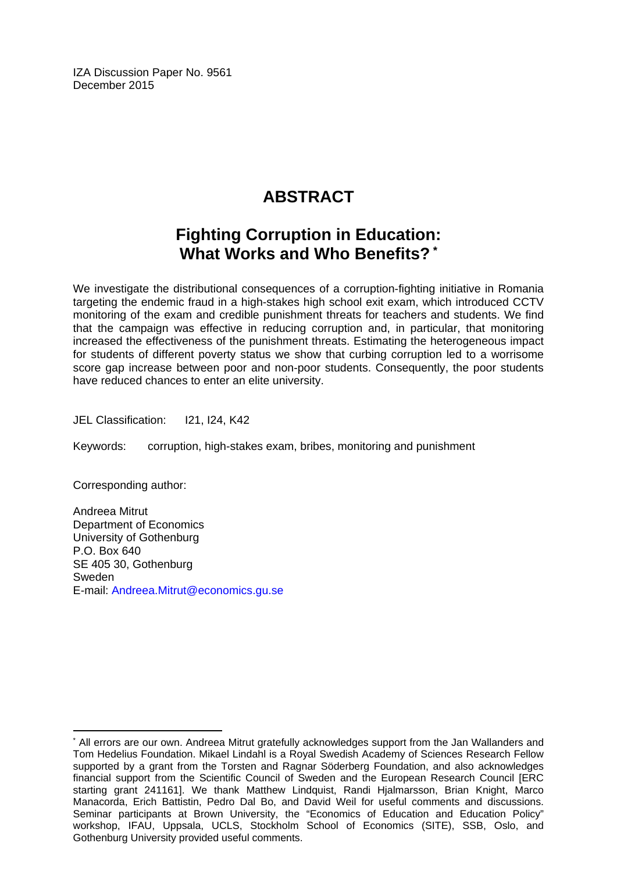IZA Discussion Paper No. 9561 December 2015

# **ABSTRACT**

## **Fighting Corruption in Education: What Works and Who Benefits? \***

We investigate the distributional consequences of a corruption-fighting initiative in Romania targeting the endemic fraud in a high-stakes high school exit exam, which introduced CCTV monitoring of the exam and credible punishment threats for teachers and students. We find that the campaign was effective in reducing corruption and, in particular, that monitoring increased the effectiveness of the punishment threats. Estimating the heterogeneous impact for students of different poverty status we show that curbing corruption led to a worrisome score gap increase between poor and non-poor students. Consequently, the poor students have reduced chances to enter an elite university.

JEL Classification: 121, 124, K42

Keywords: corruption, high-stakes exam, bribes, monitoring and punishment

Corresponding author:

 $\overline{a}$ 

Andreea Mitrut Department of Economics University of Gothenburg P.O. Box 640 SE 405 30, Gothenburg Sweden E-mail: Andreea.Mitrut@economics.gu.se

<sup>\*</sup> All errors are our own. Andreea Mitrut gratefully acknowledges support from the Jan Wallanders and Tom Hedelius Foundation. Mikael Lindahl is a Royal Swedish Academy of Sciences Research Fellow supported by a grant from the Torsten and Ragnar Söderberg Foundation, and also acknowledges financial support from the Scientific Council of Sweden and the European Research Council [ERC starting grant 241161]. We thank Matthew Lindquist, Randi Hjalmarsson, Brian Knight, Marco Manacorda, Erich Battistin, Pedro Dal Bo, and David Weil for useful comments and discussions. Seminar participants at Brown University, the "Economics of Education and Education Policy" workshop, IFAU, Uppsala, UCLS, Stockholm School of Economics (SITE), SSB, Oslo, and Gothenburg University provided useful comments.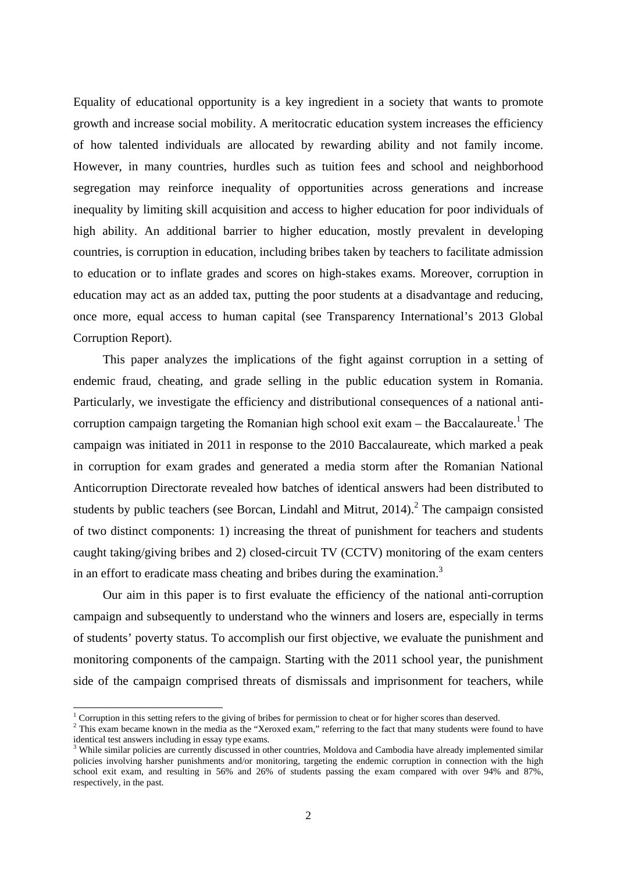Equality of educational opportunity is a key ingredient in a society that wants to promote growth and increase social mobility. A meritocratic education system increases the efficiency of how talented individuals are allocated by rewarding ability and not family income. However, in many countries, hurdles such as tuition fees and school and neighborhood segregation may reinforce inequality of opportunities across generations and increase inequality by limiting skill acquisition and access to higher education for poor individuals of high ability. An additional barrier to higher education, mostly prevalent in developing countries, is corruption in education, including bribes taken by teachers to facilitate admission to education or to inflate grades and scores on high-stakes exams. Moreover, corruption in education may act as an added tax, putting the poor students at a disadvantage and reducing, once more, equal access to human capital (see Transparency International's 2013 Global Corruption Report).

This paper analyzes the implications of the fight against corruption in a setting of endemic fraud, cheating, and grade selling in the public education system in Romania. Particularly, we investigate the efficiency and distributional consequences of a national anticorruption campaign targeting the Romanian high school exit exam  $-$  the Baccalaureate.<sup>1</sup> The campaign was initiated in 2011 in response to the 2010 Baccalaureate, which marked a peak in corruption for exam grades and generated a media storm after the Romanian National Anticorruption Directorate revealed how batches of identical answers had been distributed to students by public teachers (see Borcan, Lindahl and Mitrut,  $2014$ ).<sup>2</sup> The campaign consisted of two distinct components: 1) increasing the threat of punishment for teachers and students caught taking/giving bribes and 2) closed-circuit TV (CCTV) monitoring of the exam centers in an effort to eradicate mass cheating and bribes during the examination.<sup>3</sup>

Our aim in this paper is to first evaluate the efficiency of the national anti-corruption campaign and subsequently to understand who the winners and losers are, especially in terms of students' poverty status. To accomplish our first objective, we evaluate the punishment and monitoring components of the campaign. Starting with the 2011 school year, the punishment side of the campaign comprised threats of dismissals and imprisonment for teachers, while

<sup>&</sup>lt;sup>1</sup> Corruption in this setting refers to the giving of bribes for permission to cheat or for higher scores than deserved.  $2 \text{ This example shows that } \frac{2}{\sqrt{2}}$ 

<sup>&</sup>lt;sup>2</sup> This exam became known in the media as the "Xeroxed exam," referring to the fact that many students were found to have identical test answers including in essay type exams.

<sup>&</sup>lt;sup>3</sup> While similar policies are currently discussed in other countries, Moldova and Cambodia have already implemented similar policies involving harsher punishments and/or monitoring, targeting the endemic corruption in connection with the high school exit exam, and resulting in 56% and 26% of students passing the exam compared with over 94% and 87%, respectively, in the past.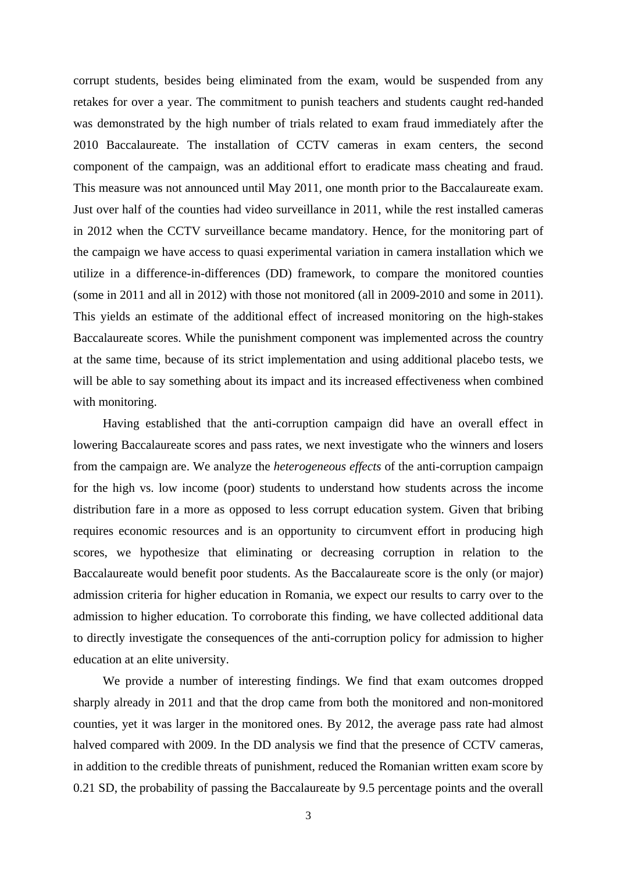corrupt students, besides being eliminated from the exam, would be suspended from any retakes for over a year. The commitment to punish teachers and students caught red-handed was demonstrated by the high number of trials related to exam fraud immediately after the 2010 Baccalaureate. The installation of CCTV cameras in exam centers, the second component of the campaign, was an additional effort to eradicate mass cheating and fraud. This measure was not announced until May 2011, one month prior to the Baccalaureate exam. Just over half of the counties had video surveillance in 2011, while the rest installed cameras in 2012 when the CCTV surveillance became mandatory. Hence, for the monitoring part of the campaign we have access to quasi experimental variation in camera installation which we utilize in a difference-in-differences (DD) framework, to compare the monitored counties (some in 2011 and all in 2012) with those not monitored (all in 2009-2010 and some in 2011). This yields an estimate of the additional effect of increased monitoring on the high-stakes Baccalaureate scores. While the punishment component was implemented across the country at the same time, because of its strict implementation and using additional placebo tests, we will be able to say something about its impact and its increased effectiveness when combined with monitoring.

Having established that the anti-corruption campaign did have an overall effect in lowering Baccalaureate scores and pass rates, we next investigate who the winners and losers from the campaign are. We analyze the *heterogeneous effects* of the anti-corruption campaign for the high vs. low income (poor) students to understand how students across the income distribution fare in a more as opposed to less corrupt education system. Given that bribing requires economic resources and is an opportunity to circumvent effort in producing high scores, we hypothesize that eliminating or decreasing corruption in relation to the Baccalaureate would benefit poor students. As the Baccalaureate score is the only (or major) admission criteria for higher education in Romania, we expect our results to carry over to the admission to higher education. To corroborate this finding, we have collected additional data to directly investigate the consequences of the anti-corruption policy for admission to higher education at an elite university.

We provide a number of interesting findings. We find that exam outcomes dropped sharply already in 2011 and that the drop came from both the monitored and non-monitored counties, yet it was larger in the monitored ones. By 2012, the average pass rate had almost halved compared with 2009. In the DD analysis we find that the presence of CCTV cameras, in addition to the credible threats of punishment, reduced the Romanian written exam score by 0.21 SD, the probability of passing the Baccalaureate by 9.5 percentage points and the overall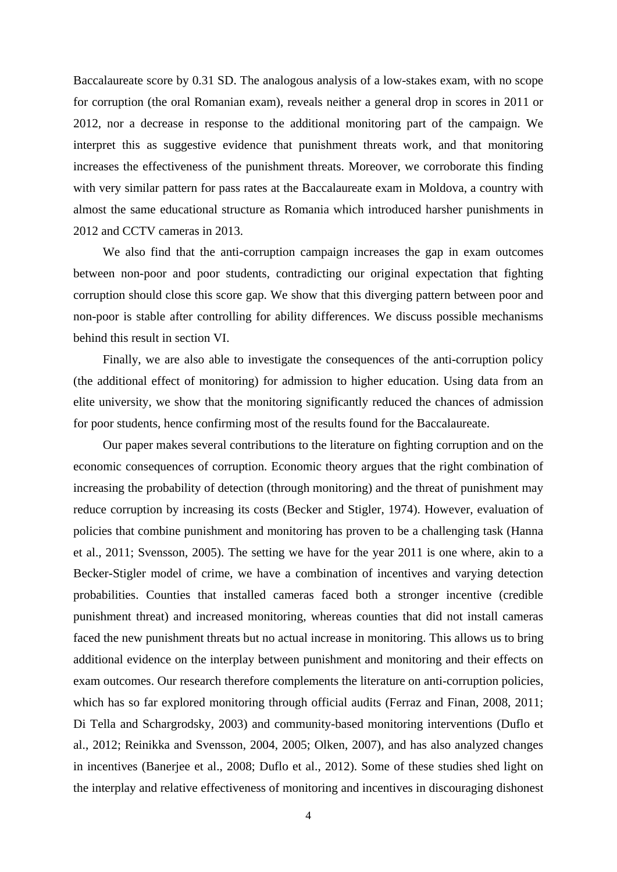Baccalaureate score by 0.31 SD. The analogous analysis of a low-stakes exam, with no scope for corruption (the oral Romanian exam), reveals neither a general drop in scores in 2011 or 2012, nor a decrease in response to the additional monitoring part of the campaign. We interpret this as suggestive evidence that punishment threats work, and that monitoring increases the effectiveness of the punishment threats. Moreover, we corroborate this finding with very similar pattern for pass rates at the Baccalaureate exam in Moldova, a country with almost the same educational structure as Romania which introduced harsher punishments in 2012 and CCTV cameras in 2013.

We also find that the anti-corruption campaign increases the gap in exam outcomes between non-poor and poor students, contradicting our original expectation that fighting corruption should close this score gap. We show that this diverging pattern between poor and non-poor is stable after controlling for ability differences. We discuss possible mechanisms behind this result in section VI.

Finally, we are also able to investigate the consequences of the anti-corruption policy (the additional effect of monitoring) for admission to higher education. Using data from an elite university, we show that the monitoring significantly reduced the chances of admission for poor students, hence confirming most of the results found for the Baccalaureate.

Our paper makes several contributions to the literature on fighting corruption and on the economic consequences of corruption. Economic theory argues that the right combination of increasing the probability of detection (through monitoring) and the threat of punishment may reduce corruption by increasing its costs (Becker and Stigler, 1974). However, evaluation of policies that combine punishment and monitoring has proven to be a challenging task (Hanna et al., 2011; Svensson, 2005). The setting we have for the year 2011 is one where, akin to a Becker-Stigler model of crime, we have a combination of incentives and varying detection probabilities. Counties that installed cameras faced both a stronger incentive (credible punishment threat) and increased monitoring, whereas counties that did not install cameras faced the new punishment threats but no actual increase in monitoring. This allows us to bring additional evidence on the interplay between punishment and monitoring and their effects on exam outcomes. Our research therefore complements the literature on anti-corruption policies, which has so far explored monitoring through official audits (Ferraz and Finan, 2008, 2011; Di Tella and Schargrodsky, 2003) and community-based monitoring interventions (Duflo et al., 2012; Reinikka and Svensson, 2004, 2005; Olken, 2007), and has also analyzed changes in incentives (Banerjee et al., 2008; Duflo et al., 2012). Some of these studies shed light on the interplay and relative effectiveness of monitoring and incentives in discouraging dishonest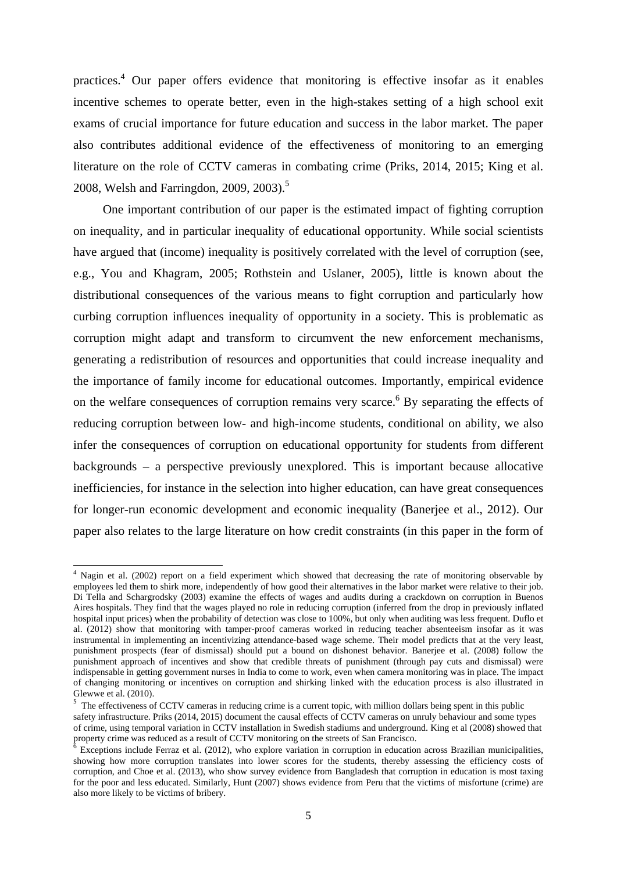practices.<sup>4</sup> Our paper offers evidence that monitoring is effective insofar as it enables incentive schemes to operate better, even in the high-stakes setting of a high school exit exams of crucial importance for future education and success in the labor market. The paper also contributes additional evidence of the effectiveness of monitoring to an emerging literature on the role of CCTV cameras in combating crime (Priks, 2014, 2015; King et al. 2008, Welsh and Farringdon, 2009, 2003).<sup>5</sup>

One important contribution of our paper is the estimated impact of fighting corruption on inequality, and in particular inequality of educational opportunity. While social scientists have argued that (income) inequality is positively correlated with the level of corruption (see, e.g., You and Khagram, 2005; Rothstein and Uslaner, 2005), little is known about the distributional consequences of the various means to fight corruption and particularly how curbing corruption influences inequality of opportunity in a society. This is problematic as corruption might adapt and transform to circumvent the new enforcement mechanisms, generating a redistribution of resources and opportunities that could increase inequality and the importance of family income for educational outcomes. Importantly, empirical evidence on the welfare consequences of corruption remains very scarce.<sup>6</sup> By separating the effects of reducing corruption between low- and high-income students, conditional on ability, we also infer the consequences of corruption on educational opportunity for students from different backgrounds – a perspective previously unexplored. This is important because allocative inefficiencies, for instance in the selection into higher education, can have great consequences for longer-run economic development and economic inequality (Banerjee et al., 2012). Our paper also relates to the large literature on how credit constraints (in this paper in the form of

The sum of the same of the state of monitoring observable by<br><sup>4</sup> Nagin et al. (2002) report on a field experiment which showed that decreasing the rate of monitoring observable by employees led them to shirk more, independently of how good their alternatives in the labor market were relative to their job. Di Tella and Schargrodsky (2003) examine the effects of wages and audits during a crackdown on corruption in Buenos Aires hospitals. They find that the wages played no role in reducing corruption (inferred from the drop in previously inflated hospital input prices) when the probability of detection was close to 100%, but only when auditing was less frequent. Duflo et al. (2012) show that monitoring with tamper-proof cameras worked in reducing teacher absenteeism insofar as it was instrumental in implementing an incentivizing attendance-based wage scheme. Their model predicts that at the very least, punishment prospects (fear of dismissal) should put a bound on dishonest behavior. Banerjee et al. (2008) follow the punishment approach of incentives and show that credible threats of punishment (through pay cuts and dismissal) were indispensable in getting government nurses in India to come to work, even when camera monitoring was in place. The impact of changing monitoring or incentives on corruption and shirking linked with the education process is also illustrated in Glewwe et al. (2010).

<sup>&</sup>lt;sup>5</sup> The effectiveness of CCTV cameras in reducing crime is a current topic, with million dollars being spent in this public safety infrastructure. Priks (2014, 2015) document the causal effects of CCTV cameras on unruly behaviour and some types of crime, using temporal variation in CCTV installation in Swedish stadiums and underground. King et al (2008) showed that property crime was reduced as a result of CCTV monitoring on the streets of San Francisco.<br><sup>6</sup> Exceptions include Ferraz et al. (2012), who explore variation in corruption in education across Brazilian municipalities,

showing how more corruption translates into lower scores for the students, thereby assessing the efficiency costs of corruption, and Choe et al. (2013), who show survey evidence from Bangladesh that corruption in education is most taxing for the poor and less educated. Similarly, Hunt (2007) shows evidence from Peru that the victims of misfortune (crime) are also more likely to be victims of bribery.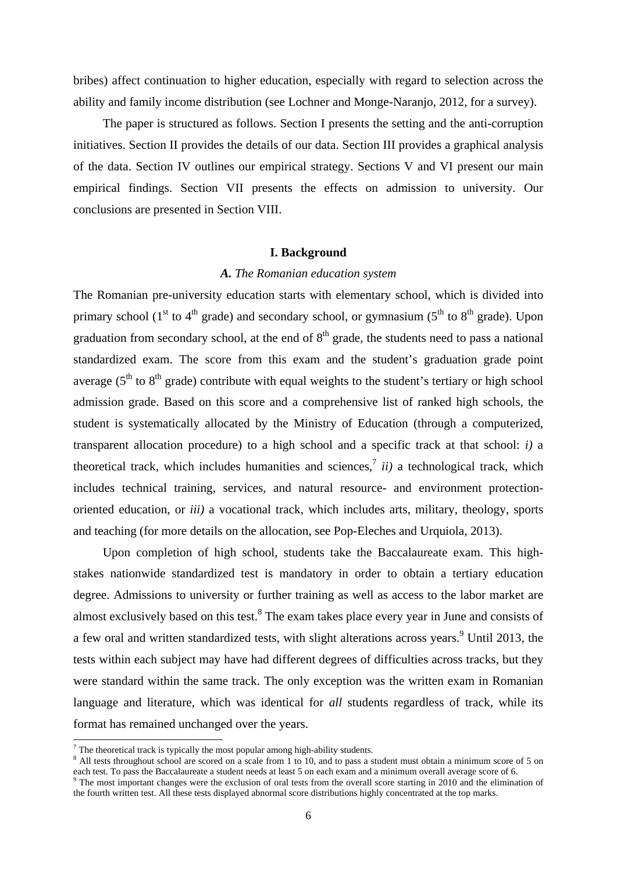bribes) affect continuation to higher education, especially with regard to selection across the ability and family income distribution (see Lochner and Monge-Naranjo, 2012, for a survey).

The paper is structured as follows. Section I presents the setting and the anti-corruption initiatives. Section II provides the details of our data. Section III provides a graphical analysis of the data. Section IV outlines our empirical strategy. Sections V and VI present our main empirical findings. Section VII presents the effects on admission to university. Our conclusions are presented in Section VIII.

#### **I. Background**

### *A. The Romanian education system*

The Romanian pre-university education starts with elementary school, which is divided into primary school (1<sup>st</sup> to 4<sup>th</sup> grade) and secondary school, or gymnasium (5<sup>th</sup> to 8<sup>th</sup> grade). Upon graduation from secondary school, at the end of  $8<sup>th</sup>$  grade, the students need to pass a national standardized exam. The score from this exam and the student's graduation grade point average ( $5<sup>th</sup>$  to  $8<sup>th</sup>$  grade) contribute with equal weights to the student's tertiary or high school admission grade. Based on this score and a comprehensive list of ranked high schools, the student is systematically allocated by the Ministry of Education (through a computerized, transparent allocation procedure) to a high school and a specific track at that school: *i)* a theoretical track, which includes humanities and sciences,<sup>7</sup> *ii*) a technological track, which includes technical training, services, and natural resource- and environment protectionoriented education, or *iii)* a vocational track, which includes arts, military, theology, sports and teaching (for more details on the allocation, see Pop-Eleches and Urquiola, 2013).

Upon completion of high school, students take the Baccalaureate exam. This highstakes nationwide standardized test is mandatory in order to obtain a tertiary education degree. Admissions to university or further training as well as access to the labor market are almost exclusively based on this test. $8$  The exam takes place every year in June and consists of a few oral and written standardized tests, with slight alterations across years.<sup>9</sup> Until 2013, the tests within each subject may have had different degrees of difficulties across tracks, but they were standard within the same track. The only exception was the written exam in Romanian language and literature, which was identical for *all* students regardless of track, while its format has remained unchanged over the years.

The theoretical track is typically the most popular among high-ability students.<br> $8 \text{ All test throughout school are scored on a scale from 1 to 10, and to pass a given.}$ 

<sup>&</sup>lt;sup>8</sup> All tests throughout school are scored on a scale from 1 to 10, and to pass a student must obtain a minimum score of 5 on each test. To pass the Baccalaureate a student needs at least 5 on each exam and a minimum overall average score of 6.<br><sup>9</sup> The most important changes were the exclusion of oral tests from the overall score starting in 2010

the fourth written test. All these tests displayed abnormal score distributions highly concentrated at the top marks.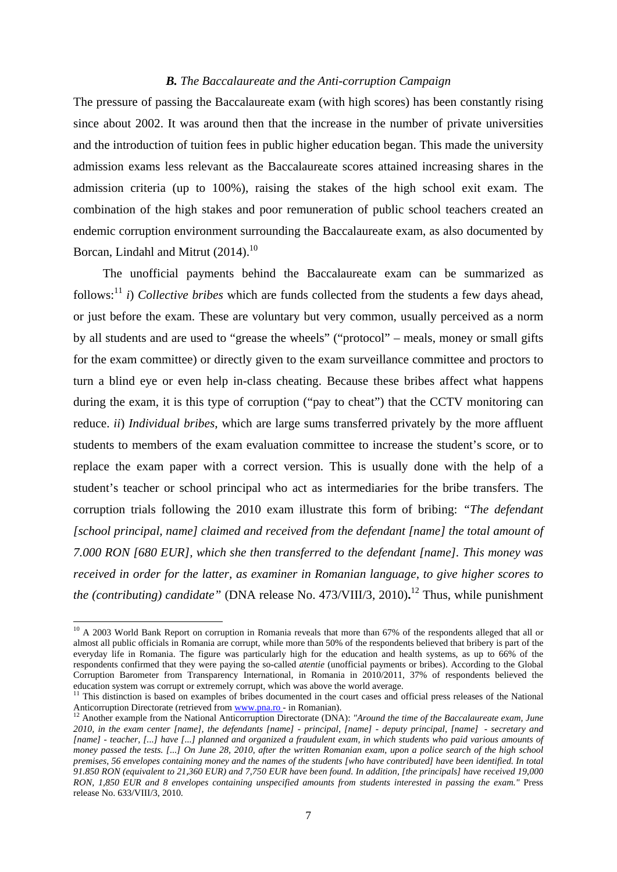### *B. The Baccalaureate and the Anti-corruption Campaign*

The pressure of passing the Baccalaureate exam (with high scores) has been constantly rising since about 2002. It was around then that the increase in the number of private universities and the introduction of tuition fees in public higher education began. This made the university admission exams less relevant as the Baccalaureate scores attained increasing shares in the admission criteria (up to 100%), raising the stakes of the high school exit exam. The combination of the high stakes and poor remuneration of public school teachers created an endemic corruption environment surrounding the Baccalaureate exam, as also documented by Borcan, Lindahl and Mitrut  $(2014).$ <sup>10</sup>

The unofficial payments behind the Baccalaureate exam can be summarized as follows:<sup>11</sup> *i*) *Collective bribes* which are funds collected from the students a few days ahead, or just before the exam. These are voluntary but very common, usually perceived as a norm by all students and are used to "grease the wheels" ("protocol" – meals, money or small gifts for the exam committee) or directly given to the exam surveillance committee and proctors to turn a blind eye or even help in-class cheating. Because these bribes affect what happens during the exam, it is this type of corruption ("pay to cheat") that the CCTV monitoring can reduce. *ii*) *Individual bribes*, which are large sums transferred privately by the more affluent students to members of the exam evaluation committee to increase the student's score, or to replace the exam paper with a correct version. This is usually done with the help of a student's teacher or school principal who act as intermediaries for the bribe transfers. The corruption trials following the 2010 exam illustrate this form of bribing: *"The defendant [school principal, name] claimed and received from the defendant [name] the total amount of 7.000 RON [680 EUR], which she then transferred to the defendant [name]. This money was received in order for the latter, as examiner in Romanian language, to give higher scores to the (contributing) candidate"* (DNA release No. 473/VIII/3, 2010)**.** 12 Thus, while punishment

-

 $10$  A 2003 World Bank Report on corruption in Romania reveals that more than 67% of the respondents alleged that all or almost all public officials in Romania are corrupt, while more than 50% of the respondents believed that bribery is part of the everyday life in Romania. The figure was particularly high for the education and health systems, as up to 66% of the respondents confirmed that they were paying the so-called *atentie* (unofficial payments or bribes). According to the Global Corruption Barometer from Transparency International, in Romania in 2010/2011, 37% of respondents believed the education system was corrupt or extremely corrupt, which was above the world average.

<sup>&</sup>lt;sup>11</sup> This distinction is based on examples of bribes documented in the court cases and official press releases of the National Anticorruption Directorate (retrieved from www.pna.ro - in Romanian).<br><sup>12</sup> Another example from the National Anticorruption Directorate (DNA): "Around the time of the Baccalaureate exam, June

*<sup>2010,</sup> in the exam center [name], the defendants [name] - principal, [name] - deputy principal, [name] - secretary and [name] - teacher, [...] have [...] planned and organized a fraudulent exam, in which students who paid various amounts of money passed the tests. [...] On June 28, 2010, after the written Romanian exam, upon a police search of the high school premises, 56 envelopes containing money and the names of the students [who have contributed] have been identified. In total 91.850 RON (equivalent to 21,360 EUR) and 7,750 EUR have been found. In addition, [the principals] have received 19,000 RON, 1,850 EUR and 8 envelopes containing unspecified amounts from students interested in passing the exam."* Press release No. 633/VIII/3, 2010.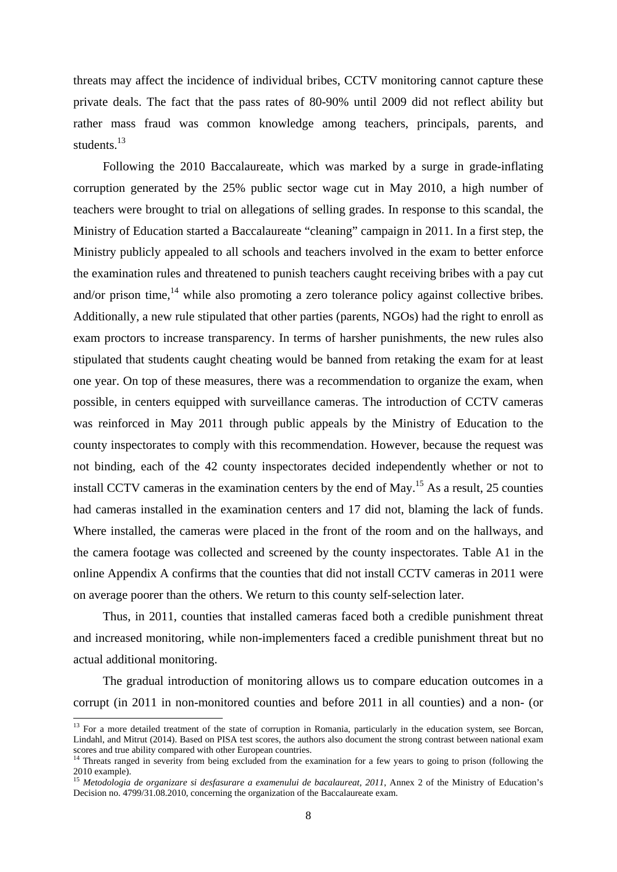threats may affect the incidence of individual bribes, CCTV monitoring cannot capture these private deals. The fact that the pass rates of 80-90% until 2009 did not reflect ability but rather mass fraud was common knowledge among teachers, principals, parents, and students.<sup>13</sup>

Following the 2010 Baccalaureate, which was marked by a surge in grade-inflating corruption generated by the 25% public sector wage cut in May 2010, a high number of teachers were brought to trial on allegations of selling grades. In response to this scandal, the Ministry of Education started a Baccalaureate "cleaning" campaign in 2011. In a first step, the Ministry publicly appealed to all schools and teachers involved in the exam to better enforce the examination rules and threatened to punish teachers caught receiving bribes with a pay cut and/or prison time, $^{14}$  while also promoting a zero tolerance policy against collective bribes. Additionally, a new rule stipulated that other parties (parents, NGOs) had the right to enroll as exam proctors to increase transparency. In terms of harsher punishments, the new rules also stipulated that students caught cheating would be banned from retaking the exam for at least one year. On top of these measures, there was a recommendation to organize the exam, when possible, in centers equipped with surveillance cameras. The introduction of CCTV cameras was reinforced in May 2011 through public appeals by the Ministry of Education to the county inspectorates to comply with this recommendation. However, because the request was not binding, each of the 42 county inspectorates decided independently whether or not to install CCTV cameras in the examination centers by the end of May.15 As a result, 25 counties had cameras installed in the examination centers and 17 did not, blaming the lack of funds. Where installed, the cameras were placed in the front of the room and on the hallways, and the camera footage was collected and screened by the county inspectorates. Table A1 in the online Appendix A confirms that the counties that did not install CCTV cameras in 2011 were on average poorer than the others. We return to this county self-selection later.

Thus, in 2011, counties that installed cameras faced both a credible punishment threat and increased monitoring, while non-implementers faced a credible punishment threat but no actual additional monitoring.

The gradual introduction of monitoring allows us to compare education outcomes in a corrupt (in 2011 in non-monitored counties and before 2011 in all counties) and a non- (or

 $13$  For a more detailed treatment of the state of corruption in Romania, particularly in the education system, see Borcan, Lindahl, and Mitrut (2014). Based on PISA test scores, the authors also document the strong contrast between national exam scores and true ability compared with other European countries.

<sup>&</sup>lt;sup>14</sup> Threats ranged in severity from being excluded from the examination for a few years to going to prison (following the 2010 example).

<sup>&</sup>lt;sup>15</sup> Metodologia de organizare si desfasurare a examenului de bacalaureat, 2011, Annex 2 of the Ministry of Education's Decision no. 4799/31.08.2010, concerning the organization of the Baccalaureate exam.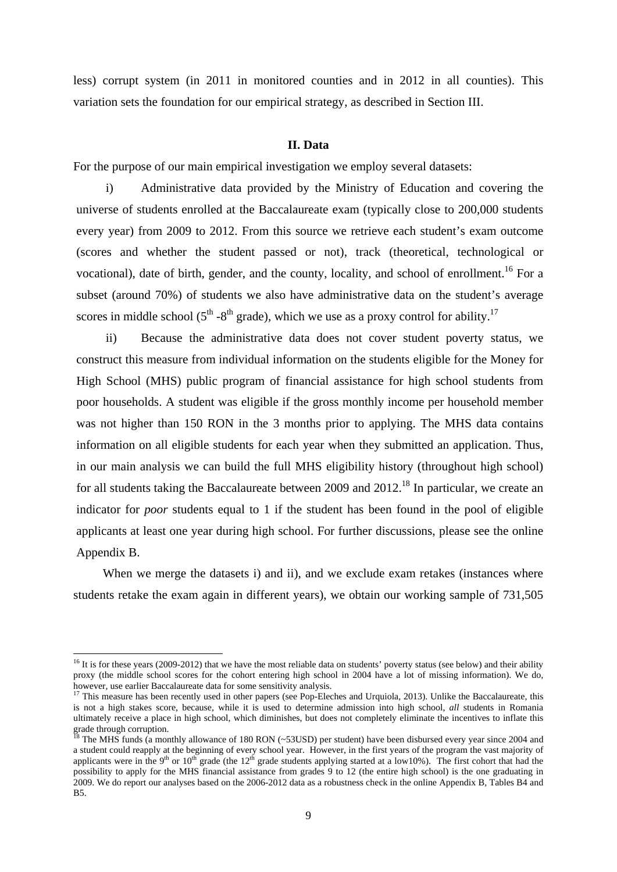less) corrupt system (in 2011 in monitored counties and in 2012 in all counties). This variation sets the foundation for our empirical strategy, as described in Section III.

### **II. Data**

For the purpose of our main empirical investigation we employ several datasets:

i) Administrative data provided by the Ministry of Education and covering the universe of students enrolled at the Baccalaureate exam (typically close to 200,000 students every year) from 2009 to 2012. From this source we retrieve each student's exam outcome (scores and whether the student passed or not), track (theoretical, technological or vocational), date of birth, gender, and the county, locality, and school of enrollment.<sup>16</sup> For a subset (around 70%) of students we also have administrative data on the student's average scores in middle school ( $5<sup>th</sup> - 8<sup>th</sup>$  grade), which we use as a proxy control for ability.<sup>17</sup>

ii) Because the administrative data does not cover student poverty status, we construct this measure from individual information on the students eligible for the Money for High School (MHS) public program of financial assistance for high school students from poor households. A student was eligible if the gross monthly income per household member was not higher than 150 RON in the 3 months prior to applying. The MHS data contains information on all eligible students for each year when they submitted an application. Thus, in our main analysis we can build the full MHS eligibility history (throughout high school) for all students taking the Baccalaureate between 2009 and  $2012<sup>18</sup>$  In particular, we create an indicator for *poor* students equal to 1 if the student has been found in the pool of eligible applicants at least one year during high school. For further discussions, please see the online Appendix B.

When we merge the datasets i) and ii), and we exclude exam retakes (instances where students retake the exam again in different years), we obtain our working sample of 731,505

<sup>&</sup>lt;sup>16</sup> It is for these years (2009-2012) that we have the most reliable data on students' poverty status (see below) and their ability proxy (the middle school scores for the cohort entering high school in 2004 have a lot of missing information). We do, however, use earlier Baccalaureate data for some sensitivity analysis.<br><sup>17</sup> This measure has been recently used in other papers (see Pop-Eleches and Urquiola, 2013). Unlike the Baccalaureate, this

is not a high stakes score, because, while it is used to determine admission into high school, *all* students in Romania ultimately receive a place in high school, which diminishes, but does not completely eliminate the incentives to inflate this grade through corruption.

 $^{18}$  The MHS funds (a monthly allowance of 180 RON (~53USD) per student) have been disbursed every year since 2004 and a student could reapply at the beginning of every school year. However, in the first years of the program the vast majority of applicants were in the 9<sup>th</sup> or 10<sup>th</sup> grade (the 12<sup>th</sup> grade students applying started at a low10%). The first cohort that had the possibility to apply for the MHS financial assistance from grades 9 to 12 (the entire high school) is the one graduating in 2009. We do report our analyses based on the 2006-2012 data as a robustness check in the online Appendix B, Tables B4 and B5.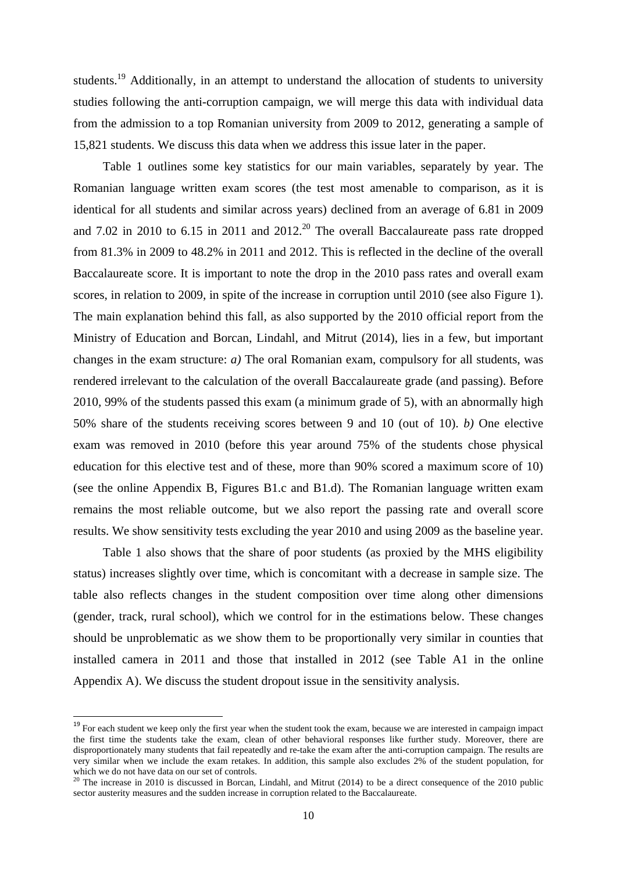students.<sup>19</sup> Additionally, in an attempt to understand the allocation of students to university studies following the anti-corruption campaign, we will merge this data with individual data from the admission to a top Romanian university from 2009 to 2012, generating a sample of 15,821 students. We discuss this data when we address this issue later in the paper.

Table 1 outlines some key statistics for our main variables, separately by year. The Romanian language written exam scores (the test most amenable to comparison, as it is identical for all students and similar across years) declined from an average of 6.81 in 2009 and 7.02 in 2010 to 6.15 in 2011 and  $2012<sup>20</sup>$  The overall Baccalaureate pass rate dropped from 81.3% in 2009 to 48.2% in 2011 and 2012. This is reflected in the decline of the overall Baccalaureate score. It is important to note the drop in the 2010 pass rates and overall exam scores, in relation to 2009, in spite of the increase in corruption until 2010 (see also Figure 1). The main explanation behind this fall, as also supported by the 2010 official report from the Ministry of Education and Borcan, Lindahl, and Mitrut (2014), lies in a few, but important changes in the exam structure: *a)* The oral Romanian exam, compulsory for all students, was rendered irrelevant to the calculation of the overall Baccalaureate grade (and passing). Before 2010, 99% of the students passed this exam (a minimum grade of 5), with an abnormally high 50% share of the students receiving scores between 9 and 10 (out of 10). *b)* One elective exam was removed in 2010 (before this year around 75% of the students chose physical education for this elective test and of these, more than 90% scored a maximum score of 10) (see the online Appendix B, Figures B1.c and B1.d). The Romanian language written exam remains the most reliable outcome, but we also report the passing rate and overall score results. We show sensitivity tests excluding the year 2010 and using 2009 as the baseline year.

Table 1 also shows that the share of poor students (as proxied by the MHS eligibility status) increases slightly over time, which is concomitant with a decrease in sample size. The table also reflects changes in the student composition over time along other dimensions (gender, track, rural school), which we control for in the estimations below. These changes should be unproblematic as we show them to be proportionally very similar in counties that installed camera in 2011 and those that installed in 2012 (see Table A1 in the online Appendix A). We discuss the student dropout issue in the sensitivity analysis.

<sup>&</sup>lt;sup>19</sup> For each student we keep only the first year when the student took the exam, because we are interested in campaign impact the first time the students take the exam, clean of other behavioral responses like further study. Moreover, there are disproportionately many students that fail repeatedly and re-take the exam after the anti-corruption campaign. The results are very similar when we include the exam retakes. In addition, this sample also excludes 2% of the student population, for

which we do not have data on our set of contracts.<br><sup>20</sup> The increase in 2010 is discussed in Borcan, Lindahl, and Mitrut (2014) to be a direct consequence of the 2010 public sector austerity measures and the sudden increase in corruption related to the Baccalaureate.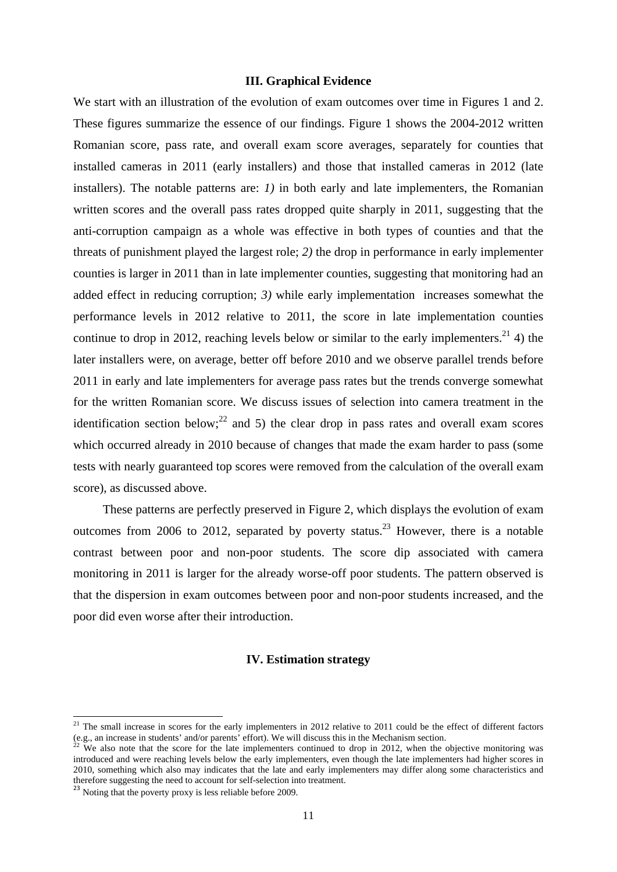### **III. Graphical Evidence**

We start with an illustration of the evolution of exam outcomes over time in Figures 1 and 2. These figures summarize the essence of our findings. Figure 1 shows the 2004-2012 written Romanian score, pass rate, and overall exam score averages, separately for counties that installed cameras in 2011 (early installers) and those that installed cameras in 2012 (late installers). The notable patterns are: *1)* in both early and late implementers, the Romanian written scores and the overall pass rates dropped quite sharply in 2011, suggesting that the anti-corruption campaign as a whole was effective in both types of counties and that the threats of punishment played the largest role; *2)* the drop in performance in early implementer counties is larger in 2011 than in late implementer counties, suggesting that monitoring had an added effect in reducing corruption; *3)* while early implementation increases somewhat the performance levels in 2012 relative to 2011, the score in late implementation counties continue to drop in 2012, reaching levels below or similar to the early implementers.<sup>21</sup> 4) the later installers were, on average, better off before 2010 and we observe parallel trends before 2011 in early and late implementers for average pass rates but the trends converge somewhat for the written Romanian score. We discuss issues of selection into camera treatment in the identification section below;<sup>22</sup> and 5) the clear drop in pass rates and overall exam scores which occurred already in 2010 because of changes that made the exam harder to pass (some tests with nearly guaranteed top scores were removed from the calculation of the overall exam score), as discussed above.

These patterns are perfectly preserved in Figure 2, which displays the evolution of exam outcomes from 2006 to 2012, separated by poverty status.<sup>23</sup> However, there is a notable contrast between poor and non-poor students. The score dip associated with camera monitoring in 2011 is larger for the already worse-off poor students. The pattern observed is that the dispersion in exam outcomes between poor and non-poor students increased, and the poor did even worse after their introduction.

#### **IV. Estimation strategy**

<sup>&</sup>lt;sup>21</sup> The small increase in scores for the early implementers in 2012 relative to 2011 could be the effect of different factors (e.g., an increase in students' and/or parents' effort). We will discuss this in the Mechanism section.<br><sup>22</sup> We also note that the score for the late implementers continued to drop in 2012, when the objective monitoring wa

introduced and were reaching levels below the early implementers, even though the late implementers had higher scores in 2010, something which also may indicates that the late and early implementers may differ along some characteristics and therefore suggesting the need to account for self-selection into treatment.

<sup>&</sup>lt;sup>23</sup> Noting that the poverty proxy is less reliable before 2009.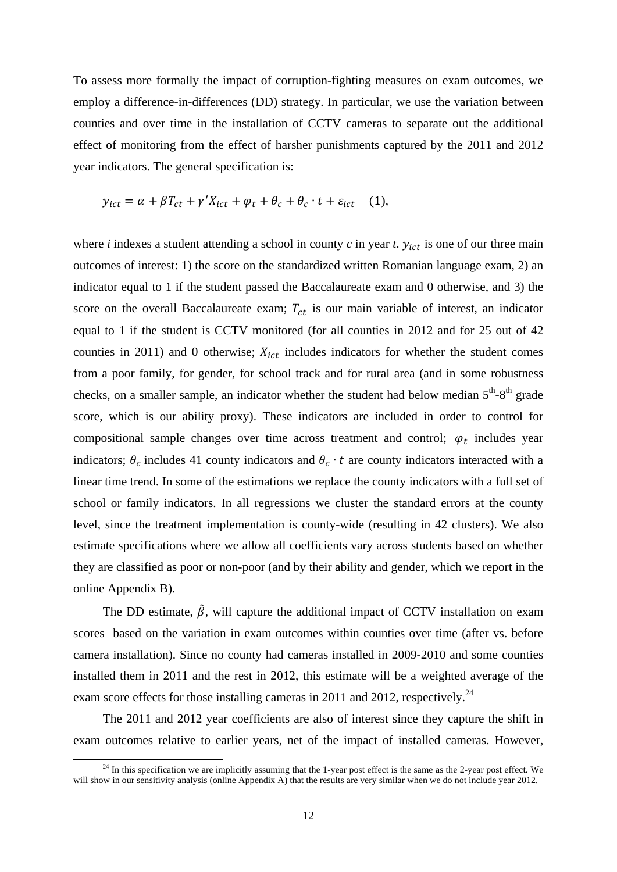To assess more formally the impact of corruption-fighting measures on exam outcomes, we employ a difference-in-differences (DD) strategy. In particular, we use the variation between counties and over time in the installation of CCTV cameras to separate out the additional effect of monitoring from the effect of harsher punishments captured by the 2011 and 2012 year indicators. The general specification is:

$$
y_{ict} = \alpha + \beta T_{ct} + \gamma' X_{ict} + \varphi_t + \theta_c + \theta_c \cdot t + \varepsilon_{ict} \quad (1),
$$

where *i* indexes a student attending a school in county  $c$  in year  $t$ .  $y_{ict}$  is one of our three main outcomes of interest: 1) the score on the standardized written Romanian language exam, 2) an indicator equal to 1 if the student passed the Baccalaureate exam and 0 otherwise, and 3) the score on the overall Baccalaureate exam;  $T_{ct}$  is our main variable of interest, an indicator equal to 1 if the student is CCTV monitored (for all counties in 2012 and for 25 out of 42 counties in 2011) and 0 otherwise;  $X_{ict}$  includes indicators for whether the student comes from a poor family, for gender, for school track and for rural area (and in some robustness checks, on a smaller sample, an indicator whether the student had below median  $5<sup>th</sup>-8<sup>th</sup>$  grade score, which is our ability proxy). These indicators are included in order to control for compositional sample changes over time across treatment and control;  $\varphi_t$  includes year indicators;  $\theta_c$  includes 41 county indicators and  $\theta_c \cdot t$  are county indicators interacted with a linear time trend. In some of the estimations we replace the county indicators with a full set of school or family indicators. In all regressions we cluster the standard errors at the county level, since the treatment implementation is county-wide (resulting in 42 clusters). We also estimate specifications where we allow all coefficients vary across students based on whether they are classified as poor or non-poor (and by their ability and gender, which we report in the online Appendix B).

The DD estimate,  $\hat{\beta}$ , will capture the additional impact of CCTV installation on exam scores based on the variation in exam outcomes within counties over time (after vs. before camera installation). Since no county had cameras installed in 2009-2010 and some counties installed them in 2011 and the rest in 2012, this estimate will be a weighted average of the exam score effects for those installing cameras in 2011 and 2012, respectively.<sup>24</sup>

The 2011 and 2012 year coefficients are also of interest since they capture the shift in exam outcomes relative to earlier years, net of the impact of installed cameras. However,

 $24$  In this specification we are implicitly assuming that the 1-year post effect is the same as the 2-year post effect. We will show in our sensitivity analysis (online Appendix A) that the results are very similar when we do not include year 2012.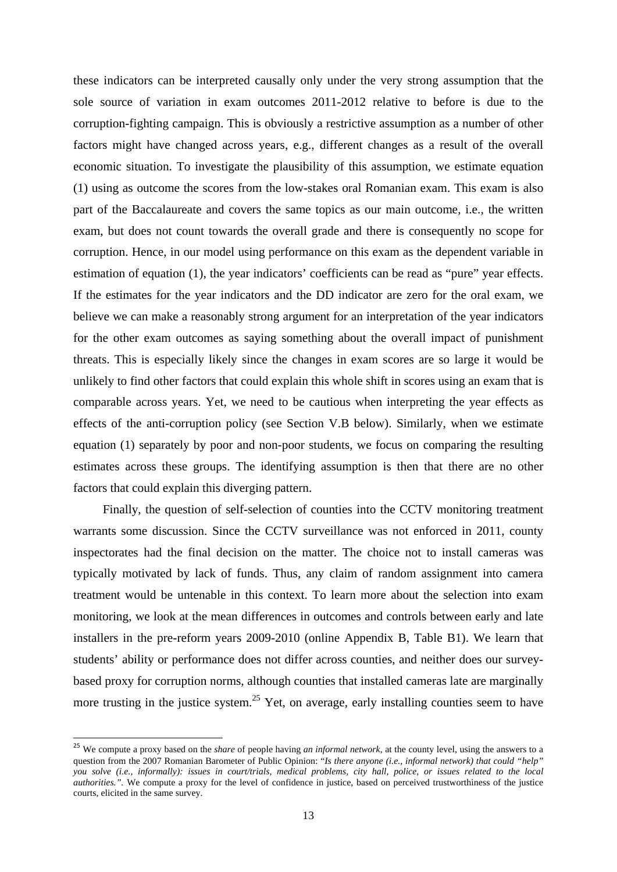these indicators can be interpreted causally only under the very strong assumption that the sole source of variation in exam outcomes 2011-2012 relative to before is due to the corruption-fighting campaign. This is obviously a restrictive assumption as a number of other factors might have changed across years, e.g., different changes as a result of the overall economic situation. To investigate the plausibility of this assumption, we estimate equation (1) using as outcome the scores from the low-stakes oral Romanian exam. This exam is also part of the Baccalaureate and covers the same topics as our main outcome, i.e., the written exam, but does not count towards the overall grade and there is consequently no scope for corruption. Hence, in our model using performance on this exam as the dependent variable in estimation of equation (1), the year indicators' coefficients can be read as "pure" year effects. If the estimates for the year indicators and the DD indicator are zero for the oral exam, we believe we can make a reasonably strong argument for an interpretation of the year indicators for the other exam outcomes as saying something about the overall impact of punishment threats. This is especially likely since the changes in exam scores are so large it would be unlikely to find other factors that could explain this whole shift in scores using an exam that is comparable across years. Yet, we need to be cautious when interpreting the year effects as effects of the anti-corruption policy (see Section V.B below). Similarly, when we estimate equation (1) separately by poor and non-poor students, we focus on comparing the resulting estimates across these groups. The identifying assumption is then that there are no other factors that could explain this diverging pattern.

Finally, the question of self-selection of counties into the CCTV monitoring treatment warrants some discussion. Since the CCTV surveillance was not enforced in 2011, county inspectorates had the final decision on the matter. The choice not to install cameras was typically motivated by lack of funds. Thus, any claim of random assignment into camera treatment would be untenable in this context. To learn more about the selection into exam monitoring, we look at the mean differences in outcomes and controls between early and late installers in the pre-reform years 2009-2010 (online Appendix B, Table B1). We learn that students' ability or performance does not differ across counties, and neither does our surveybased proxy for corruption norms, although counties that installed cameras late are marginally more trusting in the justice system.<sup>25</sup> Yet, on average, early installing counties seem to have

<sup>25</sup> We compute a proxy based on the *share* of people having *an informal network*, at the county level, using the answers to a question from the 2007 Romanian Barometer of Public Opinion: "*Is there anyone (i.e., informal network) that could "help" you solve (i.e., informally): issues in court/trials, medical problems, city hall, police, or issues related to the local authorities.".* We compute a proxy for the level of confidence in justice, based on perceived trustworthiness of the justice courts, elicited in the same survey.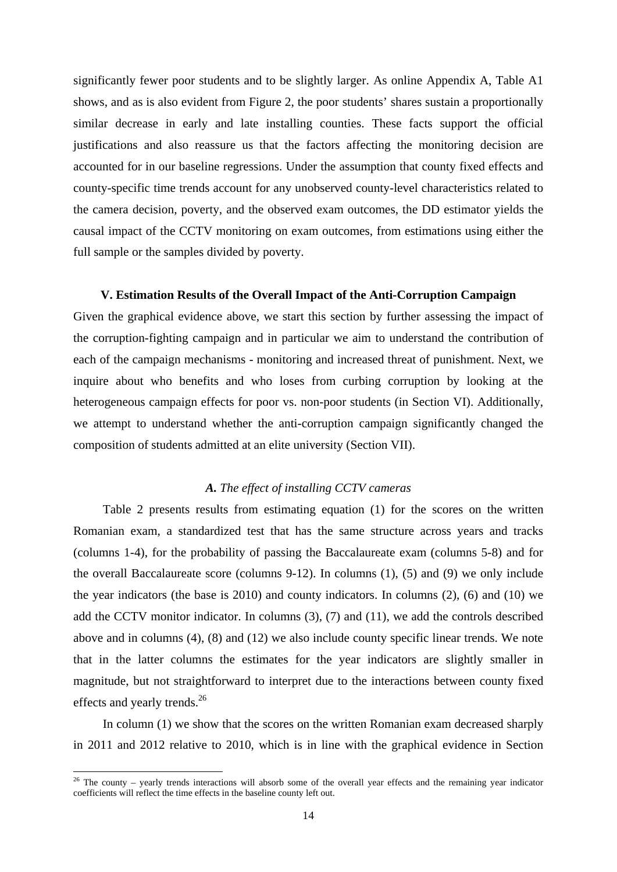significantly fewer poor students and to be slightly larger. As online Appendix A, Table A1 shows, and as is also evident from Figure 2, the poor students' shares sustain a proportionally similar decrease in early and late installing counties. These facts support the official justifications and also reassure us that the factors affecting the monitoring decision are accounted for in our baseline regressions. Under the assumption that county fixed effects and county-specific time trends account for any unobserved county-level characteristics related to the camera decision, poverty, and the observed exam outcomes, the DD estimator yields the causal impact of the CCTV monitoring on exam outcomes, from estimations using either the full sample or the samples divided by poverty.

### **V. Estimation Results of the Overall Impact of the Anti-Corruption Campaign**

Given the graphical evidence above, we start this section by further assessing the impact of the corruption-fighting campaign and in particular we aim to understand the contribution of each of the campaign mechanisms - monitoring and increased threat of punishment. Next, we inquire about who benefits and who loses from curbing corruption by looking at the heterogeneous campaign effects for poor vs. non-poor students (in Section VI). Additionally, we attempt to understand whether the anti-corruption campaign significantly changed the composition of students admitted at an elite university (Section VII).

### *A. The effect of installing CCTV cameras*

Table 2 presents results from estimating equation (1) for the scores on the written Romanian exam, a standardized test that has the same structure across years and tracks (columns 1-4), for the probability of passing the Baccalaureate exam (columns 5-8) and for the overall Baccalaureate score (columns 9-12). In columns (1), (5) and (9) we only include the year indicators (the base is 2010) and county indicators. In columns (2), (6) and (10) we add the CCTV monitor indicator. In columns (3), (7) and (11), we add the controls described above and in columns (4), (8) and (12) we also include county specific linear trends. We note that in the latter columns the estimates for the year indicators are slightly smaller in magnitude, but not straightforward to interpret due to the interactions between county fixed effects and yearly trends.<sup>26</sup>

In column (1) we show that the scores on the written Romanian exam decreased sharply in 2011 and 2012 relative to 2010, which is in line with the graphical evidence in Section

 $26$  The county – yearly trends interactions will absorb some of the overall year effects and the remaining year indicator coefficients will reflect the time effects in the baseline county left out.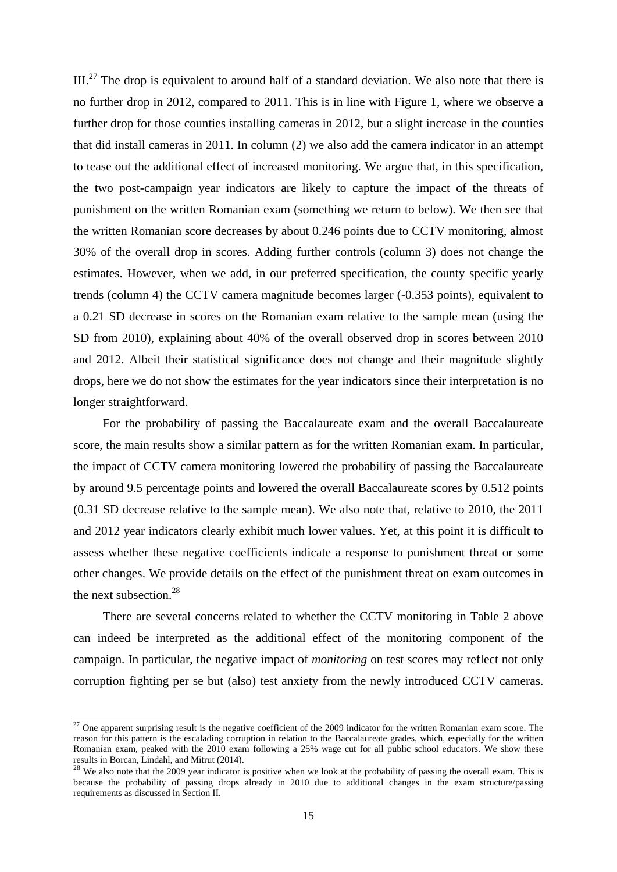$III.^{27}$  The drop is equivalent to around half of a standard deviation. We also note that there is no further drop in 2012, compared to 2011. This is in line with Figure 1, where we observe a further drop for those counties installing cameras in 2012, but a slight increase in the counties that did install cameras in 2011. In column (2) we also add the camera indicator in an attempt to tease out the additional effect of increased monitoring. We argue that, in this specification, the two post-campaign year indicators are likely to capture the impact of the threats of punishment on the written Romanian exam (something we return to below). We then see that the written Romanian score decreases by about 0.246 points due to CCTV monitoring, almost 30% of the overall drop in scores. Adding further controls (column 3) does not change the estimates. However, when we add, in our preferred specification, the county specific yearly trends (column 4) the CCTV camera magnitude becomes larger (-0.353 points), equivalent to a 0.21 SD decrease in scores on the Romanian exam relative to the sample mean (using the SD from 2010), explaining about 40% of the overall observed drop in scores between 2010 and 2012. Albeit their statistical significance does not change and their magnitude slightly drops, here we do not show the estimates for the year indicators since their interpretation is no longer straightforward.

For the probability of passing the Baccalaureate exam and the overall Baccalaureate score, the main results show a similar pattern as for the written Romanian exam. In particular, the impact of CCTV camera monitoring lowered the probability of passing the Baccalaureate by around 9.5 percentage points and lowered the overall Baccalaureate scores by 0.512 points (0.31 SD decrease relative to the sample mean). We also note that, relative to 2010, the 2011 and 2012 year indicators clearly exhibit much lower values. Yet, at this point it is difficult to assess whether these negative coefficients indicate a response to punishment threat or some other changes. We provide details on the effect of the punishment threat on exam outcomes in the next subsection.<sup>28</sup>

There are several concerns related to whether the CCTV monitoring in Table 2 above can indeed be interpreted as the additional effect of the monitoring component of the campaign. In particular, the negative impact of *monitoring* on test scores may reflect not only corruption fighting per se but (also) test anxiety from the newly introduced CCTV cameras.

<sup>&</sup>lt;sup>27</sup> One apparent surprising result is the negative coefficient of the 2009 indicator for the written Romanian exam score. The reason for this pattern is the escalading corruption in relation to the Baccalaureate grades, which, especially for the written Romanian exam, peaked with the 2010 exam following a 25% wage cut for all public school educators. We show these results in Borcan, Lindahl, and Mitrut (2014).

 $28$  We also note that the 2009 year indicator is positive when we look at the probability of passing the overall exam. This is because the probability of passing drops already in 2010 due to additional changes in the exam structure/passing requirements as discussed in Section II.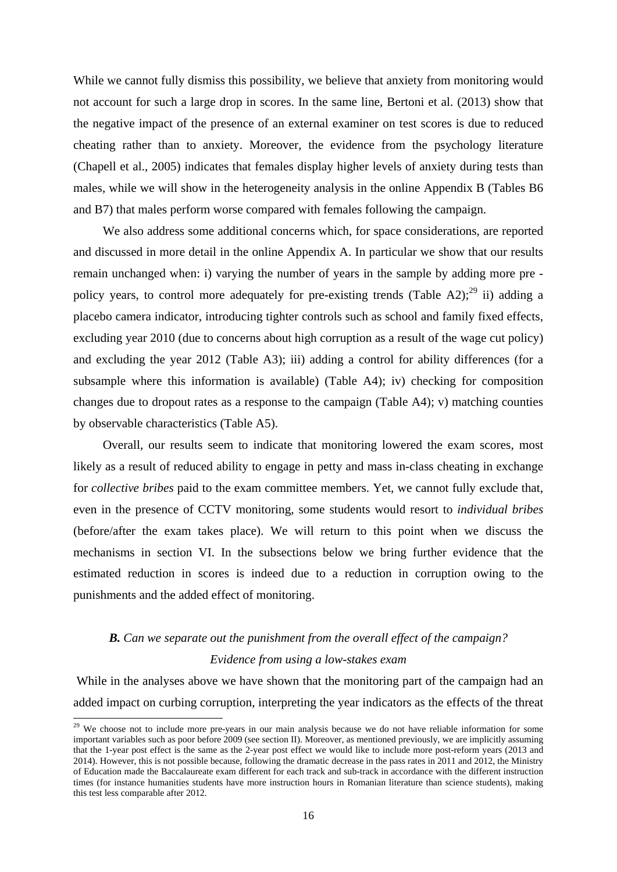While we cannot fully dismiss this possibility, we believe that anxiety from monitoring would not account for such a large drop in scores. In the same line, Bertoni et al. (2013) show that the negative impact of the presence of an external examiner on test scores is due to reduced cheating rather than to anxiety. Moreover, the evidence from the psychology literature (Chapell et al., 2005) indicates that females display higher levels of anxiety during tests than males, while we will show in the heterogeneity analysis in the online Appendix B (Tables B6 and B7) that males perform worse compared with females following the campaign.

We also address some additional concerns which, for space considerations, are reported and discussed in more detail in the online Appendix A. In particular we show that our results remain unchanged when: i) varying the number of years in the sample by adding more pre policy years, to control more adequately for pre-existing trends (Table A2);<sup>29</sup> ii) adding a placebo camera indicator, introducing tighter controls such as school and family fixed effects, excluding year 2010 (due to concerns about high corruption as a result of the wage cut policy) and excluding the year 2012 (Table A3); iii) adding a control for ability differences (for a subsample where this information is available) (Table A4); iv) checking for composition changes due to dropout rates as a response to the campaign (Table A4); v) matching counties by observable characteristics (Table A5).

Overall, our results seem to indicate that monitoring lowered the exam scores, most likely as a result of reduced ability to engage in petty and mass in-class cheating in exchange for *collective bribes* paid to the exam committee members. Yet, we cannot fully exclude that, even in the presence of CCTV monitoring, some students would resort to *individual bribes* (before/after the exam takes place). We will return to this point when we discuss the mechanisms in section VI. In the subsections below we bring further evidence that the estimated reduction in scores is indeed due to a reduction in corruption owing to the punishments and the added effect of monitoring.

### *B. Can we separate out the punishment from the overall effect of the campaign? Evidence from using a low-stakes exam*

 While in the analyses above we have shown that the monitoring part of the campaign had an added impact on curbing corruption, interpreting the year indicators as the effects of the threat

 $29$  We choose not to include more pre-years in our main analysis because we do not have reliable information for some important variables such as poor before 2009 (see section II). Moreover, as mentioned previously, we are implicitly assuming that the 1-year post effect is the same as the 2-year post effect we would like to include more post-reform years (2013 and 2014). However, this is not possible because, following the dramatic decrease in the pass rates in 2011 and 2012, the Ministry of Education made the Baccalaureate exam different for each track and sub-track in accordance with the different instruction times (for instance humanities students have more instruction hours in Romanian literature than science students), making this test less comparable after 2012.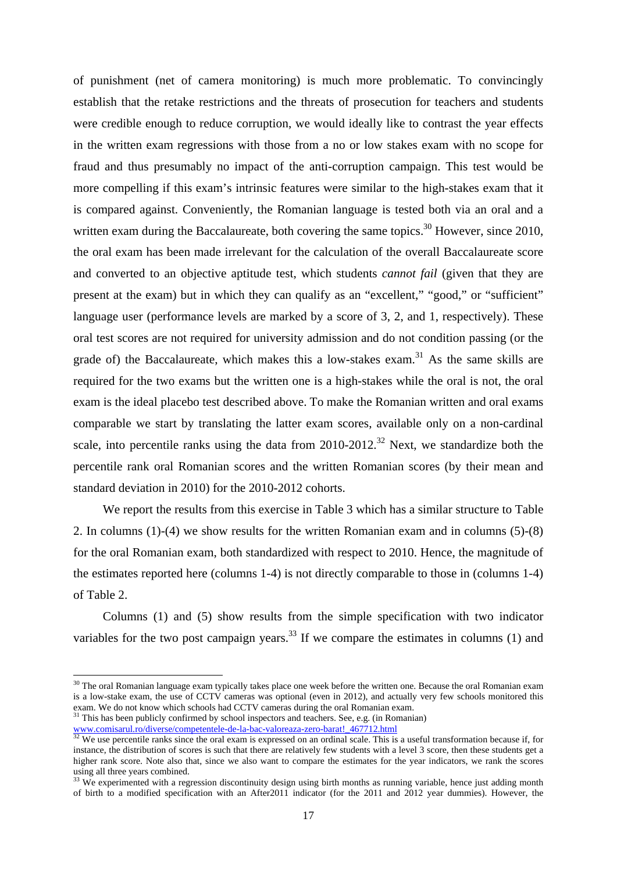of punishment (net of camera monitoring) is much more problematic. To convincingly establish that the retake restrictions and the threats of prosecution for teachers and students were credible enough to reduce corruption, we would ideally like to contrast the year effects in the written exam regressions with those from a no or low stakes exam with no scope for fraud and thus presumably no impact of the anti-corruption campaign. This test would be more compelling if this exam's intrinsic features were similar to the high-stakes exam that it is compared against. Conveniently, the Romanian language is tested both via an oral and a written exam during the Baccalaureate, both covering the same topics.<sup>30</sup> However, since 2010, the oral exam has been made irrelevant for the calculation of the overall Baccalaureate score and converted to an objective aptitude test, which students *cannot fail* (given that they are present at the exam) but in which they can qualify as an "excellent," "good," or "sufficient" language user (performance levels are marked by a score of 3, 2, and 1, respectively). These oral test scores are not required for university admission and do not condition passing (or the grade of) the Baccalaureate, which makes this a low-stakes exam.<sup>31</sup> As the same skills are required for the two exams but the written one is a high-stakes while the oral is not, the oral exam is the ideal placebo test described above. To make the Romanian written and oral exams comparable we start by translating the latter exam scores, available only on a non-cardinal scale, into percentile ranks using the data from  $2010-2012$ <sup>32</sup> Next, we standardize both the percentile rank oral Romanian scores and the written Romanian scores (by their mean and standard deviation in 2010) for the 2010-2012 cohorts.

We report the results from this exercise in Table 3 which has a similar structure to Table 2. In columns (1)-(4) we show results for the written Romanian exam and in columns (5)-(8) for the oral Romanian exam, both standardized with respect to 2010. Hence, the magnitude of the estimates reported here (columns 1-4) is not directly comparable to those in (columns 1-4) of Table 2.

Columns (1) and (5) show results from the simple specification with two indicator variables for the two post campaign years.<sup>33</sup> If we compare the estimates in columns (1) and

-

 $30$  The oral Romanian language exam typically takes place one week before the written one. Because the oral Romanian exam is a low-stake exam, the use of CCTV cameras was optional (even in 2012), and actually very few schools monitored this exam. We do not know which schools had CCTV cameras during the oral Romanian exam.<br><sup>31</sup> This has been publicly confirmed by school inspectors and teachers. See, e.g. (in Romanian)

www.comisarul.ro/diverse/competentele-de-la-bac-valoreaza-zero-barat!  $\frac{467712.html}{12}$  We use percentile ranks since the oral exam is expressed on an ordinal scale. This is a useful transformation because if, for instance, the distribution of scores is such that there are relatively few students with a level 3 score, then these students get a higher rank score. Note also that, since we also want to compare the estimates for the year indicators, we rank the scores using all three years combined.

 $33$  We experimented with a regression discontinuity design using birth months as running variable, hence just adding month of birth to a modified specification with an After2011 indicator (for the 2011 and 2012 year dummies). However, the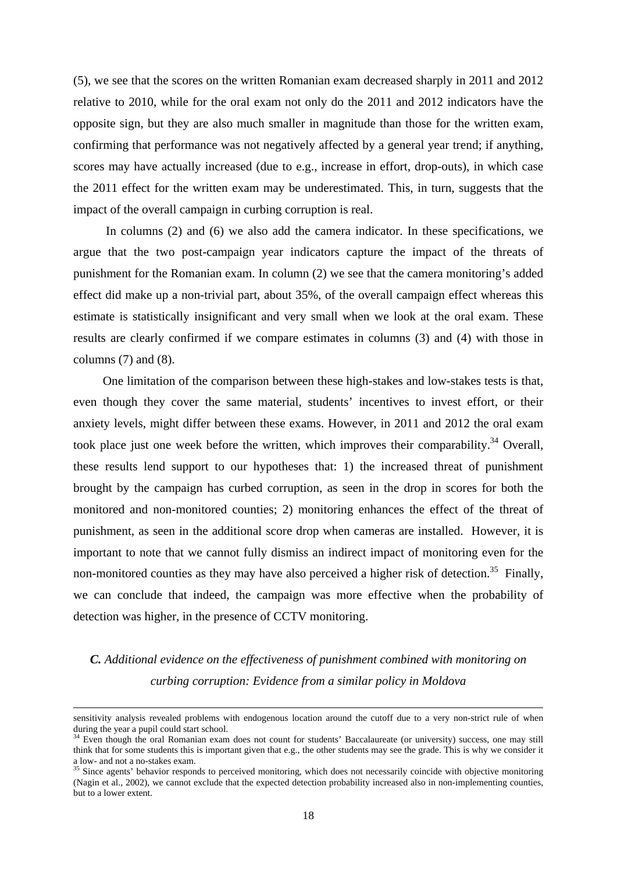(5), we see that the scores on the written Romanian exam decreased sharply in 2011 and 2012 relative to 2010, while for the oral exam not only do the 2011 and 2012 indicators have the opposite sign, but they are also much smaller in magnitude than those for the written exam, confirming that performance was not negatively affected by a general year trend; if anything, scores may have actually increased (due to e.g., increase in effort, drop-outs), in which case the 2011 effect for the written exam may be underestimated. This, in turn, suggests that the impact of the overall campaign in curbing corruption is real.

 In columns (2) and (6) we also add the camera indicator. In these specifications, we argue that the two post-campaign year indicators capture the impact of the threats of punishment for the Romanian exam. In column (2) we see that the camera monitoring's added effect did make up a non-trivial part, about 35%, of the overall campaign effect whereas this estimate is statistically insignificant and very small when we look at the oral exam. These results are clearly confirmed if we compare estimates in columns (3) and (4) with those in columns (7) and (8).

One limitation of the comparison between these high-stakes and low-stakes tests is that, even though they cover the same material, students' incentives to invest effort, or their anxiety levels, might differ between these exams. However, in 2011 and 2012 the oral exam took place just one week before the written, which improves their comparability.<sup>34</sup> Overall, these results lend support to our hypotheses that: 1) the increased threat of punishment brought by the campaign has curbed corruption, as seen in the drop in scores for both the monitored and non-monitored counties; 2) monitoring enhances the effect of the threat of punishment, as seen in the additional score drop when cameras are installed. However, it is important to note that we cannot fully dismiss an indirect impact of monitoring even for the non-monitored counties as they may have also perceived a higher risk of detection.<sup>35</sup> Finally, we can conclude that indeed, the campaign was more effective when the probability of detection was higher, in the presence of CCTV monitoring.

### *C. Additional evidence on the effectiveness of punishment combined with monitoring on curbing corruption: Evidence from a similar policy in Moldova*

sensitivity analysis revealed problems with endogenous location around the cutoff due to a very non-strict rule of when during the year a pupil could start school.

Even though the oral Romanian exam does not count for students' Baccalaureate (or university) success, one may still think that for some students this is important given that e.g., the other students may see the grade. This is why we consider it a low- and not a no-stakes exam.

<sup>&</sup>lt;sup>35</sup> Since agents' behavior responds to perceived monitoring, which does not necessarily coincide with objective monitoring (Nagin et al., 2002), we cannot exclude that the expected detection probability increased also in non-implementing counties, but to a lower extent.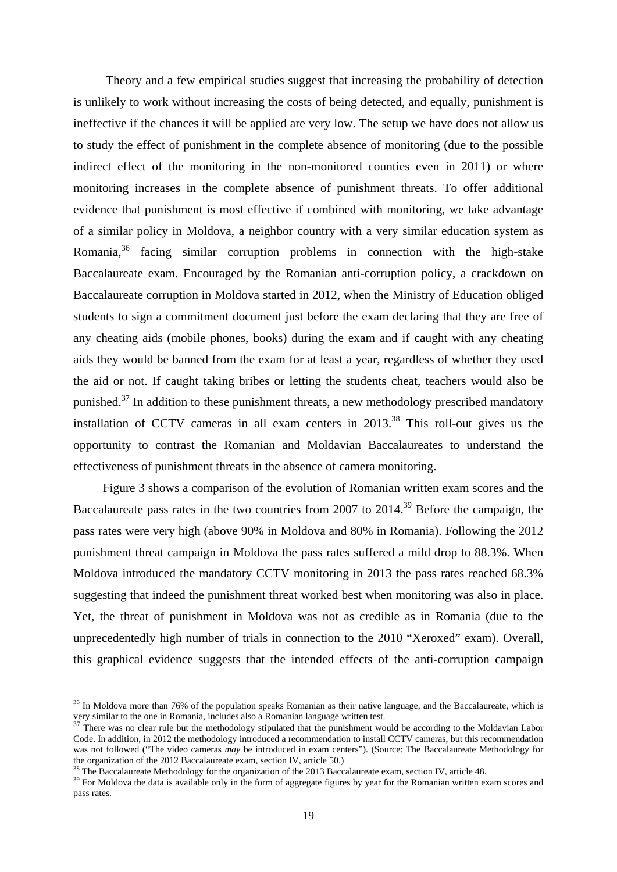Theory and a few empirical studies suggest that increasing the probability of detection is unlikely to work without increasing the costs of being detected, and equally, punishment is ineffective if the chances it will be applied are very low. The setup we have does not allow us to study the effect of punishment in the complete absence of monitoring (due to the possible indirect effect of the monitoring in the non-monitored counties even in 2011) or where monitoring increases in the complete absence of punishment threats. To offer additional evidence that punishment is most effective if combined with monitoring, we take advantage of a similar policy in Moldova, a neighbor country with a very similar education system as Romania,36 facing similar corruption problems in connection with the high-stake Baccalaureate exam. Encouraged by the Romanian anti-corruption policy, a crackdown on Baccalaureate corruption in Moldova started in 2012, when the Ministry of Education obliged students to sign a commitment document just before the exam declaring that they are free of any cheating aids (mobile phones, books) during the exam and if caught with any cheating aids they would be banned from the exam for at least a year, regardless of whether they used the aid or not. If caught taking bribes or letting the students cheat, teachers would also be punished.<sup>37</sup> In addition to these punishment threats, a new methodology prescribed mandatory installation of CCTV cameras in all exam centers in  $2013$ <sup>38</sup>. This roll-out gives us the opportunity to contrast the Romanian and Moldavian Baccalaureates to understand the effectiveness of punishment threats in the absence of camera monitoring.

Figure 3 shows a comparison of the evolution of Romanian written exam scores and the Baccalaureate pass rates in the two countries from 2007 to 2014.<sup>39</sup> Before the campaign, the pass rates were very high (above 90% in Moldova and 80% in Romania). Following the 2012 punishment threat campaign in Moldova the pass rates suffered a mild drop to 88.3%. When Moldova introduced the mandatory CCTV monitoring in 2013 the pass rates reached 68.3% suggesting that indeed the punishment threat worked best when monitoring was also in place. Yet, the threat of punishment in Moldova was not as credible as in Romania (due to the unprecedentedly high number of trials in connection to the 2010 "Xeroxed" exam). Overall, this graphical evidence suggests that the intended effects of the anti-corruption campaign

<sup>&</sup>lt;sup>36</sup> In Moldova more than 76% of the population speaks Romanian as their native language, and the Baccalaureate, which is very similar to the one in Romania, includes also a Romanian language written test.<br><sup>37</sup> There was no clear rule but the methodology stipulated that the punishment would be according to the Moldavian Labor

Code. In addition, in 2012 the methodology introduced a recommendation to install CCTV cameras, but this recommendation was not followed ("The video cameras *may* be introduced in exam centers"). (Source: The Baccalaureate Methodology for the organization of the 2012 Baccalaureate exam, section IV, article 50.)

<sup>&</sup>lt;sup>38</sup> The Baccalaureate Methodology for the organization of the 2013 Baccalaureate exam, section IV, article 48.<br><sup>39</sup> For Moldova the data is available only in the form of aggregate figures by year for the Romanian written pass rates.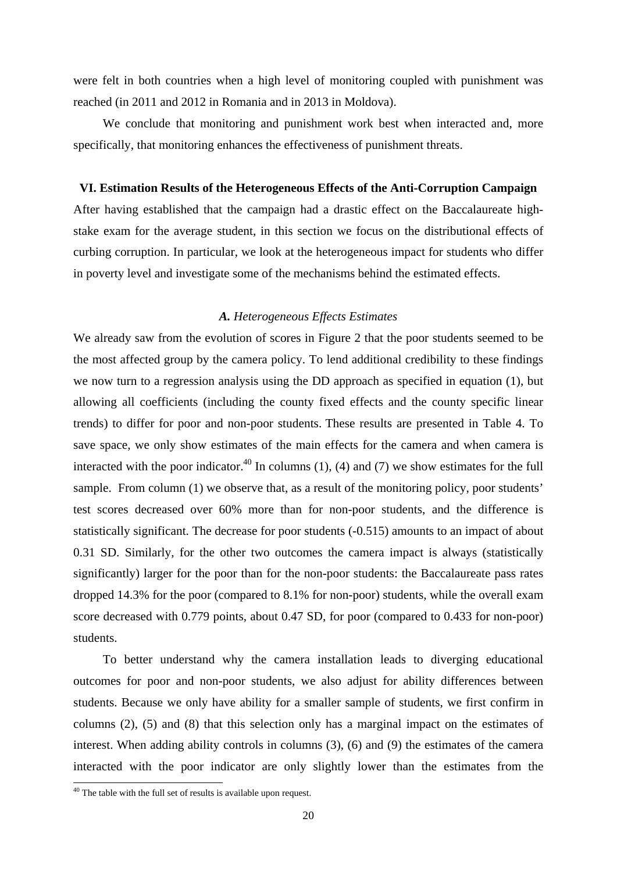were felt in both countries when a high level of monitoring coupled with punishment was reached (in 2011 and 2012 in Romania and in 2013 in Moldova).

We conclude that monitoring and punishment work best when interacted and, more specifically, that monitoring enhances the effectiveness of punishment threats.

### **VI. Estimation Results of the Heterogeneous Effects of the Anti-Corruption Campaign**

After having established that the campaign had a drastic effect on the Baccalaureate highstake exam for the average student, in this section we focus on the distributional effects of curbing corruption. In particular, we look at the heterogeneous impact for students who differ in poverty level and investigate some of the mechanisms behind the estimated effects.

### *A. Heterogeneous Effects Estimates*

We already saw from the evolution of scores in Figure 2 that the poor students seemed to be the most affected group by the camera policy. To lend additional credibility to these findings we now turn to a regression analysis using the DD approach as specified in equation (1), but allowing all coefficients (including the county fixed effects and the county specific linear trends) to differ for poor and non-poor students. These results are presented in Table 4. To save space, we only show estimates of the main effects for the camera and when camera is interacted with the poor indicator.<sup>40</sup> In columns (1), (4) and (7) we show estimates for the full sample. From column (1) we observe that, as a result of the monitoring policy, poor students' test scores decreased over 60% more than for non-poor students, and the difference is statistically significant. The decrease for poor students (-0.515) amounts to an impact of about 0.31 SD. Similarly, for the other two outcomes the camera impact is always (statistically significantly) larger for the poor than for the non-poor students: the Baccalaureate pass rates dropped 14.3% for the poor (compared to 8.1% for non-poor) students, while the overall exam score decreased with 0.779 points, about 0.47 SD, for poor (compared to 0.433 for non-poor) students.

To better understand why the camera installation leads to diverging educational outcomes for poor and non-poor students, we also adjust for ability differences between students. Because we only have ability for a smaller sample of students, we first confirm in columns (2), (5) and (8) that this selection only has a marginal impact on the estimates of interest. When adding ability controls in columns (3), (6) and (9) the estimates of the camera interacted with the poor indicator are only slightly lower than the estimates from the

-

 $40$  The table with the full set of results is available upon request.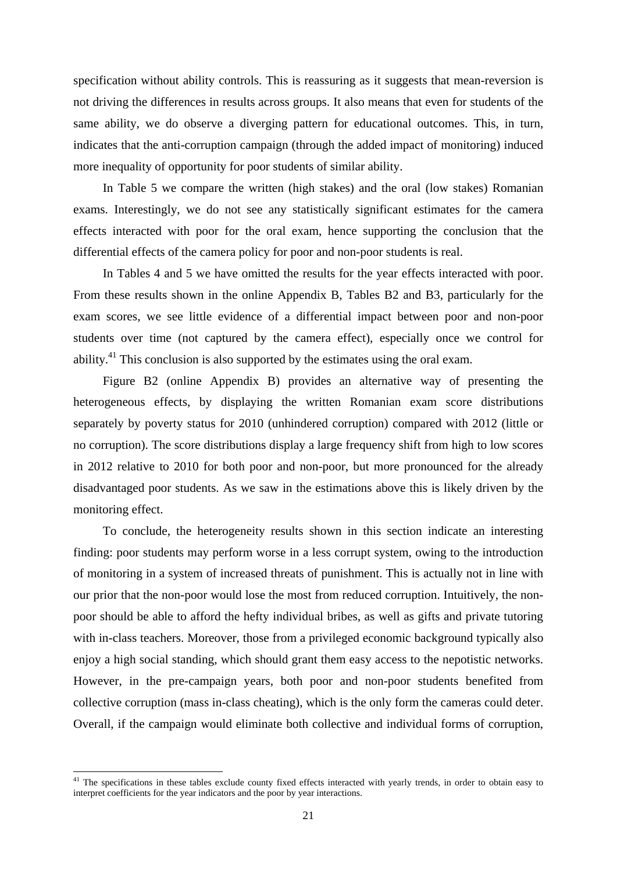specification without ability controls. This is reassuring as it suggests that mean-reversion is not driving the differences in results across groups. It also means that even for students of the same ability, we do observe a diverging pattern for educational outcomes. This, in turn, indicates that the anti-corruption campaign (through the added impact of monitoring) induced more inequality of opportunity for poor students of similar ability.

In Table 5 we compare the written (high stakes) and the oral (low stakes) Romanian exams. Interestingly, we do not see any statistically significant estimates for the camera effects interacted with poor for the oral exam, hence supporting the conclusion that the differential effects of the camera policy for poor and non-poor students is real.

In Tables 4 and 5 we have omitted the results for the year effects interacted with poor. From these results shown in the online Appendix B, Tables B2 and B3, particularly for the exam scores, we see little evidence of a differential impact between poor and non-poor students over time (not captured by the camera effect), especially once we control for ability.<sup>41</sup> This conclusion is also supported by the estimates using the oral exam.

Figure B2 (online Appendix B) provides an alternative way of presenting the heterogeneous effects, by displaying the written Romanian exam score distributions separately by poverty status for 2010 (unhindered corruption) compared with 2012 (little or no corruption). The score distributions display a large frequency shift from high to low scores in 2012 relative to 2010 for both poor and non-poor, but more pronounced for the already disadvantaged poor students. As we saw in the estimations above this is likely driven by the monitoring effect.

To conclude, the heterogeneity results shown in this section indicate an interesting finding: poor students may perform worse in a less corrupt system, owing to the introduction of monitoring in a system of increased threats of punishment. This is actually not in line with our prior that the non-poor would lose the most from reduced corruption. Intuitively, the nonpoor should be able to afford the hefty individual bribes, as well as gifts and private tutoring with in-class teachers. Moreover, those from a privileged economic background typically also enjoy a high social standing, which should grant them easy access to the nepotistic networks. However, in the pre-campaign years, both poor and non-poor students benefited from collective corruption (mass in-class cheating), which is the only form the cameras could deter. Overall, if the campaign would eliminate both collective and individual forms of corruption,

<sup>&</sup>lt;sup>41</sup> The specifications in these tables exclude county fixed effects interacted with yearly trends, in order to obtain easy to interpret coefficients for the year indicators and the poor by year interactions.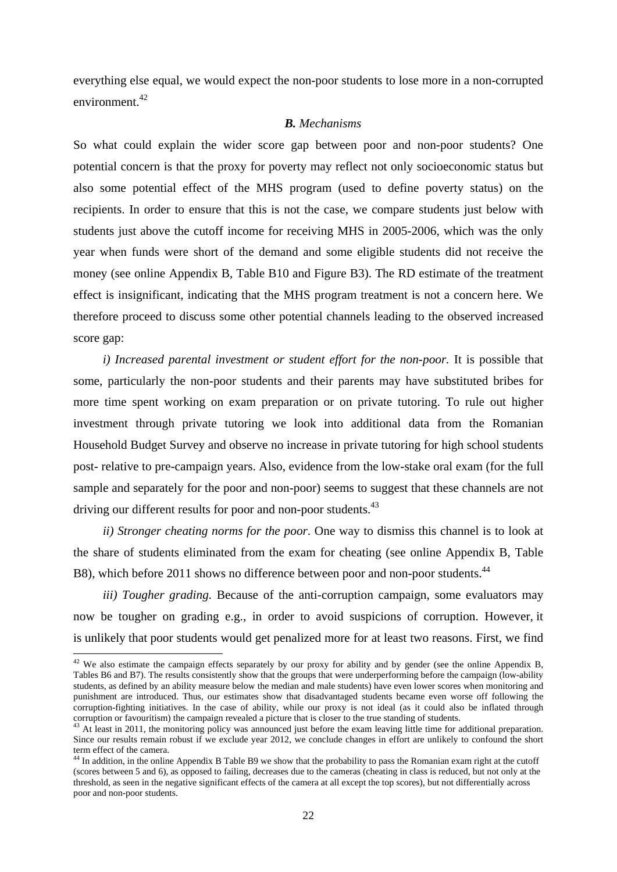everything else equal, we would expect the non-poor students to lose more in a non-corrupted environment.42

### *B. Mechanisms*

So what could explain the wider score gap between poor and non-poor students? One potential concern is that the proxy for poverty may reflect not only socioeconomic status but also some potential effect of the MHS program (used to define poverty status) on the recipients. In order to ensure that this is not the case, we compare students just below with students just above the cutoff income for receiving MHS in 2005-2006, which was the only year when funds were short of the demand and some eligible students did not receive the money (see online Appendix B, Table B10 and Figure B3). The RD estimate of the treatment effect is insignificant, indicating that the MHS program treatment is not a concern here. We therefore proceed to discuss some other potential channels leading to the observed increased score gap:

*i)* Increased parental investment or student effort for the non-poor. It is possible that some, particularly the non-poor students and their parents may have substituted bribes for more time spent working on exam preparation or on private tutoring. To rule out higher investment through private tutoring we look into additional data from the Romanian Household Budget Survey and observe no increase in private tutoring for high school students post- relative to pre-campaign years. Also, evidence from the low-stake oral exam (for the full sample and separately for the poor and non-poor) seems to suggest that these channels are not driving our different results for poor and non-poor students.<sup>43</sup>

*ii) Stronger cheating norms for the poor*. One way to dismiss this channel is to look at the share of students eliminated from the exam for cheating (see online Appendix B, Table B8), which before 2011 shows no difference between poor and non-poor students.<sup>44</sup>

*iii) Tougher grading.* Because of the anti-corruption campaign, some evaluators may now be tougher on grading e.g., in order to avoid suspicions of corruption. However, it is unlikely that poor students would get penalized more for at least two reasons. First, we find

 $42$  We also estimate the campaign effects separately by our proxy for ability and by gender (see the online Appendix B, Tables B6 and B7). The results consistently show that the groups that were underperforming before the campaign (low-ability students, as defined by an ability measure below the median and male students) have even lower scores when monitoring and punishment are introduced. Thus, our estimates show that disadvantaged students became even worse off following the corruption-fighting initiatives. In the case of ability, while our proxy is not ideal (as it could also be inflated through corruption or favouritism) the campaign revealed a picture that is closer to the true standing of students.<br><sup>43</sup> At least in 2011, the monitoring policy was announced just before the exam leaving little time for additional

Since our results remain robust if we exclude year 2012, we conclude changes in effort are unlikely to confound the short term effect of the camera.

<sup>&</sup>lt;sup>44</sup> In addition, in the online Appendix B Table B9 we show that the probability to pass the Romanian exam right at the cutoff (scores between 5 and 6), as opposed to failing, decreases due to the cameras (cheating in class is reduced, but not only at the threshold, as seen in the negative significant effects of the camera at all except the top scores), but not differentially across poor and non-poor students.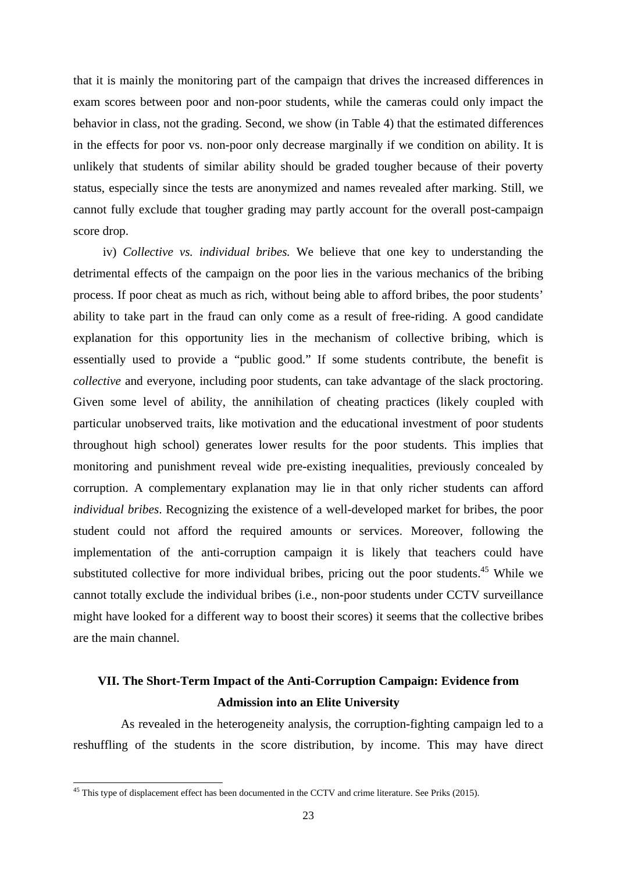that it is mainly the monitoring part of the campaign that drives the increased differences in exam scores between poor and non-poor students, while the cameras could only impact the behavior in class, not the grading. Second, we show (in Table 4) that the estimated differences in the effects for poor vs. non-poor only decrease marginally if we condition on ability. It is unlikely that students of similar ability should be graded tougher because of their poverty status, especially since the tests are anonymized and names revealed after marking. Still, we cannot fully exclude that tougher grading may partly account for the overall post-campaign score drop.

iv) *Collective vs. individual bribes.* We believe that one key to understanding the detrimental effects of the campaign on the poor lies in the various mechanics of the bribing process. If poor cheat as much as rich, without being able to afford bribes, the poor students' ability to take part in the fraud can only come as a result of free-riding. A good candidate explanation for this opportunity lies in the mechanism of collective bribing, which is essentially used to provide a "public good." If some students contribute, the benefit is *collective* and everyone, including poor students, can take advantage of the slack proctoring. Given some level of ability, the annihilation of cheating practices (likely coupled with particular unobserved traits, like motivation and the educational investment of poor students throughout high school) generates lower results for the poor students. This implies that monitoring and punishment reveal wide pre-existing inequalities, previously concealed by corruption. A complementary explanation may lie in that only richer students can afford *individual bribes*. Recognizing the existence of a well-developed market for bribes, the poor student could not afford the required amounts or services. Moreover, following the implementation of the anti-corruption campaign it is likely that teachers could have substituted collective for more individual bribes, pricing out the poor students.<sup>45</sup> While we cannot totally exclude the individual bribes (i.e., non-poor students under CCTV surveillance might have looked for a different way to boost their scores) it seems that the collective bribes are the main channel.

### **VII. The Short-Term Impact of the Anti-Corruption Campaign: Evidence from Admission into an Elite University**

 As revealed in the heterogeneity analysis, the corruption-fighting campaign led to a reshuffling of the students in the score distribution, by income. This may have direct

-

<sup>&</sup>lt;sup>45</sup> This type of displacement effect has been documented in the CCTV and crime literature. See Priks (2015).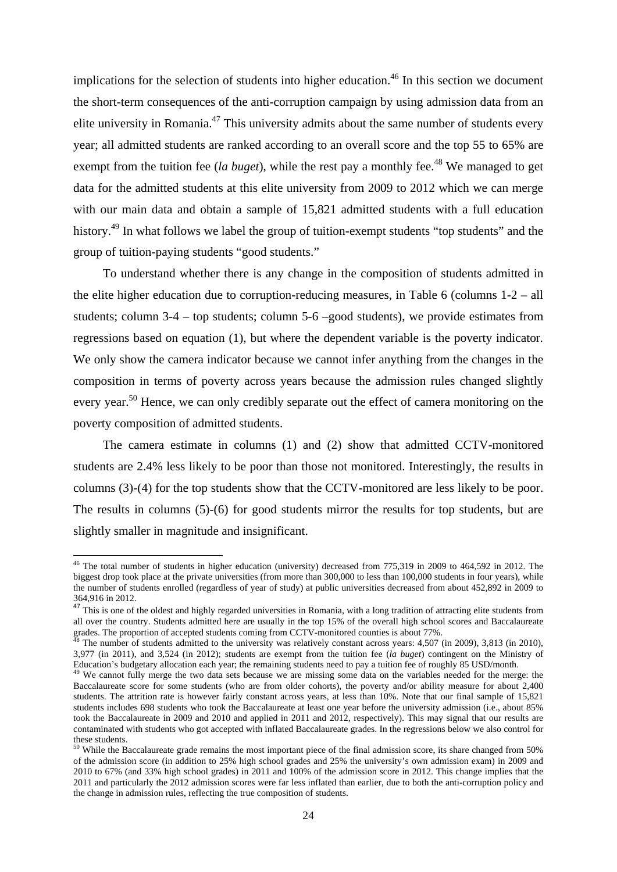implications for the selection of students into higher education.<sup>46</sup> In this section we document the short-term consequences of the anti-corruption campaign by using admission data from an elite university in Romania.<sup>47</sup> This university admits about the same number of students every year; all admitted students are ranked according to an overall score and the top 55 to 65% are exempt from the tuition fee (*la buget*), while the rest pay a monthly fee.<sup>48</sup> We managed to get data for the admitted students at this elite university from 2009 to 2012 which we can merge with our main data and obtain a sample of 15,821 admitted students with a full education history.<sup>49</sup> In what follows we label the group of tuition-exempt students "top students" and the group of tuition-paying students "good students."

To understand whether there is any change in the composition of students admitted in the elite higher education due to corruption-reducing measures, in Table 6 (columns 1-2 – all students; column  $3-4$  – top students; column  $5-6$  –good students), we provide estimates from regressions based on equation (1), but where the dependent variable is the poverty indicator*.* We only show the camera indicator because we cannot infer anything from the changes in the composition in terms of poverty across years because the admission rules changed slightly every year.<sup>50</sup> Hence, we can only credibly separate out the effect of camera monitoring on the poverty composition of admitted students.

The camera estimate in columns (1) and (2) show that admitted CCTV-monitored students are 2.4% less likely to be poor than those not monitored. Interestingly, the results in columns (3)-(4) for the top students show that the CCTV-monitored are less likely to be poor. The results in columns (5)-(6) for good students mirror the results for top students, but are slightly smaller in magnitude and insignificant.

 $46$  The total number of students in higher education (university) decreased from 775,319 in 2009 to 464,592 in 2012. The biggest drop took place at the private universities (from more than 300,000 to less than 100,000 students in four years), while the number of students enrolled (regardless of year of study) at public universities decreased from about 452,892 in 2009 to 364,916 in 2012.

<sup>&</sup>lt;sup>47</sup> This is one of the oldest and highly regarded universities in Romania, with a long tradition of attracting elite students from all over the country. Students admitted here are usually in the top 15% of the overall high school scores and Baccalaureate grades. The proportion of accepted students coming from CCTV-monitored counties is about 77%.

 $8\text{ The number of students admitted to the university was relatively constant across years: } 4,507 \text{ (in } 2009)$ , 3,813 (in 2010), 3,977 (in 2011), and 3,524 (in 2012); students are exempt from the tuition fee (*la buget*) contingent on the Ministry of

<sup>&</sup>lt;sup>49</sup> We cannot fully merge the two data sets because we are missing some data on the variables needed for the merge: the Baccalaureate score for some students (who are from older cohorts), the poverty and/or ability measure for about 2,400 students. The attrition rate is however fairly constant across years, at less than 10%. Note that our final sample of 15,821 students includes 698 students who took the Baccalaureate at least one year before the university admission (i.e., about 85% took the Baccalaureate in 2009 and 2010 and applied in 2011 and 2012, respectively). This may signal that our results are contaminated with students who got accepted with inflated Baccalaureate grades. In the regressions below we also control for these students.

<sup>&</sup>lt;sup>50</sup> While the Baccalaureate grade remains the most important piece of the final admission score, its share changed from 50% of the admission score (in addition to 25% high school grades and 25% the university's own admission exam) in 2009 and 2010 to 67% (and 33% high school grades) in 2011 and 100% of the admission score in 2012. This change implies that the 2011 and particularly the 2012 admission scores were far less inflated than earlier, due to both the anti-corruption policy and the change in admission rules, reflecting the true composition of students.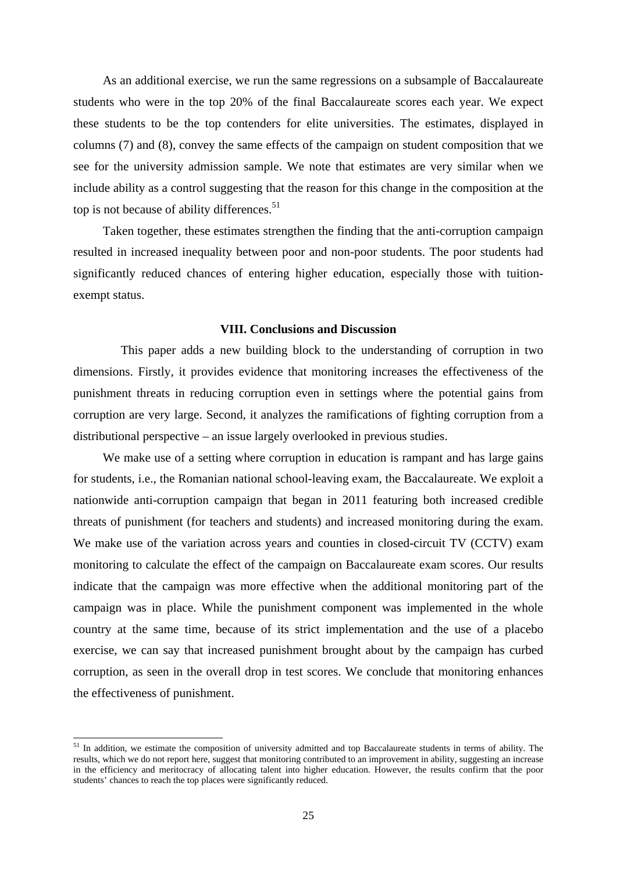As an additional exercise, we run the same regressions on a subsample of Baccalaureate students who were in the top 20% of the final Baccalaureate scores each year. We expect these students to be the top contenders for elite universities. The estimates, displayed in columns (7) and (8), convey the same effects of the campaign on student composition that we see for the university admission sample. We note that estimates are very similar when we include ability as a control suggesting that the reason for this change in the composition at the top is not because of ability differences.<sup>51</sup>

Taken together, these estimates strengthen the finding that the anti-corruption campaign resulted in increased inequality between poor and non-poor students. The poor students had significantly reduced chances of entering higher education, especially those with tuitionexempt status.

#### **VIII. Conclusions and Discussion**

 This paper adds a new building block to the understanding of corruption in two dimensions. Firstly, it provides evidence that monitoring increases the effectiveness of the punishment threats in reducing corruption even in settings where the potential gains from corruption are very large. Second, it analyzes the ramifications of fighting corruption from a distributional perspective – an issue largely overlooked in previous studies.

We make use of a setting where corruption in education is rampant and has large gains for students, i.e., the Romanian national school-leaving exam, the Baccalaureate. We exploit a nationwide anti-corruption campaign that began in 2011 featuring both increased credible threats of punishment (for teachers and students) and increased monitoring during the exam. We make use of the variation across years and counties in closed-circuit TV (CCTV) exam monitoring to calculate the effect of the campaign on Baccalaureate exam scores. Our results indicate that the campaign was more effective when the additional monitoring part of the campaign was in place. While the punishment component was implemented in the whole country at the same time, because of its strict implementation and the use of a placebo exercise, we can say that increased punishment brought about by the campaign has curbed corruption, as seen in the overall drop in test scores. We conclude that monitoring enhances the effectiveness of punishment.

<sup>&</sup>lt;sup>51</sup> In addition, we estimate the composition of university admitted and top Baccalaureate students in terms of ability. The results, which we do not report here, suggest that monitoring contributed to an improvement in ability, suggesting an increase in the efficiency and meritocracy of allocating talent into higher education. However, the results confirm that the poor students' chances to reach the top places were significantly reduced.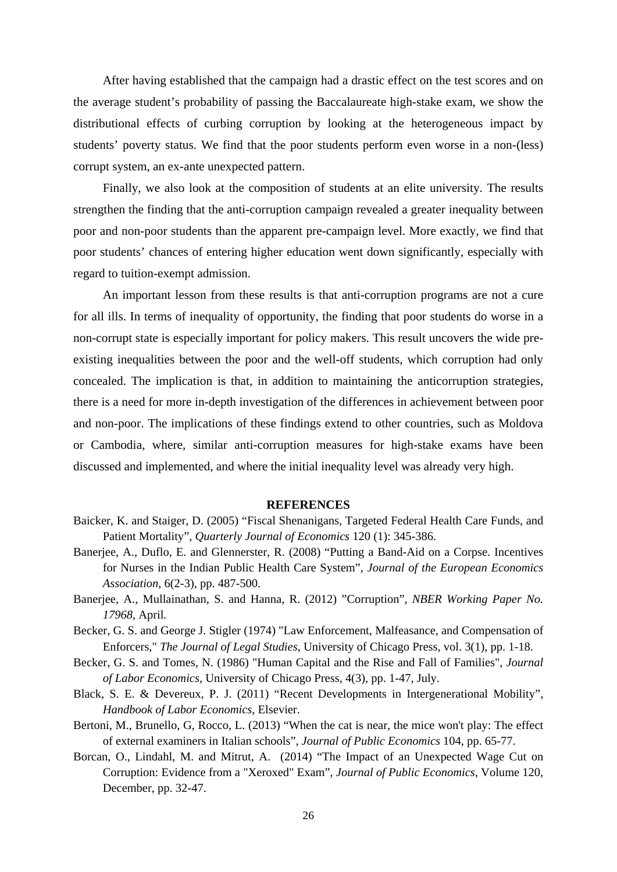After having established that the campaign had a drastic effect on the test scores and on the average student's probability of passing the Baccalaureate high-stake exam, we show the distributional effects of curbing corruption by looking at the heterogeneous impact by students' poverty status. We find that the poor students perform even worse in a non-(less) corrupt system, an ex-ante unexpected pattern.

Finally, we also look at the composition of students at an elite university. The results strengthen the finding that the anti-corruption campaign revealed a greater inequality between poor and non-poor students than the apparent pre-campaign level. More exactly, we find that poor students' chances of entering higher education went down significantly, especially with regard to tuition-exempt admission.

An important lesson from these results is that anti-corruption programs are not a cure for all ills. In terms of inequality of opportunity, the finding that poor students do worse in a non-corrupt state is especially important for policy makers. This result uncovers the wide preexisting inequalities between the poor and the well-off students, which corruption had only concealed. The implication is that, in addition to maintaining the anticorruption strategies, there is a need for more in-depth investigation of the differences in achievement between poor and non-poor. The implications of these findings extend to other countries, such as Moldova or Cambodia, where, similar anti-corruption measures for high-stake exams have been discussed and implemented, and where the initial inequality level was already very high.

### **REFERENCES**

- Baicker, K. and Staiger, D. (2005) "Fiscal Shenanigans, Targeted Federal Health Care Funds, and Patient Mortality", *Quarterly Journal of Economics* 120 (1): 345-386.
- Banerjee, A., Duflo, E. and Glennerster, R. (2008) "Putting a Band-Aid on a Corpse. Incentives for Nurses in the Indian Public Health Care System", *Journal of the European Economics Association*, 6(2-3), pp. 487-500.
- Banerjee, A., Mullainathan, S. and Hanna, R. (2012) "Corruption", *NBER Working Paper No. 17968,* April*.*
- Becker, G. S. and George J. Stigler (1974) "Law Enforcement, Malfeasance, and Compensation of Enforcers," *The Journal of Legal Studies*, University of Chicago Press, vol. 3(1), pp. 1-18.
- Becker, G. S. and Tomes, N. (1986) "Human Capital and the Rise and Fall of Families", *Journal of Labor Economics*, University of Chicago Press, 4(3), pp. 1-47, July.
- Black, S. E. & Devereux, P. J. (2011) "Recent Developments in Intergenerational Mobility", *Handbook of Labor Economics*, Elsevier.
- Bertoni, M., Brunello, G, Rocco, L. (2013) "When the cat is near, the mice won't play: The effect of external examiners in Italian schools", *Journal of Public Economics* 104, pp. 65-77.
- Borcan, O., Lindahl, M. and Mitrut, A. (2014) "The Impact of an Unexpected Wage Cut on Corruption: Evidence from a "Xeroxed" Exam", *Journal of Public Economics,* Volume 120, December, pp. 32-47.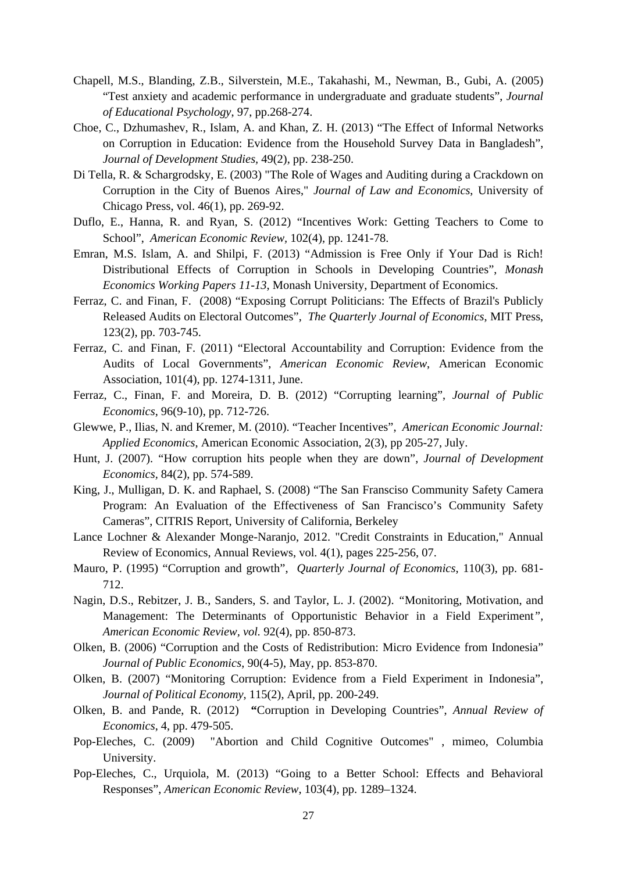- Chapell, M.S., Blanding, Z.B., Silverstein, M.E., Takahashi, M., Newman, B., Gubi, A. (2005) "Test anxiety and academic performance in undergraduate and graduate students", *Journal of Educational Psychology*, 97, pp.268-274.
- Choe, C., Dzhumashev, R., Islam, A. and Khan, Z. H. (2013) "The Effect of Informal Networks on Corruption in Education: Evidence from the Household Survey Data in Bangladesh", *Journal of Development Studies,* 49(2), pp. 238-250.
- Di Tella, R. & Schargrodsky, E. (2003) "The Role of Wages and Auditing during a Crackdown on Corruption in the City of Buenos Aires," *Journal of Law and Economics*, University of Chicago Press, vol. 46(1), pp. 269-92.
- Duflo, E., Hanna, R. and Ryan, S. (2012) "Incentives Work: Getting Teachers to Come to School", *American Economic Review,* 102(4), pp. 1241-78.
- Emran, M.S. Islam, A. and Shilpi, F. (2013) "Admission is Free Only if Your Dad is Rich! Distributional Effects of Corruption in Schools in Developing Countries", *Monash Economics Working Papers 11-13*, Monash University, Department of Economics.
- Ferraz, C. and Finan, F. (2008) "Exposing Corrupt Politicians: The Effects of Brazil's Publicly Released Audits on Electoral Outcomes", *The Quarterly Journal of Economics*, MIT Press, 123(2), pp. 703-745.
- Ferraz, C. and Finan, F. (2011) "Electoral Accountability and Corruption: Evidence from the Audits of Local Governments", *American Economic Review*, American Economic Association, 101(4), pp. 1274-1311, June.
- Ferraz, C., Finan, F. and Moreira, D. B. (2012) "Corrupting learning", *Journal of Public Economics*, 96(9-10), pp. 712-726.
- Glewwe, P., Ilias, N. and Kremer, M. (2010). "Teacher Incentives", *American Economic Journal: Applied Economics*, American Economic Association, 2(3), pp 205-27, July.
- Hunt, J. (2007). "How corruption hits people when they are down", *Journal of Development Economics,* 84(2), pp. 574-589.
- King, J., Mulligan, D. K. and Raphael, S. (2008) "The San Fransciso Community Safety Camera Program: An Evaluation of the Effectiveness of San Francisco's Community Safety Cameras", CITRIS Report, University of California, Berkeley
- Lance Lochner & Alexander Monge-Naranjo, 2012. "Credit Constraints in Education," Annual Review of Economics, Annual Reviews, vol. 4(1), pages 225-256, 07.
- Mauro, P. (1995) "Corruption and growth", *Quarterly Journal of Economics*, 110(3), pp. 681- 712.
- Nagin, D.S., Rebitzer, J. B., Sanders, S. and Taylor, L. J. (2002). *"*Monitoring, Motivation, and Management: The Determinants of Opportunistic Behavior in a Field Experiment*", American Economic Review, vol.* 92(4), pp. 850-873.
- Olken, B. (2006) "Corruption and the Costs of Redistribution: Micro Evidence from Indonesia" *Journal of Public Economics*, 90(4-5), May, pp. 853-870.
- Olken, B. (2007) "Monitoring Corruption: Evidence from a Field Experiment in Indonesia", *Journal of Political Economy*, 115(2), April, pp. 200-249.
- Olken, B. and Pande, R. (2012) **"**Corruption in Developing Countries", *Annual Review of Economics*, 4, pp. 479-505.
- Pop-Eleches, C. (2009) "Abortion and Child Cognitive Outcomes" , mimeo, Columbia University.
- Pop-Eleches, C., Urquiola, M. (2013) "Going to a Better School: Effects and Behavioral Responses", *American Economic Review*, 103(4), pp. 1289–1324.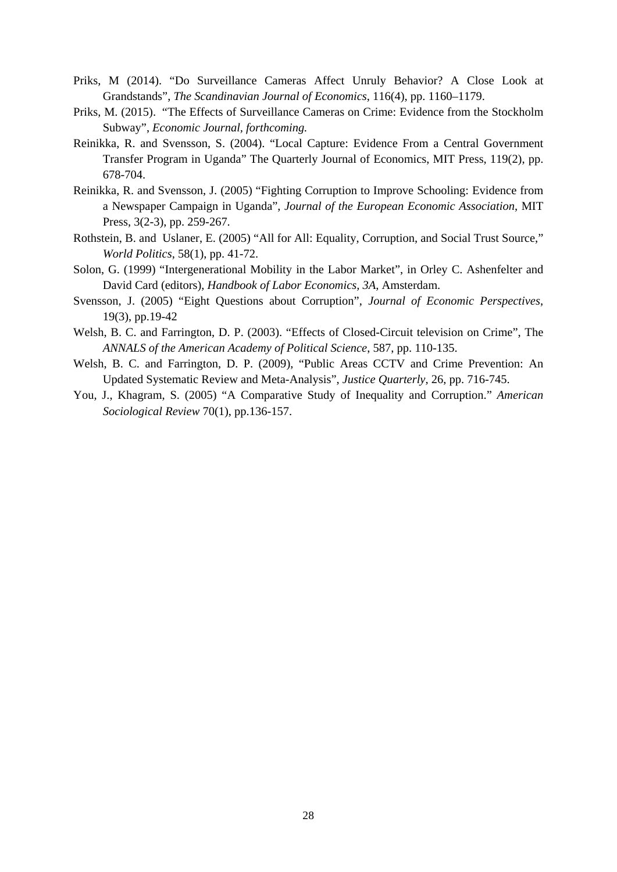- Priks, M (2014). "Do Surveillance Cameras Affect Unruly Behavior? A Close Look at Grandstands", *The Scandinavian Journal of Economics*, 116(4), pp. 1160–1179.
- Priks, M. (2015). "The Effects of Surveillance Cameras on Crime: Evidence from the Stockholm Subway", *Economic Journal, forthcoming.*
- Reinikka, R. and Svensson, S. (2004). "Local Capture: Evidence From a Central Government Transfer Program in Uganda" The Quarterly Journal of Economics, MIT Press, 119(2), pp. 678-704.
- Reinikka, R. and Svensson, J. (2005) "Fighting Corruption to Improve Schooling: Evidence from a Newspaper Campaign in Uganda", *Journal of the European Economic Association*, MIT Press, 3(2-3), pp. 259-267.
- Rothstein, B. and Uslaner, E. (2005) "All for All: Equality, Corruption, and Social Trust Source," *World Politics*, 58(1), pp. 41-72.
- Solon, G. (1999) "Intergenerational Mobility in the Labor Market", in Orley C. Ashenfelter and David Card (editors), *Handbook of Labor Economics, 3A*, Amsterdam.
- Svensson, J. (2005) "Eight Questions about Corruption", *Journal of Economic Perspectives*, 19(3), pp.19-42
- Welsh, B. C. and Farrington, D. P. (2003). "Effects of Closed-Circuit television on Crime", The *ANNALS of the American Academy of Political Science*, 587, pp. 110-135.
- Welsh, B. C. and Farrington, D. P. (2009), "Public Areas CCTV and Crime Prevention: An Updated Systematic Review and Meta-Analysis", *Justice Quarterly*, 26, pp. 716-745.
- You, J., Khagram, S. (2005) "A Comparative Study of Inequality and Corruption." *American Sociological Review* 70(1), pp.136-157.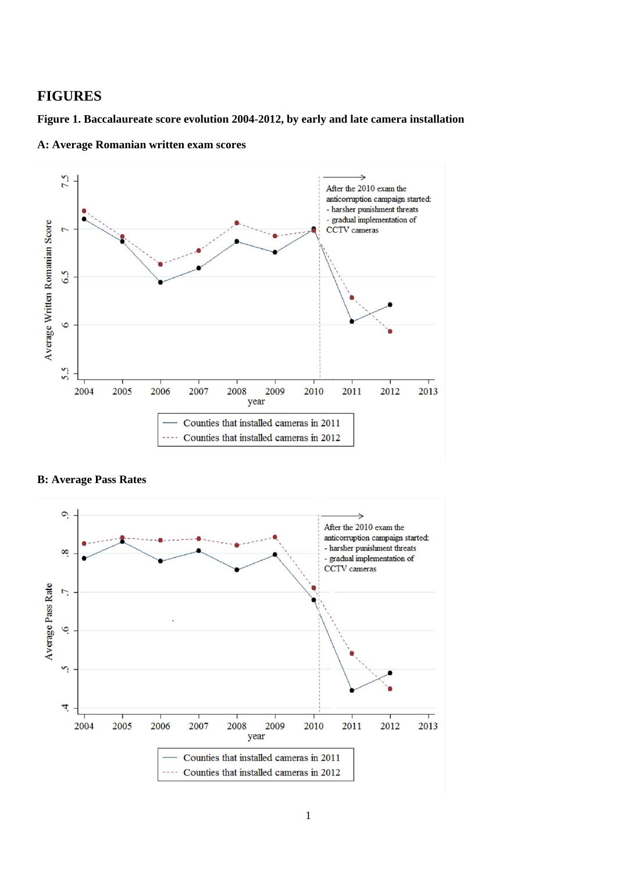### **FIGURES**

**Figure 1. Baccalaureate score evolution 2004-2012, by early and late camera installation** 



**A: Average Romanian written exam scores** 

**B: Average Pass Rates** 

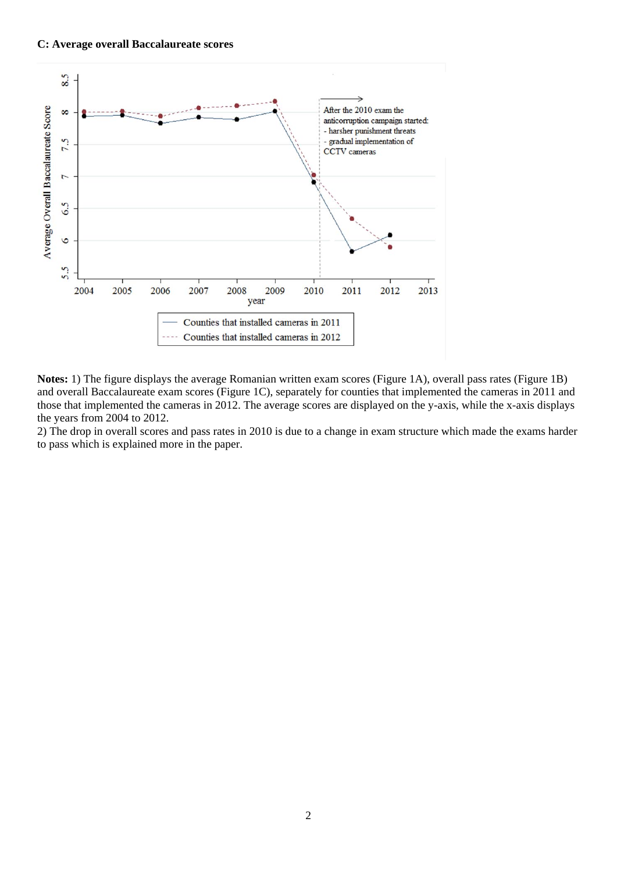

**Notes:** 1) The figure displays the average Romanian written exam scores (Figure 1A), overall pass rates (Figure 1B) and overall Baccalaureate exam scores (Figure 1C), separately for counties that implemented the cameras in 2011 and those that implemented the cameras in 2012. The average scores are displayed on the y-axis, while the x-axis displays the years from 2004 to 2012.

2) The drop in overall scores and pass rates in 2010 is due to a change in exam structure which made the exams harder to pass which is explained more in the paper.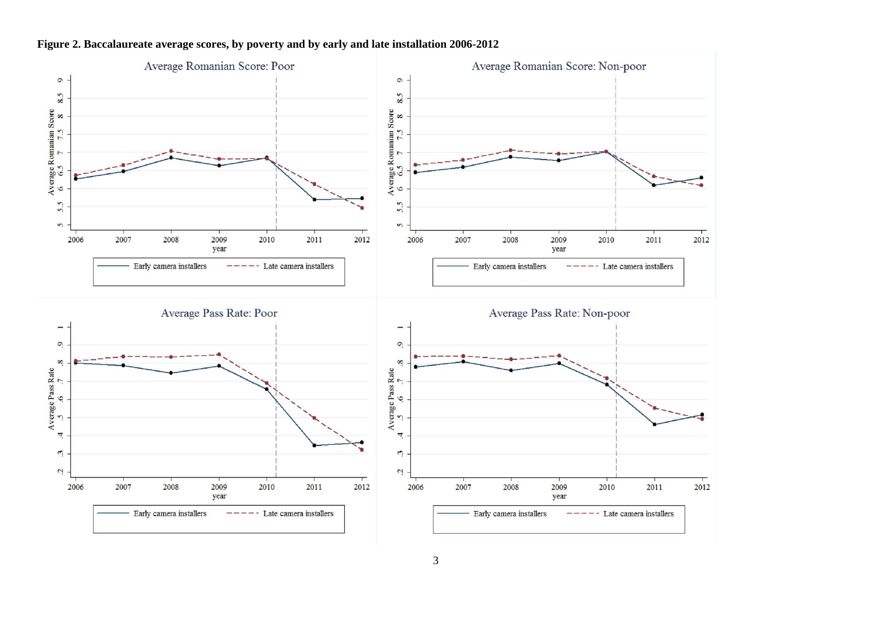

#### **Figure 2. Baccalaureate average scores, by poverty and by early and late installation 2006-2012**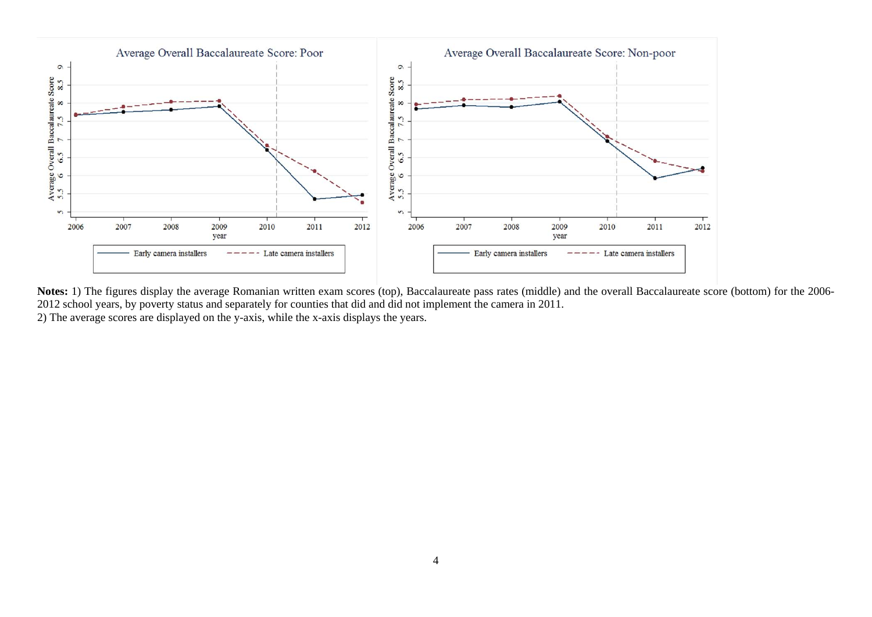

**Notes:** 1) The figures display the average Romanian written exam scores (top), Baccalaureate pass rates (middle) and the overall Baccalaureate score (bottom) for the 2006- 2012 school years, by poverty status and separately for counties that did and did not implement the camera in 2011. 2) The average scores are displayed on the y-axis, while the x-axis displays the years.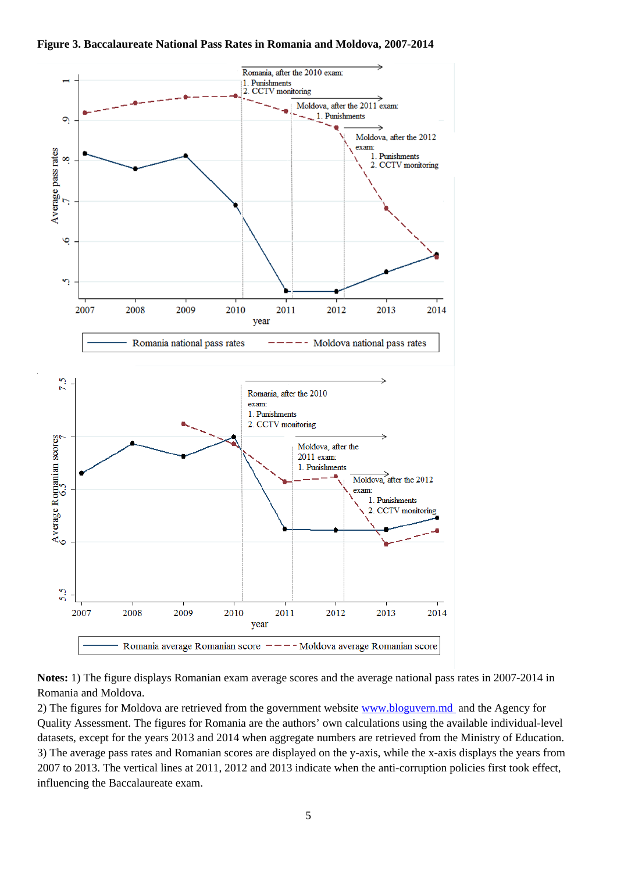

**Figure 3. Baccalaureate National Pass Rates in Romania and Moldova, 2007-2014**

**Notes:** 1) The figure displays Romanian exam average scores and the average national pass rates in 2007-2014 in Romania and Moldova.

2) The figures for Moldova are retrieved from the government website www.bloguvern.md and the Agency for Quality Assessment. The figures for Romania are the authors' own calculations using the available individual-level datasets, except for the years 2013 and 2014 when aggregate numbers are retrieved from the Ministry of Education. 3) The average pass rates and Romanian scores are displayed on the y-axis, while the x-axis displays the years from 2007 to 2013. The vertical lines at 2011, 2012 and 2013 indicate when the anti-corruption policies first took effect, influencing the Baccalaureate exam.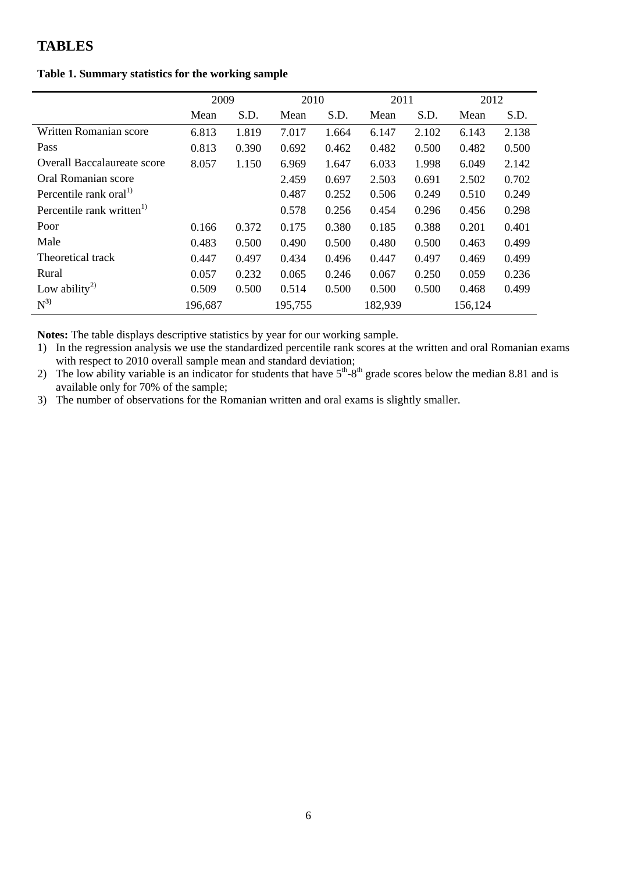### **TABLES**

### **Table 1. Summary statistics for the working sample**

|                                       | 2009    |       | 2010    |       | 2011    |       | 2012    |       |
|---------------------------------------|---------|-------|---------|-------|---------|-------|---------|-------|
|                                       | Mean    | S.D.  | Mean    | S.D.  | Mean    | S.D.  | Mean    | S.D.  |
| Written Romanian score                | 6.813   | 1.819 | 7.017   | 1.664 | 6.147   | 2.102 | 6.143   | 2.138 |
| Pass                                  | 0.813   | 0.390 | 0.692   | 0.462 | 0.482   | 0.500 | 0.482   | 0.500 |
| <b>Overall Baccalaureate score</b>    | 8.057   | 1.150 | 6.969   | 1.647 | 6.033   | 1.998 | 6.049   | 2.142 |
| Oral Romanian score                   |         |       | 2.459   | 0.697 | 2.503   | 0.691 | 2.502   | 0.702 |
| Percentile rank oral <sup>1)</sup>    |         |       | 0.487   | 0.252 | 0.506   | 0.249 | 0.510   | 0.249 |
| Percentile rank written <sup>1)</sup> |         |       | 0.578   | 0.256 | 0.454   | 0.296 | 0.456   | 0.298 |
| Poor                                  | 0.166   | 0.372 | 0.175   | 0.380 | 0.185   | 0.388 | 0.201   | 0.401 |
| Male                                  | 0.483   | 0.500 | 0.490   | 0.500 | 0.480   | 0.500 | 0.463   | 0.499 |
| Theoretical track                     | 0.447   | 0.497 | 0.434   | 0.496 | 0.447   | 0.497 | 0.469   | 0.499 |
| Rural                                 | 0.057   | 0.232 | 0.065   | 0.246 | 0.067   | 0.250 | 0.059   | 0.236 |
| Low ability <sup>2)</sup>             | 0.509   | 0.500 | 0.514   | 0.500 | 0.500   | 0.500 | 0.468   | 0.499 |
| $N^{3)}$                              | 196,687 |       | 195,755 |       | 182,939 |       | 156,124 |       |

**Notes:** The table displays descriptive statistics by year for our working sample.

1) In the regression analysis we use the standardized percentile rank scores at the written and oral Romanian exams with respect to 2010 overall sample mean and standard deviation;

2) The low ability variable is an indicator for students that have  $5<sup>th</sup>$ -8<sup>th</sup> grade scores below the median 8.81 and is available only for 70% of the sample;

3) The number of observations for the Romanian written and oral exams is slightly smaller.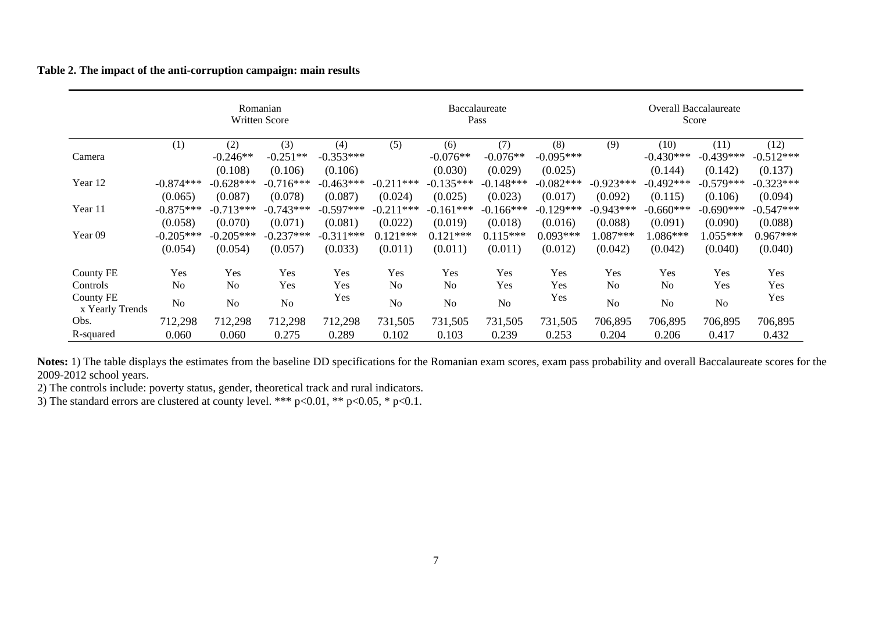**Table 2. The impact of the anti-corruption campaign: main results** 

|                              |                |                | Romanian<br><b>Written Score</b> |             |                |                | Baccalaureate<br>Pass |             |             |                | <b>Overall Baccalaureate</b><br>Score |             |
|------------------------------|----------------|----------------|----------------------------------|-------------|----------------|----------------|-----------------------|-------------|-------------|----------------|---------------------------------------|-------------|
|                              | (1)            | (2)            | (3)                              | (4)         | (5)            | (6)            | (7)                   | (8)         | (9)         | (10)           | (11)                                  | (12)        |
| Camera                       |                | $-0.246**$     | $-0.251**$                       | $-0.353***$ |                | $-0.076**$     | $-0.076**$            | $-0.095***$ |             | $-0.430***$    | $-0.439***$                           | $-0.512***$ |
|                              |                | (0.108)        | (0.106)                          | (0.106)     |                | (0.030)        | (0.029)               | (0.025)     |             | (0.144)        | (0.142)                               | (0.137)     |
| Year 12                      | $-0.874***$    | $-0.628***$    | $-0.716***$                      | $-0.463***$ | $-0.211***$    | $-0.135***$    | $-0.148***$           | $-0.082***$ | $-0.923***$ | $-0.492***$    | $-0.579***$                           | $-0.323***$ |
|                              | (0.065)        | (0.087)        | (0.078)                          | (0.087)     | (0.024)        | (0.025)        | (0.023)               | (0.017)     | (0.092)     | (0.115)        | (0.106)                               | (0.094)     |
| Year 11                      | $-0.875***$    | $-0.713***$    | $-0.743***$                      | $-0.597***$ | $-0.211***$    | $-0.161***$    | $-0.166$ ***          | $-0.129***$ | $-0.943***$ | $-0.660***$    | $-0.690***$                           | $-0.547***$ |
|                              | (0.058)        | (0.070)        | (0.071)                          | (0.081)     | (0.022)        | (0.019)        | (0.018)               | (0.016)     | (0.088)     | (0.091)        | (0.090)                               | (0.088)     |
| Year <sub>09</sub>           | $-0.205***$    | $-0.205***$    | $-0.237***$                      | $-0.311***$ | $0.121***$     | $0.121***$     | $0.115***$            | $0.093***$  | $0.087***$  | $1.086***$     | $1.055***$                            | $0.967***$  |
|                              | (0.054)        | (0.054)        | (0.057)                          | (0.033)     | (0.011)        | (0.011)        | (0.011)               | (0.012)     | (0.042)     | (0.042)        | (0.040)                               | (0.040)     |
| <b>County FE</b>             | Yes            | Yes            | Yes                              | Yes         | Yes            | Yes            | Yes                   | Yes         | Yes         | <b>Yes</b>     | <b>Yes</b>                            | Yes         |
| Controls                     | No             | N <sub>0</sub> | Yes                              | Yes         | N <sub>o</sub> | N <sub>o</sub> | Yes                   | Yes         | No          | No             | Yes                                   | Yes         |
| County FE<br>x Yearly Trends | N <sub>0</sub> | No             | N <sub>0</sub>                   | Yes         | N <sub>o</sub> | No             | No                    | Yes         | No          | N <sub>o</sub> | No                                    | Yes         |
| Obs.                         | 712,298        | 712,298        | 712,298                          | 712,298     | 731,505        | 731,505        | 731,505               | 731,505     | 706,895     | 706,895        | 706,895                               | 706,895     |
| R-squared                    | 0.060          | 0.060          | 0.275                            | 0.289       | 0.102          | 0.103          | 0.239                 | 0.253       | 0.204       | 0.206          | 0.417                                 | 0.432       |

**Notes:** 1) The table displays the estimates from the baseline DD specifications for the Romanian exam scores, exam pass probability and overall Baccalaureate scores for the 2009-2012 school years.

2) The controls include: poverty status, gender, theoretical track and rural indicators.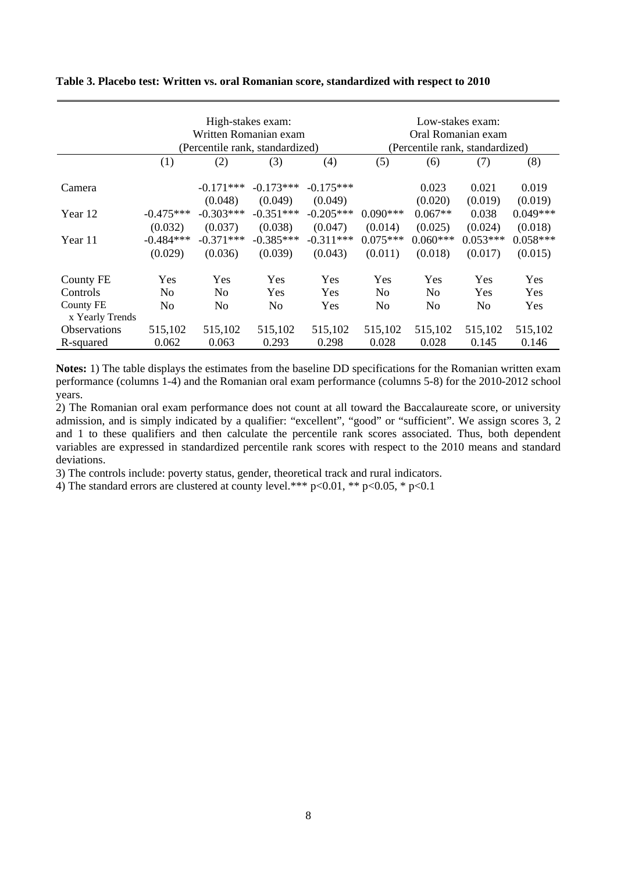|                              |                                   | Written Romanian exam<br>(Percentile rank, standardized) | High-stakes exam:                 | Low-stakes exam:<br>Oral Romanian exam<br>(Percentile rank, standardized) |                                  |                                  |                                  |                                  |
|------------------------------|-----------------------------------|----------------------------------------------------------|-----------------------------------|---------------------------------------------------------------------------|----------------------------------|----------------------------------|----------------------------------|----------------------------------|
|                              | (1)                               | (2)                                                      | (3)                               | (4)                                                                       | (5)                              | (6)                              | (7)                              | (8)                              |
| Camera                       |                                   | $-0.171***$<br>(0.048)                                   | $-0.173***$<br>(0.049)            | $-0.175***$<br>(0.049)                                                    |                                  | 0.023<br>(0.020)                 | 0.021<br>(0.019)                 | 0.019<br>(0.019)                 |
| Year 12                      | $-0.475***$                       | $-0.303***$                                              | $-0.351***$                       | $-0.205***$                                                               | $0.090***$                       | $0.067**$                        | 0.038                            | $0.049***$                       |
| Year 11                      | (0.032)<br>$-0.484***$<br>(0.029) | (0.037)<br>$-0.371***$<br>(0.036)                        | (0.038)<br>$-0.385***$<br>(0.039) | (0.047)<br>$-0.311***$<br>(0.043)                                         | (0.014)<br>$0.075***$<br>(0.011) | (0.025)<br>$0.060***$<br>(0.018) | (0.024)<br>$0.053***$<br>(0.017) | (0.018)<br>$0.058***$<br>(0.015) |
| <b>County FE</b>             | Yes                               | Yes                                                      | Yes                               | <b>Yes</b>                                                                | <b>Yes</b>                       | Yes                              | Yes                              | Yes                              |
| Controls                     | No                                | No                                                       | Yes                               | <b>Yes</b>                                                                | No                               | No                               | Yes                              | <b>Yes</b>                       |
| County FE<br>x Yearly Trends | No                                | No                                                       | No                                | Yes                                                                       | No                               | N <sub>0</sub>                   | No                               | Yes                              |
| <b>Observations</b>          | 515,102                           | 515,102                                                  | 515,102                           | 515,102                                                                   | 515,102                          | 515,102                          | 515,102                          | 515,102                          |
| R-squared                    | 0.062                             | 0.063                                                    | 0.293                             | 0.298                                                                     | 0.028                            | 0.028                            | 0.145                            | 0.146                            |

#### **Table 3. Placebo test: Written vs. oral Romanian score, standardized with respect to 2010**

**Notes:** 1) The table displays the estimates from the baseline DD specifications for the Romanian written exam performance (columns 1-4) and the Romanian oral exam performance (columns 5-8) for the 2010-2012 school years.

2) The Romanian oral exam performance does not count at all toward the Baccalaureate score, or university admission, and is simply indicated by a qualifier: "excellent", "good" or "sufficient". We assign scores 3, 2 and 1 to these qualifiers and then calculate the percentile rank scores associated. Thus, both dependent variables are expressed in standardized percentile rank scores with respect to the 2010 means and standard deviations.

3) The controls include: poverty status, gender, theoretical track and rural indicators.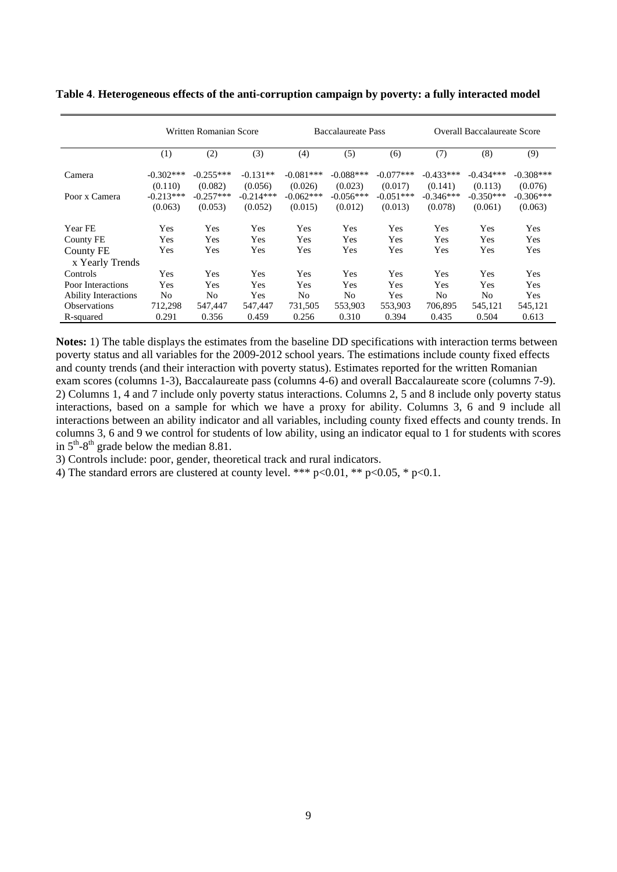|                             | Written Romanian Score |                |             | <b>Baccalaureate Pass</b> |             |             | <b>Overall Baccalaureate Score</b> |                |             |
|-----------------------------|------------------------|----------------|-------------|---------------------------|-------------|-------------|------------------------------------|----------------|-------------|
|                             | (1)                    | (2)            | (3)         | (4)                       | (5)         | (6)         | (7)                                | (8)            | (9)         |
| Camera                      | $-0.302***$            | $-0.255***$    | $-0.131**$  | $-0.081***$               | $-0.088***$ | $-0.077***$ | $-0.433***$                        | $-0.434***$    | $-0.308***$ |
|                             | (0.110)                | (0.082)        | (0.056)     | (0.026)                   | (0.023)     | (0.017)     | (0.141)                            | (0.113)        | (0.076)     |
| Poor x Camera               | $-0.213***$            | $-0.257***$    | $-0.214***$ | $-0.062***$               | $-0.056***$ | $-0.051***$ | $-0.346***$                        | $-0.350***$    | $-0.306***$ |
|                             | (0.063)                | (0.053)        | (0.052)     | (0.015)                   | (0.012)     | (0.013)     | (0.078)                            | (0.061)        | (0.063)     |
| Year FE                     | Yes                    | Yes            | Yes         | Yes                       | Yes         | Yes         | Yes                                | Yes            | Yes         |
| County FE                   | Yes                    | Yes            | Yes         | Yes                       | Yes         | Yes         | Yes                                | Yes            | Yes         |
| County FE                   | Yes                    | Yes            | Yes         | Yes                       | Yes         | Yes         | Yes                                | Yes            | Yes         |
| x Yearly Trends             |                        |                |             |                           |             |             |                                    |                |             |
| Controls                    | Yes                    | Yes            | Yes         | Yes                       | Yes         | Yes         | Yes                                | Yes            | Yes         |
| Poor Interactions           | Yes                    | Yes            | Yes         | Yes                       | Yes         | Yes         | Yes                                | Yes            | Yes         |
| <b>Ability Interactions</b> | No                     | N <sub>0</sub> | Yes         | N <sub>0</sub>            | No          | Yes         | No                                 | N <sub>0</sub> | Yes         |
| <b>Observations</b>         | 712,298                | 547,447        | 547.447     | 731,505                   | 553,903     | 553,903     | 706.895                            | 545,121        | 545,121     |
| R-squared                   | 0.291                  | 0.356          | 0.459       | 0.256                     | 0.310       | 0.394       | 0.435                              | 0.504          | 0.613       |

**Table 4**. **Heterogeneous effects of the anti-corruption campaign by poverty: a fully interacted model** 

**Notes:** 1) The table displays the estimates from the baseline DD specifications with interaction terms between poverty status and all variables for the 2009-2012 school years. The estimations include county fixed effects and county trends (and their interaction with poverty status). Estimates reported for the written Romanian exam scores (columns 1-3), Baccalaureate pass (columns 4-6) and overall Baccalaureate score (columns 7-9). 2) Columns 1, 4 and 7 include only poverty status interactions. Columns 2, 5 and 8 include only poverty status interactions, based on a sample for which we have a proxy for ability. Columns 3, 6 and 9 include all interactions between an ability indicator and all variables, including county fixed effects and county trends. In columns 3, 6 and 9 we control for students of low ability, using an indicator equal to 1 for students with scores in  $5<sup>th</sup> - 8<sup>th</sup>$  grade below the median 8.81.

3) Controls include: poor, gender, theoretical track and rural indicators.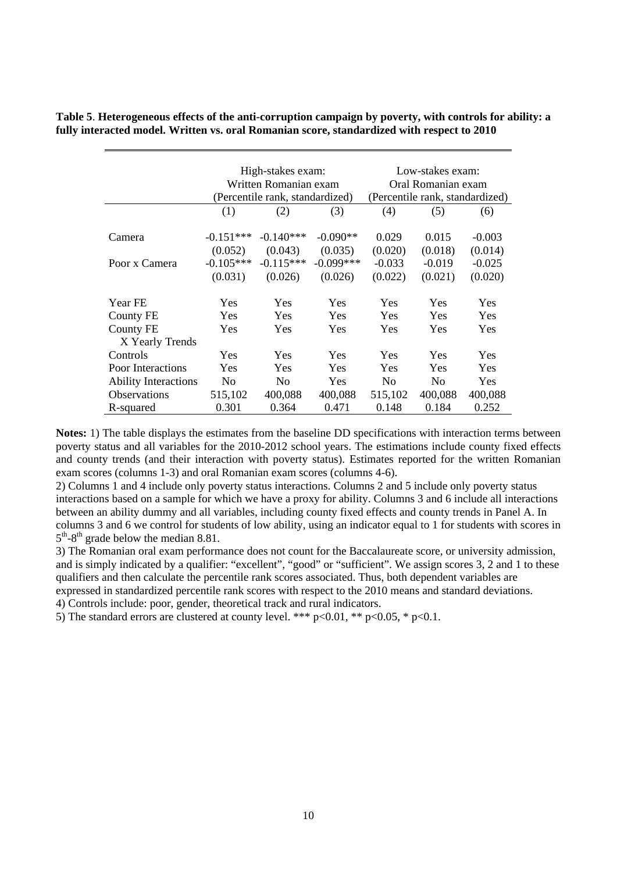| Table 5. Heterogeneous effects of the anti-corruption campaign by poverty, with controls for ability: a |  |
|---------------------------------------------------------------------------------------------------------|--|
| fully interacted model. Written vs. oral Romanian score, standardized with respect to 2010              |  |

|                                     |                        | High-stakes exam:<br>Written Romanian exam<br>(Percentile rank, standardized) |                        | Low-stakes exam:<br>Oral Romanian exam<br>(Percentile rank, standardized) |                     |                     |  |
|-------------------------------------|------------------------|-------------------------------------------------------------------------------|------------------------|---------------------------------------------------------------------------|---------------------|---------------------|--|
|                                     | (1)                    | (2)                                                                           | (3)                    | (4)                                                                       | (5)                 | (6)                 |  |
| Camera                              | $-0.151***$<br>(0.052) | $-0.140***$<br>(0.043)                                                        | $-0.090**$<br>(0.035)  | 0.029<br>(0.020)                                                          | 0.015<br>(0.018)    | $-0.003$<br>(0.014) |  |
| Poor x Camera                       | $-0.105***$<br>(0.031) | $-0.115***$<br>(0.026)                                                        | $-0.099***$<br>(0.026) | $-0.033$<br>(0.022)                                                       | $-0.019$<br>(0.021) | $-0.025$<br>(0.020) |  |
| <b>Year FE</b><br>County FE         | <b>Yes</b><br>Yes      | Yes<br>Yes                                                                    | Yes<br>Yes             | <b>Yes</b><br>Yes                                                         | Yes<br>Yes          | Yes<br>Yes          |  |
| <b>County FE</b><br>X Yearly Trends | <b>Yes</b>             | <b>Yes</b>                                                                    | Yes                    | <b>Yes</b>                                                                | Yes                 | <b>Yes</b>          |  |
| Controls                            | Yes                    | Yes                                                                           | Yes                    | <b>Yes</b>                                                                | Yes                 | Yes                 |  |
| Poor Interactions                   | <b>Yes</b>             | Yes                                                                           | Yes                    | <b>Yes</b>                                                                | Yes                 | Yes                 |  |
| <b>Ability Interactions</b>         | No                     | N <sub>0</sub>                                                                | Yes                    | No                                                                        | N <sub>0</sub>      | Yes                 |  |
| <b>Observations</b>                 | 515,102                | 400,088                                                                       | 400,088                | 515,102                                                                   | 400,088             | 400,088             |  |
| R-squared                           | 0.301                  | 0.364                                                                         | 0.471                  | 0.148                                                                     | 0.184               | 0.252               |  |

**Notes:** 1) The table displays the estimates from the baseline DD specifications with interaction terms between poverty status and all variables for the 2010-2012 school years. The estimations include county fixed effects and county trends (and their interaction with poverty status). Estimates reported for the written Romanian exam scores (columns 1-3) and oral Romanian exam scores (columns 4-6).

2) Columns 1 and 4 include only poverty status interactions. Columns 2 and 5 include only poverty status interactions based on a sample for which we have a proxy for ability. Columns 3 and 6 include all interactions between an ability dummy and all variables, including county fixed effects and county trends in Panel A. In columns 3 and 6 we control for students of low ability, using an indicator equal to 1 for students with scores in  $5<sup>th</sup>$ -8<sup>th</sup> grade below the median 8.81.

3) The Romanian oral exam performance does not count for the Baccalaureate score, or university admission, and is simply indicated by a qualifier: "excellent", "good" or "sufficient". We assign scores 3, 2 and 1 to these qualifiers and then calculate the percentile rank scores associated. Thus, both dependent variables are expressed in standardized percentile rank scores with respect to the 2010 means and standard deviations.

4) Controls include: poor, gender, theoretical track and rural indicators.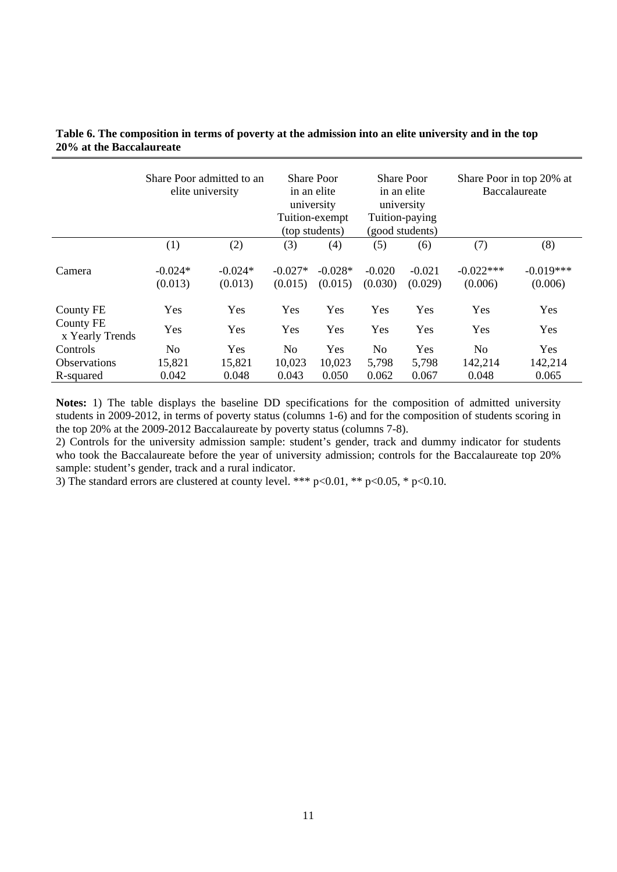|                              | Share Poor admitted to an<br>elite university |                      | <b>Share Poor</b><br>in an elite<br>university<br>Tuition-exempt<br>(top students) |                      | <b>Share Poor</b><br>in an elite<br>university<br>Tuition-paying<br>(good students) |                     | Share Poor in top 20% at<br>Baccalaureate |                        |
|------------------------------|-----------------------------------------------|----------------------|------------------------------------------------------------------------------------|----------------------|-------------------------------------------------------------------------------------|---------------------|-------------------------------------------|------------------------|
|                              | (1)                                           | (2)                  | (3)                                                                                | (4)                  | (5)                                                                                 | (6)                 | (7)                                       | (8)                    |
| Camera                       | $-0.024*$<br>(0.013)                          | $-0.024*$<br>(0.013) | $-0.027*$<br>(0.015)                                                               | $-0.028*$<br>(0.015) | $-0.020$<br>(0.030)                                                                 | $-0.021$<br>(0.029) | $-0.022***$<br>(0.006)                    | $-0.019***$<br>(0.006) |
| <b>County FE</b>             | Yes                                           | Yes                  | Yes                                                                                | Yes                  | Yes                                                                                 | Yes                 | Yes                                       | Yes                    |
| County FE<br>x Yearly Trends | <b>Yes</b>                                    | Yes                  | Yes                                                                                | Yes                  | Yes                                                                                 | Yes                 | Yes                                       | Yes                    |
| Controls                     | N <sub>0</sub>                                | Yes                  | No                                                                                 | Yes                  | N <sub>0</sub>                                                                      | Yes                 | N <sub>0</sub>                            | Yes                    |
| <b>Observations</b>          | 15,821                                        | 15,821               | 10,023                                                                             | 10,023               | 5,798                                                                               | 5,798               | 142,214                                   | 142,214                |
| R-squared                    | 0.042                                         | 0.048                | 0.043                                                                              | 0.050                | 0.062                                                                               | 0.067               | 0.048                                     | 0.065                  |

### **Table 6. The composition in terms of poverty at the admission into an elite university and in the top 20% at the Baccalaureate**

**Notes:** 1) The table displays the baseline DD specifications for the composition of admitted university students in 2009-2012, in terms of poverty status (columns 1-6) and for the composition of students scoring in the top 20% at the 2009-2012 Baccalaureate by poverty status (columns 7-8).

2) Controls for the university admission sample: student's gender, track and dummy indicator for students who took the Baccalaureate before the year of university admission; controls for the Baccalaureate top 20% sample: student's gender, track and a rural indicator.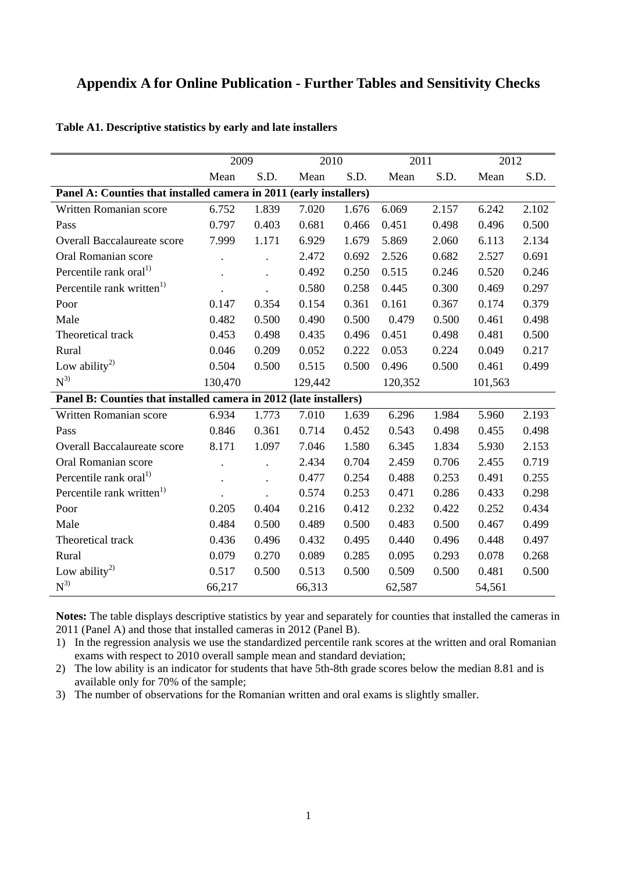# **Appendix A for Online Publication - Further Tables and Sensitivity Checks**

|                                                                    | 2009    |       | 2010    |       | 2011    |       | 2012    |       |
|--------------------------------------------------------------------|---------|-------|---------|-------|---------|-------|---------|-------|
|                                                                    | Mean    | S.D.  | Mean    | S.D.  | Mean    | S.D.  | Mean    | S.D.  |
| Panel A: Counties that installed camera in 2011 (early installers) |         |       |         |       |         |       |         |       |
| Written Romanian score                                             | 6.752   | 1.839 | 7.020   | 1.676 | 6.069   | 2.157 | 6.242   | 2.102 |
| Pass                                                               | 0.797   | 0.403 | 0.681   | 0.466 | 0.451   | 0.498 | 0.496   | 0.500 |
| Overall Baccalaureate score                                        | 7.999   | 1.171 | 6.929   | 1.679 | 5.869   | 2.060 | 6.113   | 2.134 |
| Oral Romanian score                                                |         |       | 2.472   | 0.692 | 2.526   | 0.682 | 2.527   | 0.691 |
| Percentile rank oral <sup>1)</sup>                                 |         |       | 0.492   | 0.250 | 0.515   | 0.246 | 0.520   | 0.246 |
| Percentile rank written <sup>1)</sup>                              |         |       | 0.580   | 0.258 | 0.445   | 0.300 | 0.469   | 0.297 |
| Poor                                                               | 0.147   | 0.354 | 0.154   | 0.361 | 0.161   | 0.367 | 0.174   | 0.379 |
| Male                                                               | 0.482   | 0.500 | 0.490   | 0.500 | 0.479   | 0.500 | 0.461   | 0.498 |
| Theoretical track                                                  | 0.453   | 0.498 | 0.435   | 0.496 | 0.451   | 0.498 | 0.481   | 0.500 |
| Rural                                                              | 0.046   | 0.209 | 0.052   | 0.222 | 0.053   | 0.224 | 0.049   | 0.217 |
| Low ability <sup>2)</sup>                                          | 0.504   | 0.500 | 0.515   | 0.500 | 0.496   | 0.500 | 0.461   | 0.499 |
| $N^{3}$                                                            | 130,470 |       | 129,442 |       | 120,352 |       | 101,563 |       |
| Panel B: Counties that installed camera in 2012 (late installers)  |         |       |         |       |         |       |         |       |
| Written Romanian score                                             | 6.934   | 1.773 | 7.010   | 1.639 | 6.296   | 1.984 | 5.960   | 2.193 |
| Pass                                                               | 0.846   | 0.361 | 0.714   | 0.452 | 0.543   | 0.498 | 0.455   | 0.498 |
| Overall Baccalaureate score                                        | 8.171   | 1.097 | 7.046   | 1.580 | 6.345   | 1.834 | 5.930   | 2.153 |
| Oral Romanian score                                                |         |       | 2.434   | 0.704 | 2.459   | 0.706 | 2.455   | 0.719 |
| Percentile rank oral <sup>1)</sup>                                 |         |       | 0.477   | 0.254 | 0.488   | 0.253 | 0.491   | 0.255 |
| Percentile rank written <sup>1)</sup>                              |         |       | 0.574   | 0.253 | 0.471   | 0.286 | 0.433   | 0.298 |
| Poor                                                               | 0.205   | 0.404 | 0.216   | 0.412 | 0.232   | 0.422 | 0.252   | 0.434 |
| Male                                                               | 0.484   | 0.500 | 0.489   | 0.500 | 0.483   | 0.500 | 0.467   | 0.499 |
| Theoretical track                                                  | 0.436   | 0.496 | 0.432   | 0.495 | 0.440   | 0.496 | 0.448   | 0.497 |
| Rural                                                              | 0.079   | 0.270 | 0.089   | 0.285 | 0.095   | 0.293 | 0.078   | 0.268 |
| Low ability <sup>2)</sup>                                          | 0.517   | 0.500 | 0.513   | 0.500 | 0.509   | 0.500 | 0.481   | 0.500 |
| $N^{3)}$                                                           | 66,217  |       | 66,313  |       | 62,587  |       | 54,561  |       |

**Table A1. Descriptive statistics by early and late installers** 

**Notes:** The table displays descriptive statistics by year and separately for counties that installed the cameras in 2011 (Panel A) and those that installed cameras in 2012 (Panel B).

- 1) In the regression analysis we use the standardized percentile rank scores at the written and oral Romanian exams with respect to 2010 overall sample mean and standard deviation;
- 2) The low ability is an indicator for students that have 5th-8th grade scores below the median 8.81 and is available only for 70% of the sample;
- 3) The number of observations for the Romanian written and oral exams is slightly smaller.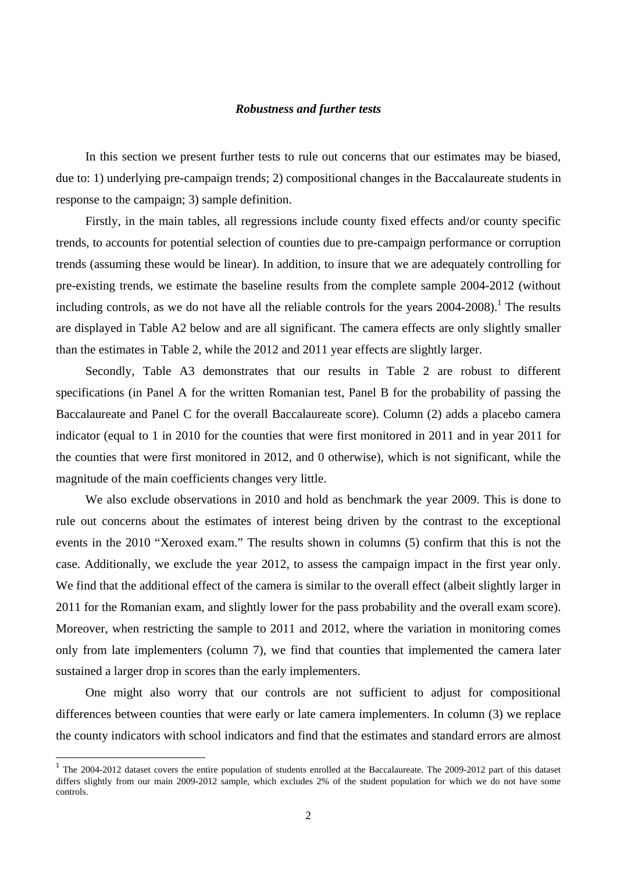#### *Robustness and further tests*

In this section we present further tests to rule out concerns that our estimates may be biased, due to: 1) underlying pre-campaign trends; 2) compositional changes in the Baccalaureate students in response to the campaign; 3) sample definition.

Firstly, in the main tables, all regressions include county fixed effects and/or county specific trends, to accounts for potential selection of counties due to pre-campaign performance or corruption trends (assuming these would be linear). In addition, to insure that we are adequately controlling for pre-existing trends, we estimate the baseline results from the complete sample 2004-2012 (without including controls, as we do not have all the reliable controls for the years  $2004-2008$ ).<sup>1</sup> The results are displayed in Table A2 below and are all significant. The camera effects are only slightly smaller than the estimates in Table 2, while the 2012 and 2011 year effects are slightly larger.

Secondly, Table A3 demonstrates that our results in Table 2 are robust to different specifications (in Panel A for the written Romanian test, Panel B for the probability of passing the Baccalaureate and Panel C for the overall Baccalaureate score). Column (2) adds a placebo camera indicator (equal to 1 in 2010 for the counties that were first monitored in 2011 and in year 2011 for the counties that were first monitored in 2012, and 0 otherwise), which is not significant, while the magnitude of the main coefficients changes very little.

We also exclude observations in 2010 and hold as benchmark the year 2009. This is done to rule out concerns about the estimates of interest being driven by the contrast to the exceptional events in the 2010 "Xeroxed exam." The results shown in columns (5) confirm that this is not the case. Additionally, we exclude the year 2012, to assess the campaign impact in the first year only. We find that the additional effect of the camera is similar to the overall effect (albeit slightly larger in 2011 for the Romanian exam, and slightly lower for the pass probability and the overall exam score). Moreover, when restricting the sample to 2011 and 2012, where the variation in monitoring comes only from late implementers (column 7), we find that counties that implemented the camera later sustained a larger drop in scores than the early implementers.

One might also worry that our controls are not sufficient to adjust for compositional differences between counties that were early or late camera implementers. In column (3) we replace the county indicators with school indicators and find that the estimates and standard errors are almost

<sup>&</sup>lt;sup>1</sup> The 2004-2012 dataset covers the entire population of students enrolled at the Baccalaureate. The 2009-2012 part of this dataset differs slightly from our main 2009-2012 sample, which excludes 2% of the student population for which we do not have some controls.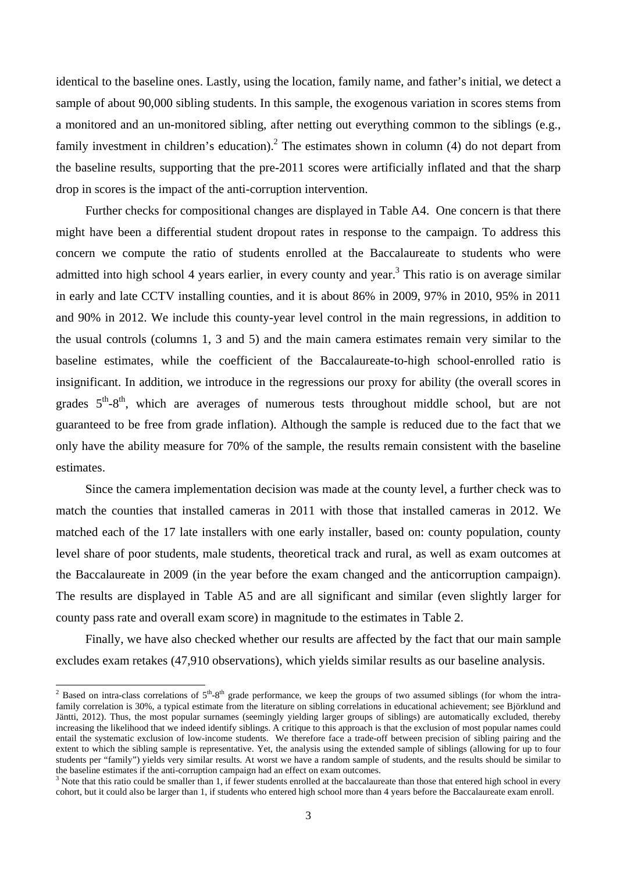identical to the baseline ones. Lastly, using the location, family name, and father's initial, we detect a sample of about 90,000 sibling students. In this sample, the exogenous variation in scores stems from a monitored and an un-monitored sibling, after netting out everything common to the siblings (e.g., family investment in children's education).<sup>2</sup> The estimates shown in column (4) do not depart from the baseline results, supporting that the pre-2011 scores were artificially inflated and that the sharp drop in scores is the impact of the anti-corruption intervention.

Further checks for compositional changes are displayed in Table A4. One concern is that there might have been a differential student dropout rates in response to the campaign. To address this concern we compute the ratio of students enrolled at the Baccalaureate to students who were admitted into high school 4 years earlier, in every county and year.<sup>3</sup> This ratio is on average similar in early and late CCTV installing counties, and it is about 86% in 2009, 97% in 2010, 95% in 2011 and 90% in 2012. We include this county-year level control in the main regressions, in addition to the usual controls (columns 1, 3 and 5) and the main camera estimates remain very similar to the baseline estimates, while the coefficient of the Baccalaureate-to-high school-enrolled ratio is insignificant. In addition, we introduce in the regressions our proxy for ability (the overall scores in grades  $5<sup>th</sup>-8<sup>th</sup>$ , which are averages of numerous tests throughout middle school, but are not guaranteed to be free from grade inflation). Although the sample is reduced due to the fact that we only have the ability measure for 70% of the sample, the results remain consistent with the baseline estimates.

Since the camera implementation decision was made at the county level, a further check was to match the counties that installed cameras in 2011 with those that installed cameras in 2012. We matched each of the 17 late installers with one early installer, based on: county population, county level share of poor students, male students, theoretical track and rural, as well as exam outcomes at the Baccalaureate in 2009 (in the year before the exam changed and the anticorruption campaign). The results are displayed in Table A5 and are all significant and similar (even slightly larger for county pass rate and overall exam score) in magnitude to the estimates in Table 2.

Finally, we have also checked whether our results are affected by the fact that our main sample excludes exam retakes (47,910 observations), which yields similar results as our baseline analysis.

 $\frac{1}{2}$  Based on intra-class correlations of  $5<sup>th</sup>$ -8<sup>th</sup> grade performance, we keep the groups of two assumed siblings (for whom the intrafamily correlation is 30%, a typical estimate from the literature on sibling correlations in educational achievement; see Björklund and Jäntti, 2012). Thus, the most popular surnames (seemingly yielding larger groups of siblings) are automatically excluded, thereby increasing the likelihood that we indeed identify siblings. A critique to this approach is that the exclusion of most popular names could entail the systematic exclusion of low-income students. We therefore face a trade-off between precision of sibling pairing and the extent to which the sibling sample is representative. Yet, the analysis using the extended sample of siblings (allowing for up to four students per "family") yields very similar results. At worst we have a random sample of students, and the results should be similar to the baseline estimates if the anti-corruption campaign had an effect on exam outcomes.

 $3$  Note that this ratio could be smaller than 1, if fewer students enrolled at the baccalaureate than those that entered high school in every cohort, but it could also be larger than 1, if students who entered high school more than 4 years before the Baccalaureate exam enroll.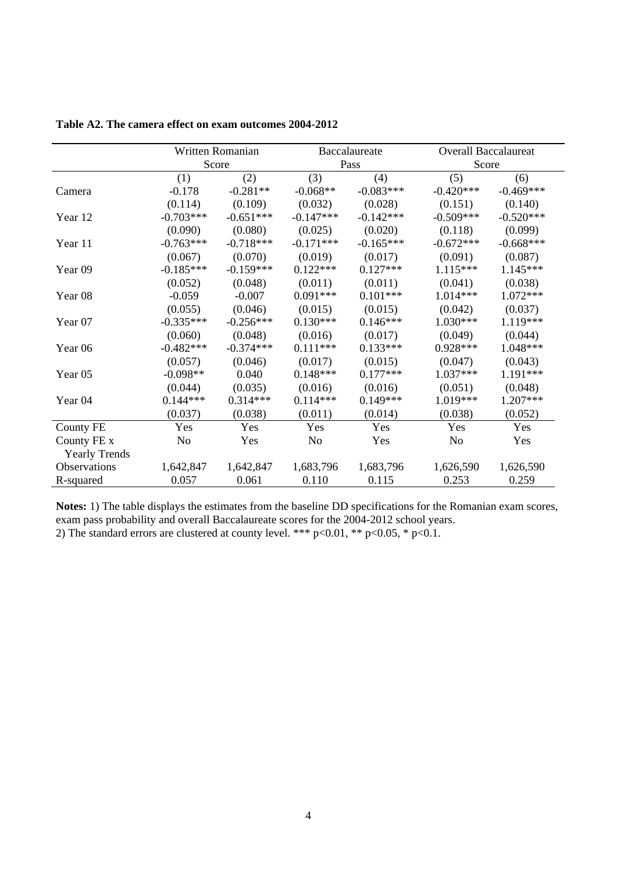|                      |                | Written Romanian |             | Baccalaureate | <b>Overall Baccalaureat</b> |             |
|----------------------|----------------|------------------|-------------|---------------|-----------------------------|-------------|
|                      |                | Score            |             | Pass          | Score                       |             |
|                      | (1)            | (2)              | (3)         | (4)           | (5)                         | (6)         |
| Camera               | $-0.178$       | $-0.281**$       | $-0.068**$  | $-0.083***$   | $-0.420***$                 | $-0.469***$ |
|                      | (0.114)        | (0.109)          | (0.032)     | (0.028)       | (0.151)                     | (0.140)     |
| Year 12              | $-0.703***$    | $-0.651***$      | $-0.147***$ | $-0.142***$   | $-0.509***$                 | $-0.520***$ |
|                      | (0.090)        | (0.080)          | (0.025)     | (0.020)       | (0.118)                     | (0.099)     |
| Year 11              | $-0.763***$    | $-0.718***$      | $-0.171***$ | $-0.165***$   | $-0.672***$                 | $-0.668***$ |
|                      | (0.067)        | (0.070)          | (0.019)     | (0.017)       | (0.091)                     | (0.087)     |
| Year 09              | $-0.185***$    | $-0.159***$      | $0.122***$  | $0.127***$    | $1.115***$                  | $1.145***$  |
|                      | (0.052)        | (0.048)          | (0.011)     | (0.011)       | (0.041)                     | (0.038)     |
| Year <sub>08</sub>   | $-0.059$       | $-0.007$         | $0.091***$  | $0.101***$    | $1.014***$                  | $1.072***$  |
|                      | (0.055)        | (0.046)          | (0.015)     | (0.015)       | (0.042)                     | (0.037)     |
| Year 07              | $-0.335***$    | $-0.256***$      | $0.130***$  | $0.146***$    | $1.030***$                  | 1.119***    |
|                      | (0.060)        | (0.048)          | (0.016)     | (0.017)       | (0.049)                     | (0.044)     |
| Year <sub>06</sub>   | $-0.482***$    | $-0.374***$      | $0.111***$  | $0.133***$    | $0.928***$                  | 1.048***    |
|                      | (0.057)        | (0.046)          | (0.017)     | (0.015)       | (0.047)                     | (0.043)     |
| Year <sub>05</sub>   | $-0.098**$     | 0.040            | $0.148***$  | $0.177***$    | $1.037***$                  | 1.191***    |
|                      | (0.044)        | (0.035)          | (0.016)     | (0.016)       | (0.051)                     | (0.048)     |
| Year 04              | $0.144***$     | $0.314***$       | $0.114***$  | $0.149***$    | 1.019***                    | $1.207***$  |
|                      | (0.037)        | (0.038)          | (0.011)     | (0.014)       | (0.038)                     | (0.052)     |
| County FE            | Yes            | Yes              | Yes         | Yes           | Yes                         | Yes         |
| County FE x          | N <sub>0</sub> | Yes              | No          | Yes           | N <sub>o</sub>              | Yes         |
| <b>Yearly Trends</b> |                |                  |             |               |                             |             |
| Observations         | 1,642,847      | 1,642,847        | 1,683,796   | 1,683,796     | 1,626,590                   | 1,626,590   |
| R-squared            | 0.057          | 0.061            | 0.110       | 0.115         | 0.253                       | 0.259       |

**Table A2. The camera effect on exam outcomes 2004-2012** 

**Notes:** 1) The table displays the estimates from the baseline DD specifications for the Romanian exam scores, exam pass probability and overall Baccalaureate scores for the 2004-2012 school years. 2) The standard errors are clustered at county level. \*\*\* p<0.01, \*\* p<0.05, \* p<0.1.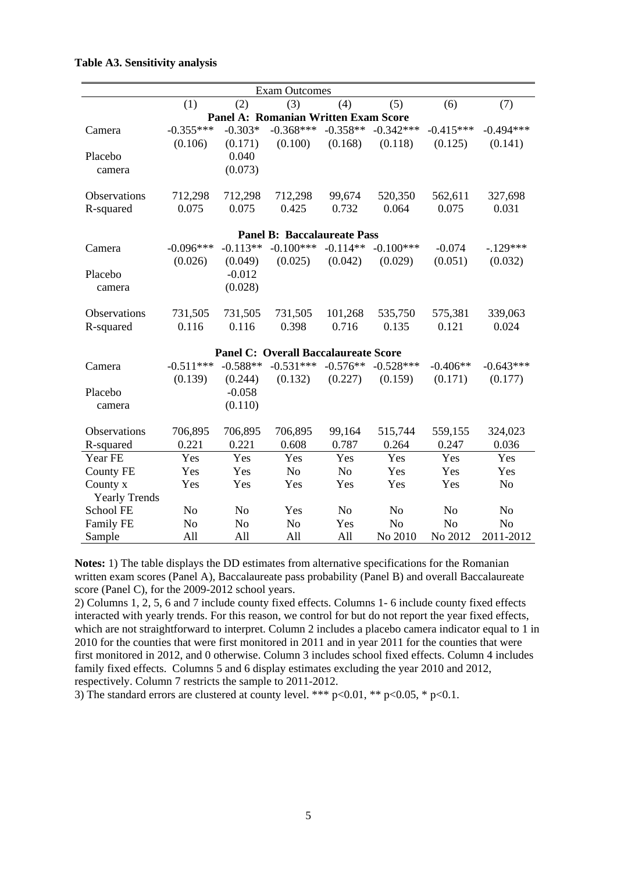|                      |                |                | <b>Exam Outcomes</b>                        |                |                |                |                |
|----------------------|----------------|----------------|---------------------------------------------|----------------|----------------|----------------|----------------|
|                      | (1)            | (2)            | (3)                                         | (4)            | (5)            | (6)            | (7)            |
|                      |                |                | <b>Panel A: Romanian Written Exam Score</b> |                |                |                |                |
| Camera               | $-0.355***$    | $-0.303*$      | $-0.368***$                                 | $-0.358**$     | $-0.342***$    | $-0.415***$    | $-0.494***$    |
|                      | (0.106)        | (0.171)        | (0.100)                                     | (0.168)        | (0.118)        | (0.125)        | (0.141)        |
| Placebo              |                | 0.040          |                                             |                |                |                |                |
| camera               |                | (0.073)        |                                             |                |                |                |                |
|                      |                |                |                                             |                |                |                |                |
| Observations         | 712,298        | 712,298        | 712,298                                     | 99,674         | 520,350        | 562,611        | 327,698        |
| R-squared            | 0.075          | 0.075          | 0.425                                       | 0.732          | 0.064          | 0.075          | 0.031          |
|                      |                |                | <b>Panel B: Baccalaureate Pass</b>          |                |                |                |                |
| Camera               | $-0.096***$    | $-0.113**$     | $-0.100***$                                 | $-0.114**$     | $-0.100***$    | $-0.074$       | $-.129***$     |
|                      | (0.026)        | (0.049)        | (0.025)                                     | (0.042)        | (0.029)        | (0.051)        | (0.032)        |
| Placebo              |                | $-0.012$       |                                             |                |                |                |                |
| camera               |                | (0.028)        |                                             |                |                |                |                |
|                      |                |                |                                             |                |                |                |                |
| Observations         | 731,505        | 731,505        | 731,505                                     | 101,268        | 535,750        | 575,381        | 339,063        |
| R-squared            | 0.116          | 0.116          | 0.398                                       | 0.716          | 0.135          | 0.121          | 0.024          |
|                      |                |                |                                             |                |                |                |                |
|                      |                |                | <b>Panel C: Overall Baccalaureate Score</b> |                |                |                |                |
| Camera               | $-0.511***$    | $-0.588**$     | $-0.531***$                                 | $-0.576**$     | $-0.528***$    | $-0.406**$     | $-0.643***$    |
|                      | (0.139)        | (0.244)        | (0.132)                                     | (0.227)        | (0.159)        | (0.171)        | (0.177)        |
| Placebo              |                | $-0.058$       |                                             |                |                |                |                |
| camera               |                | (0.110)        |                                             |                |                |                |                |
|                      |                |                |                                             |                |                |                |                |
| Observations         | 706,895        | 706,895        | 706,895                                     | 99,164         | 515,744        | 559,155        | 324,023        |
| R-squared            | 0.221          | 0.221          | 0.608                                       | 0.787          | 0.264          | 0.247          | 0.036          |
| Year FE              | Yes            | Yes            | Yes                                         | Yes            | Yes            | Yes            | Yes            |
| <b>County FE</b>     | Yes            | Yes            | N <sub>o</sub>                              | N <sub>o</sub> | Yes            | Yes            | Yes            |
| County x             | Yes            | Yes            | Yes                                         | Yes            | Yes            | Yes            | N <sub>o</sub> |
| <b>Yearly Trends</b> |                |                |                                             |                |                |                |                |
| School FE            | N <sub>o</sub> | N <sub>o</sub> | Yes                                         | N <sub>o</sub> | N <sub>o</sub> | N <sub>o</sub> | N <sub>o</sub> |
| Family FE            | N <sub>o</sub> | N <sub>o</sub> | N <sub>o</sub>                              | Yes            | No             | N <sub>o</sub> | No             |
| Sample               | All            | All            | All                                         | All            | No 2010        | No 2012        | 2011-2012      |

### **Table A3. Sensitivity analysis**

**Notes:** 1) The table displays the DD estimates from alternative specifications for the Romanian written exam scores (Panel A), Baccalaureate pass probability (Panel B) and overall Baccalaureate score (Panel C), for the 2009-2012 school years.

2) Columns 1, 2, 5, 6 and 7 include county fixed effects. Columns 1- 6 include county fixed effects interacted with yearly trends. For this reason, we control for but do not report the year fixed effects, which are not straightforward to interpret. Column 2 includes a placebo camera indicator equal to 1 in 2010 for the counties that were first monitored in 2011 and in year 2011 for the counties that were first monitored in 2012, and 0 otherwise. Column 3 includes school fixed effects. Column 4 includes family fixed effects. Columns 5 and 6 display estimates excluding the year 2010 and 2012, respectively. Column 7 restricts the sample to 2011-2012.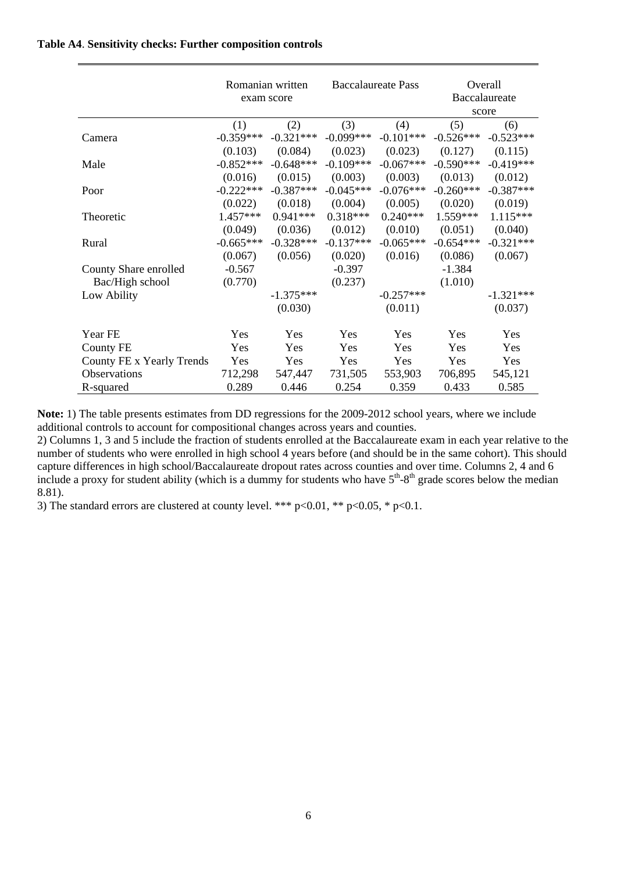### **Table A4**. **Sensitivity checks: Further composition controls**

|                           | Romanian written<br>exam score |             | <b>Baccalaureate Pass</b> |             | Overall<br>Baccalaureate<br>score |             |
|---------------------------|--------------------------------|-------------|---------------------------|-------------|-----------------------------------|-------------|
|                           | (1)                            | (2)         | (3)                       | (4)         | (5)                               | (6)         |
| Camera                    | $-0.359***$                    | $-0.321***$ | $-0.099***$               | $-0.101***$ | $-0.526***$                       | $-0.523***$ |
|                           | (0.103)                        | (0.084)     | (0.023)                   | (0.023)     | (0.127)                           | (0.115)     |
| Male                      | $-0.852***$                    | $-0.648***$ | $-0.109***$               | $-0.067***$ | $-0.590***$                       | $-0.419***$ |
|                           | (0.016)                        | (0.015)     | (0.003)                   | (0.003)     | (0.013)                           | (0.012)     |
| Poor                      | $-0.222***$                    | $-0.387***$ | $-0.045***$               | $-0.076***$ | $-0.260***$                       | $-0.387***$ |
|                           | (0.022)                        | (0.018)     | (0.004)                   | (0.005)     | (0.020)                           | (0.019)     |
| Theoretic                 | $1.457***$                     | $0.941***$  | $0.318***$                | $0.240***$  | 1.559***                          | $1.115***$  |
|                           | (0.049)                        | (0.036)     | (0.012)                   | (0.010)     | (0.051)                           | (0.040)     |
| Rural                     | $-0.665***$                    | $-0.328***$ | $-0.137***$               | $-0.065***$ | $-0.654***$                       | $-0.321***$ |
|                           | (0.067)                        | (0.056)     | (0.020)                   | (0.016)     | (0.086)                           | (0.067)     |
| County Share enrolled     | $-0.567$                       |             | $-0.397$                  |             | $-1.384$                          |             |
| Bac/High school           | (0.770)                        |             | (0.237)                   |             | (1.010)                           |             |
| Low Ability               |                                | $-1.375***$ |                           | $-0.257***$ |                                   | $-1.321***$ |
|                           |                                | (0.030)     |                           | (0.011)     |                                   | (0.037)     |
| Year FE                   | Yes                            | Yes         | Yes                       | Yes         | Yes                               | Yes         |
| <b>County FE</b>          | Yes                            | Yes         | Yes                       | Yes         | Yes                               | Yes         |
| County FE x Yearly Trends | Yes                            | Yes         | Yes                       | Yes         | Yes                               | Yes         |
| <b>Observations</b>       | 712,298                        | 547,447     | 731,505                   | 553,903     | 706,895                           | 545,121     |
| R-squared                 | 0.289                          | 0.446       | 0.254                     | 0.359       | 0.433                             | 0.585       |

**Note:** 1) The table presents estimates from DD regressions for the 2009-2012 school years, where we include additional controls to account for compositional changes across years and counties.

2) Columns 1, 3 and 5 include the fraction of students enrolled at the Baccalaureate exam in each year relative to the number of students who were enrolled in high school 4 years before (and should be in the same cohort). This should capture differences in high school/Baccalaureate dropout rates across counties and over time. Columns 2, 4 and 6 include a proxy for student ability (which is a dummy for students who have  $5<sup>th</sup>-8<sup>th</sup>$  grade scores below the median 8.81).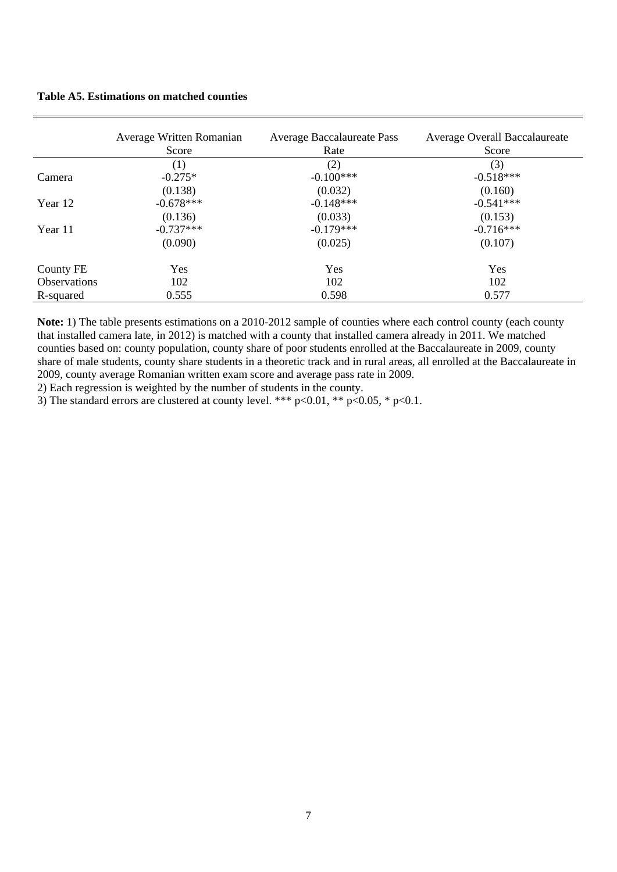**Table A5. Estimations on matched counties** 

|                     | Average Written Romanian<br>Score | Average Baccalaureate Pass<br>Rate | Average Overall Baccalaureate<br>Score |
|---------------------|-----------------------------------|------------------------------------|----------------------------------------|
|                     | (1)                               | (2)                                | (3)                                    |
| Camera              | $-0.275*$                         | $-0.100***$                        | $-0.518***$                            |
|                     | (0.138)                           | (0.032)                            | (0.160)                                |
| Year 12             | $-0.678***$                       | $-0.148***$                        | $-0.541***$                            |
|                     | (0.136)                           | (0.033)                            | (0.153)                                |
| Year 11             | $-0.737***$                       | $-0.179***$                        | $-0.716***$                            |
|                     | (0.090)                           | (0.025)                            | (0.107)                                |
| County FE           | Yes                               | Yes                                | Yes                                    |
| <b>Observations</b> | 102                               | 102                                | 102                                    |
| R-squared           | 0.555                             | 0.598                              | 0.577                                  |

**Note:** 1) The table presents estimations on a 2010-2012 sample of counties where each control county (each county that installed camera late, in 2012) is matched with a county that installed camera already in 2011. We matched counties based on: county population, county share of poor students enrolled at the Baccalaureate in 2009, county share of male students, county share students in a theoretic track and in rural areas, all enrolled at the Baccalaureate in 2009, county average Romanian written exam score and average pass rate in 2009.

2) Each regression is weighted by the number of students in the county.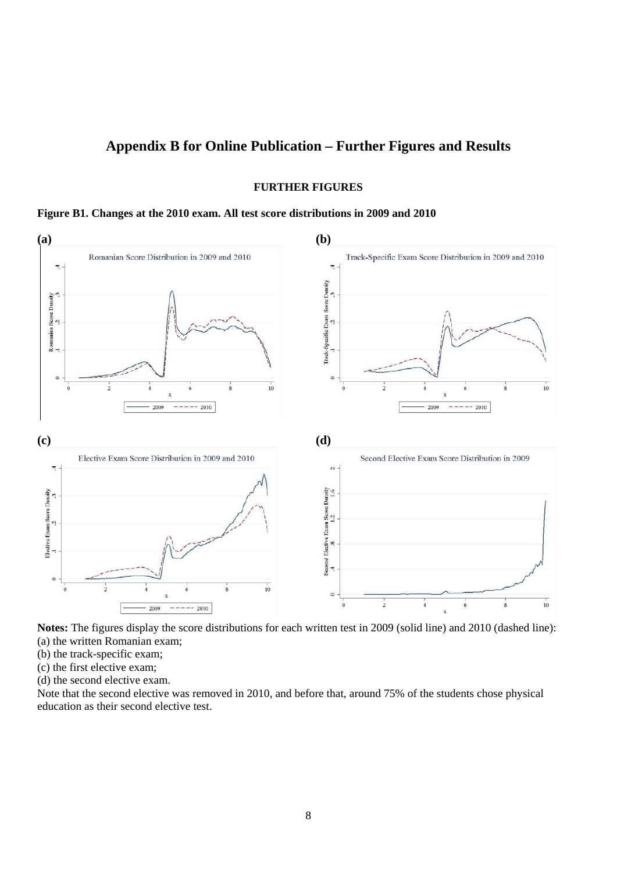### **Appendix B for Online Publication – Further Figures and Results**

**FURTHER FIGURES** 

#### **Figure B1. Changes at the 2010 exam. All test score distributions in 2009 and 2010**





- (b) the track-specific exam;
- (c) the first elective exam;
- (d) the second elective exam.

Note that the second elective was removed in 2010, and before that, around 75% of the students chose physical education as their second elective test.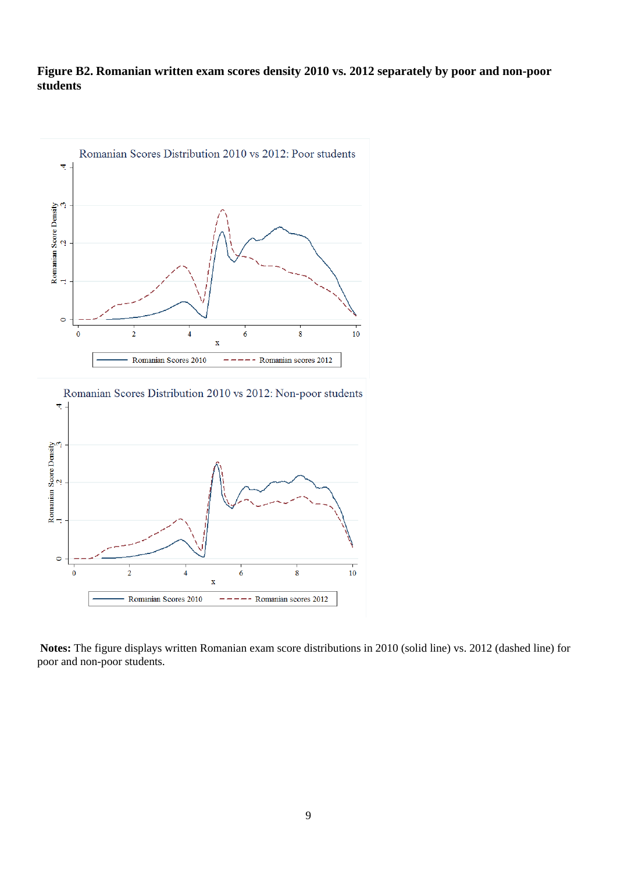### **Figure B2. Romanian written exam scores density 2010 vs. 2012 separately by poor and non-poor students**





**Notes:** The figure displays written Romanian exam score distributions in 2010 (solid line) vs. 2012 (dashed line) for poor and non-poor students.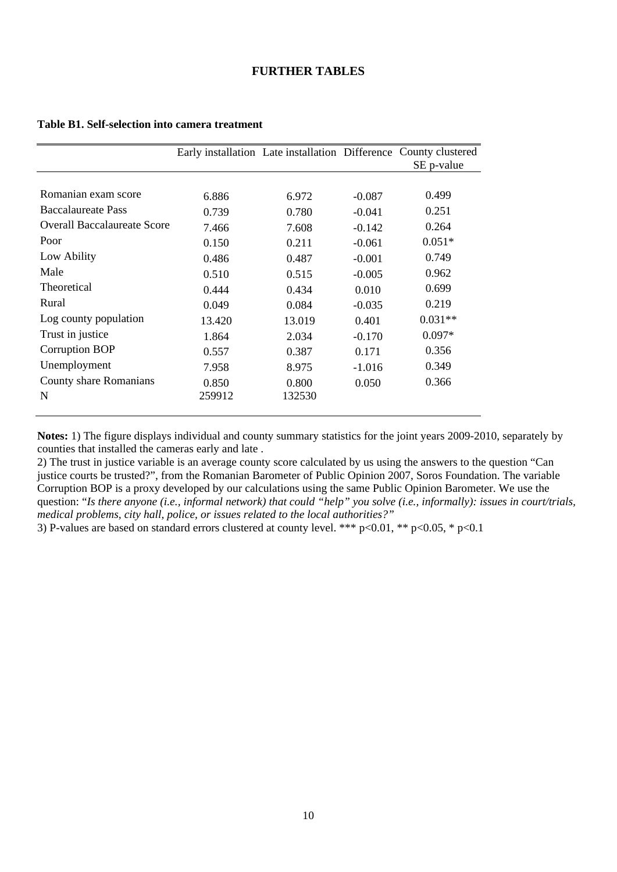### **FURTHER TABLES**

|                                    |        |        |          | Early installation Late installation Difference County clustered |
|------------------------------------|--------|--------|----------|------------------------------------------------------------------|
|                                    |        |        |          | SE p-value                                                       |
|                                    |        |        |          |                                                                  |
| Romanian exam score                | 6.886  | 6.972  | $-0.087$ | 0.499                                                            |
| <b>Baccalaureate Pass</b>          | 0.739  | 0.780  | $-0.041$ | 0.251                                                            |
| <b>Overall Baccalaureate Score</b> | 7.466  | 7.608  | $-0.142$ | 0.264                                                            |
| Poor                               | 0.150  | 0.211  | $-0.061$ | $0.051*$                                                         |
| Low Ability                        | 0.486  | 0.487  | $-0.001$ | 0.749                                                            |
| Male                               | 0.510  | 0.515  | $-0.005$ | 0.962                                                            |
| <b>Theoretical</b>                 | 0.444  | 0.434  | 0.010    | 0.699                                                            |
| Rural                              | 0.049  | 0.084  | $-0.035$ | 0.219                                                            |
| Log county population              | 13.420 | 13.019 | 0.401    | $0.031**$                                                        |
| Trust in justice                   | 1.864  | 2.034  | $-0.170$ | $0.097*$                                                         |
| Corruption BOP                     | 0.557  | 0.387  | 0.171    | 0.356                                                            |
| Unemployment                       | 7.958  | 8.975  | $-1.016$ | 0.349                                                            |
| County share Romanians             | 0.850  | 0.800  | 0.050    | 0.366                                                            |
| N                                  | 259912 | 132530 |          |                                                                  |
|                                    |        |        |          |                                                                  |

#### **Table B1. Self-selection into camera treatment**

**Notes:** 1) The figure displays individual and county summary statistics for the joint years 2009-2010, separately by counties that installed the cameras early and late .

2) The trust in justice variable is an average county score calculated by us using the answers to the question "Can justice courts be trusted?", from the Romanian Barometer of Public Opinion 2007, Soros Foundation. The variable Corruption BOP is a proxy developed by our calculations using the same Public Opinion Barometer. We use the question: "*Is there anyone (i.e., informal network) that could "help" you solve (i.e., informally): issues in court/trials, medical problems, city hall, police, or issues related to the local authorities?"*

3) P-values are based on standard errors clustered at county level. \*\*\*  $p<0.01$ , \*\*  $p<0.05$ , \*  $p<0.1$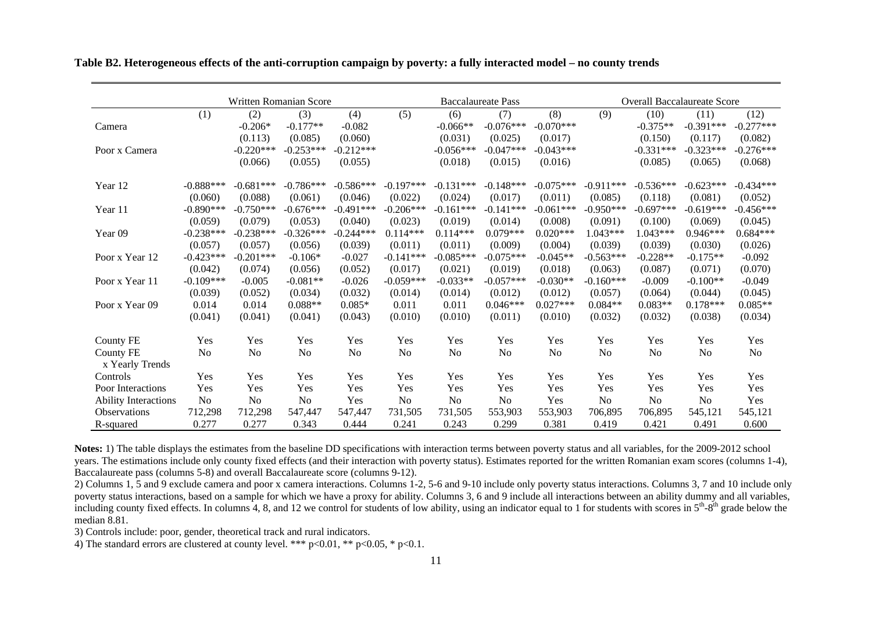|                              |                | Written Romanian Score |                |                |                |             | <b>Baccalaureate Pass</b> |             |                |                | <b>Overall Baccalaureate Score</b> |             |
|------------------------------|----------------|------------------------|----------------|----------------|----------------|-------------|---------------------------|-------------|----------------|----------------|------------------------------------|-------------|
|                              | (1)            | (2)                    | (3)            | (4)            | (5)            | (6)         | (7)                       | (8)         | (9)            | (10)           | (11)                               | (12)        |
| Camera                       |                | $-0.206*$              | $-0.177**$     | $-0.082$       |                | $-0.066**$  | $-0.076***$               | $-0.070***$ |                | $-0.375**$     | $-0.391***$                        | $-0.277***$ |
|                              |                | (0.113)                | (0.085)        | (0.060)        |                | (0.031)     | (0.025)                   | (0.017)     |                | (0.150)        | (0.117)                            | (0.082)     |
| Poor x Camera                |                | $-0.220***$            | $-0.253***$    | $-0.212***$    |                | $-0.056***$ | $-0.047***$               | $-0.043***$ |                | $-0.331***$    | $-0.323***$                        | $-0.276***$ |
|                              |                | (0.066)                | (0.055)        | (0.055)        |                | (0.018)     | (0.015)                   | (0.016)     |                | (0.085)        | (0.065)                            | (0.068)     |
| Year 12                      | $-0.888***$    | $-0.681***$            | $-0.786***$    | $-0.586***$    | $-0.197***$    | $-0.131***$ | $-0.148***$               | $-0.075***$ | $-0.911***$    | $-0.536***$    | $-0.623***$                        | $-0.434***$ |
|                              | (0.060)        | (0.088)                | (0.061)        | (0.046)        | (0.022)        | (0.024)     | (0.017)                   | (0.011)     | (0.085)        | (0.118)        | (0.081)                            | (0.052)     |
| Year 11                      | $-0.890***$    | $-0.750***$            | $-0.676***$    | $-0.491***$    | $-0.206***$    | $-0.161***$ | $-0.141***$               | $-0.061***$ | $-0.950***$    | $-0.697***$    | $-0.619***$                        | $-0.456***$ |
|                              | (0.059)        | (0.079)                | (0.053)        | (0.040)        | (0.023)        | (0.019)     | (0.014)                   | (0.008)     | (0.091)        | (0.100)        | (0.069)                            | (0.045)     |
| Year <sub>09</sub>           | $-0.238***$    | $-0.238***$            | $-0.326***$    | $-0.244***$    | $0.114***$     | $0.114***$  | $0.079***$                | $0.020***$  | $1.043***$     | 1.043***       | $0.946***$                         | $0.684***$  |
|                              | (0.057)        | (0.057)                | (0.056)        | (0.039)        | (0.011)        | (0.011)     | (0.009)                   | (0.004)     | (0.039)        | (0.039)        | (0.030)                            | (0.026)     |
| Poor x Year 12               | $-0.423***$    | $-0.201***$            | $-0.106*$      | $-0.027$       | $-0.141***$    | $-0.085***$ | $-0.075***$               | $-0.045**$  | $-0.563***$    | $-0.228**$     | $-0.175**$                         | $-0.092$    |
|                              | (0.042)        | (0.074)                | (0.056)        | (0.052)        | (0.017)        | (0.021)     | (0.019)                   | (0.018)     | (0.063)        | (0.087)        | (0.071)                            | (0.070)     |
| Poor x Year 11               | $-0.109***$    | $-0.005$               | $-0.081**$     | $-0.026$       | $-0.059***$    | $-0.033**$  | $-0.057***$               | $-0.030**$  | $-0.160***$    | $-0.009$       | $-0.100**$                         | $-0.049$    |
|                              | (0.039)        | (0.052)                | (0.034)        | (0.032)        | (0.014)        | (0.014)     | (0.012)                   | (0.012)     | (0.057)        | (0.064)        | (0.044)                            | (0.045)     |
| Poor x Year 09               | 0.014          | 0.014                  | $0.088**$      | $0.085*$       | 0.011          | 0.011       | $0.046***$                | $0.027***$  | $0.084**$      | $0.083**$      | $0.178***$                         | $0.085**$   |
|                              | (0.041)        | (0.041)                | (0.041)        | (0.043)        | (0.010)        | (0.010)     | (0.011)                   | (0.010)     | (0.032)        | (0.032)        | (0.038)                            | (0.034)     |
| County FE                    | Yes            | Yes                    | Yes            | Yes            | Yes            | Yes         | Yes                       | Yes         | Yes            | Yes            | Yes                                | Yes         |
| County FE<br>x Yearly Trends | N <sub>0</sub> | N <sub>o</sub>         | No             | N <sub>o</sub> | No             | <b>No</b>   | No                        | No          | N <sub>o</sub> | No             | N <sub>0</sub>                     | No          |
| Controls                     | Yes            | Yes                    | Yes            | Yes            | Yes            | Yes         | Yes                       | Yes         | Yes            | Yes            | Yes                                | Yes         |
| Poor Interactions            | Yes            | Yes                    | Yes            | Yes            | Yes            | Yes         | Yes                       | Yes         | Yes            | Yes            | Yes                                | Yes         |
| <b>Ability Interactions</b>  | N <sub>0</sub> | N <sub>0</sub>         | N <sub>o</sub> | Yes            | N <sub>0</sub> | <b>No</b>   | N <sub>0</sub>            | Yes         | N <sub>o</sub> | N <sub>o</sub> | N <sub>0</sub>                     | Yes         |
| <b>Observations</b>          | 712,298        | 712,298                | 547,447        | 547,447        | 731,505        | 731,505     | 553,903                   | 553,903     | 706,895        | 706,895        | 545,121                            | 545,121     |
| R-squared                    | 0.277          | 0.277                  | 0.343          | 0.444          | 0.241          | 0.243       | 0.299                     | 0.381       | 0.419          | 0.421          | 0.491                              | 0.600       |

**Table B2. Heterogeneous effects of the anti-corruption campaign by poverty: a fully interacted model – no county trends**

Notes: 1) The table displays the estimates from the baseline DD specifications with interaction terms between poverty status and all variables, for the 2009-2012 school years. The estimations include only county fixed effects (and their interaction with poverty status). Estimates reported for the written Romanian exam scores (columns 1-4), Baccalaureate pass (columns 5-8) and overall Baccalaureate score (columns 9-12).

2) Columns 1, 5 and 9 exclude camera and poor x camera interactions. Columns 1-2, 5-6 and 9-10 include only poverty status interactions. Columns 3, 7 and 10 include only poverty status interactions, based on a sample for which we have a proxy for ability. Columns 3, 6 and 9 include all interactions between an ability dummy and all variables, including county fixed effects. In columns 4, 8, and 12 we control for students of low ability, using an indicator equal to 1 for students with scores in 5<sup>th</sup>-8<sup>th</sup> grade below the median 8.81.

3) Controls include: poor, gender, theoretical track and rural indicators.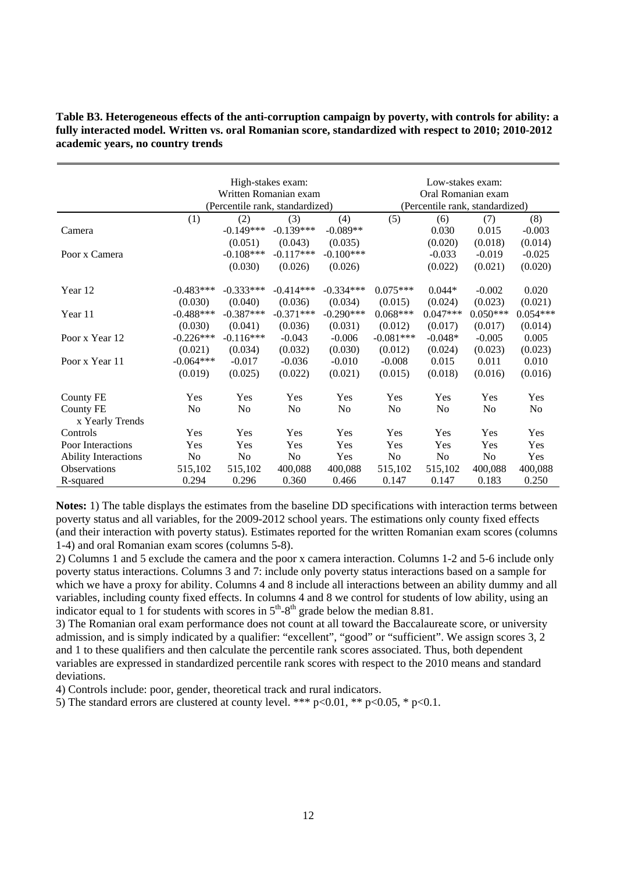#### **Table B3. Heterogeneous effects of the anti-corruption campaign by poverty, with controls for ability: a fully interacted model. Written vs. oral Romanian score, standardized with respect to 2010; 2010-2012 academic years, no country trends**

|                             | High-stakes exam: |                                 |                       |                |                                 | Low-stakes exam:   |                |            |  |
|-----------------------------|-------------------|---------------------------------|-----------------------|----------------|---------------------------------|--------------------|----------------|------------|--|
|                             |                   |                                 | Written Romanian exam |                |                                 | Oral Romanian exam |                |            |  |
|                             |                   | (Percentile rank, standardized) |                       |                | (Percentile rank, standardized) |                    |                |            |  |
|                             | (1)               | (2)                             | (3)                   | (4)            | (5)                             | (6)                | (7)            | (8)        |  |
| Camera                      |                   | $-0.149***$                     | $-0.139***$           | $-0.089**$     |                                 | 0.030              | 0.015          | $-0.003$   |  |
|                             |                   | (0.051)                         | (0.043)               | (0.035)        |                                 | (0.020)            | (0.018)        | (0.014)    |  |
| Poor x Camera               |                   | $-0.108***$                     | $-0.117***$           | $-0.100***$    |                                 | $-0.033$           | $-0.019$       | $-0.025$   |  |
|                             |                   | (0.030)                         | (0.026)               | (0.026)        |                                 | (0.022)            | (0.021)        | (0.020)    |  |
|                             |                   |                                 |                       |                |                                 |                    |                |            |  |
| Year 12                     | $-0.483***$       | $-0.333***$                     | $-0.414***$           | $-0.334***$    | $0.075***$                      | $0.044*$           | $-0.002$       | 0.020      |  |
|                             | (0.030)           | (0.040)                         | (0.036)               | (0.034)        | (0.015)                         | (0.024)            | (0.023)        | (0.021)    |  |
| Year 11                     | $-0.488***$       | $-0.387***$                     | $-0.371***$           | $-0.290***$    | $0.068***$                      | $0.047***$         | $0.050***$     | $0.054***$ |  |
|                             | (0.030)           | (0.041)                         | (0.036)               | (0.031)        | (0.012)                         | (0.017)            | (0.017)        | (0.014)    |  |
| Poor x Year 12              | $-0.226***$       | $-0.116***$                     | $-0.043$              | $-0.006$       | $-0.081***$                     | $-0.048*$          | $-0.005$       | 0.005      |  |
|                             | (0.021)           | (0.034)                         | (0.032)               | (0.030)        | (0.012)                         | (0.024)            | (0.023)        | (0.023)    |  |
| Poor x Year 11              | $-0.064***$       | $-0.017$                        | $-0.036$              | $-0.010$       | $-0.008$                        | 0.015              | 0.011          | 0.010      |  |
|                             | (0.019)           | (0.025)                         | (0.022)               | (0.021)        | (0.015)                         | (0.018)            | (0.016)        | (0.016)    |  |
| County FE                   | Yes               | Yes                             | Yes                   | Yes            | Yes                             | Yes                | Yes            | Yes        |  |
| County FE                   | N <sub>0</sub>    | N <sub>0</sub>                  | N <sub>0</sub>        | N <sub>0</sub> | N <sub>0</sub>                  | N <sub>0</sub>     | N <sub>0</sub> | No         |  |
| x Yearly Trends             |                   |                                 |                       |                |                                 |                    |                |            |  |
| Controls                    | Yes               | Yes                             | Yes                   | Yes            | Yes                             | Yes                | Yes            | Yes        |  |
| Poor Interactions           | Yes               | Yes                             | Yes                   | Yes            | Yes                             | Yes                | Yes            | Yes        |  |
| <b>Ability Interactions</b> | No                | N <sub>0</sub>                  | N <sub>0</sub>        | Yes            | N <sub>0</sub>                  | N <sub>0</sub>     | No             | Yes        |  |
| <b>Observations</b>         | 515,102           | 515,102                         | 400,088               | 400,088        | 515,102                         | 515,102            | 400,088        | 400,088    |  |
| R-squared                   | 0.294             | 0.296                           | 0.360                 | 0.466          | 0.147                           | 0.147              | 0.183          | 0.250      |  |

**Notes:** 1) The table displays the estimates from the baseline DD specifications with interaction terms between poverty status and all variables, for the 2009-2012 school years. The estimations only county fixed effects (and their interaction with poverty status). Estimates reported for the written Romanian exam scores (columns 1-4) and oral Romanian exam scores (columns 5-8).

2) Columns 1 and 5 exclude the camera and the poor x camera interaction. Columns 1-2 and 5-6 include only poverty status interactions. Columns 3 and 7: include only poverty status interactions based on a sample for which we have a proxy for ability. Columns 4 and 8 include all interactions between an ability dummy and all variables, including county fixed effects. In columns 4 and 8 we control for students of low ability, using an indicator equal to 1 for students with scores in  $5<sup>th</sup>-8<sup>th</sup>$  grade below the median 8.81.

3) The Romanian oral exam performance does not count at all toward the Baccalaureate score, or university admission, and is simply indicated by a qualifier: "excellent", "good" or "sufficient". We assign scores 3, 2 and 1 to these qualifiers and then calculate the percentile rank scores associated. Thus, both dependent variables are expressed in standardized percentile rank scores with respect to the 2010 means and standard deviations.

4) Controls include: poor, gender, theoretical track and rural indicators.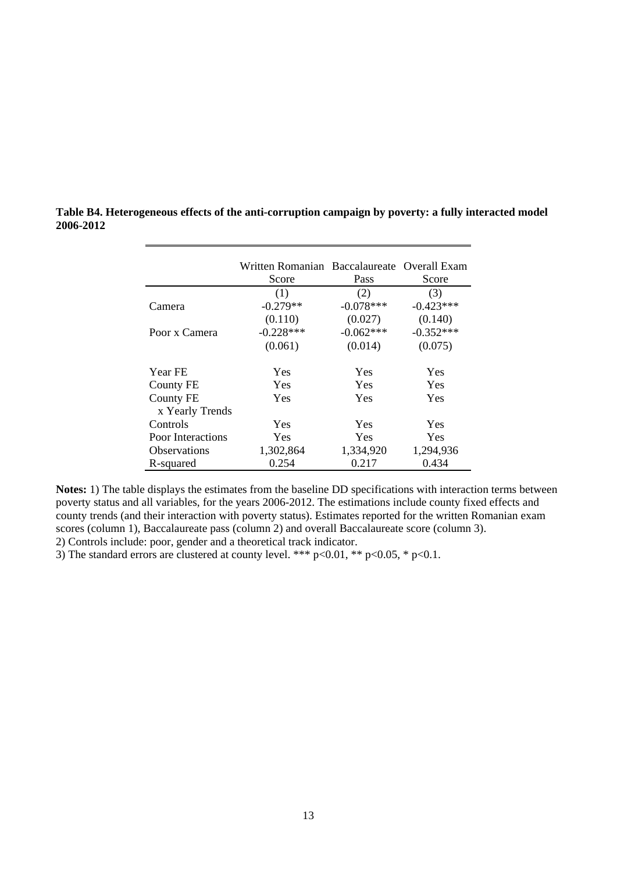|                     | Written Romanian Baccalaureate Overall Exam |             |             |
|---------------------|---------------------------------------------|-------------|-------------|
|                     | Score                                       | Pass        | Score       |
|                     | (1)                                         | (2)         | (3)         |
| Camera              | $-0.279**$                                  | $-0.078***$ | $-0.423***$ |
|                     | (0.110)                                     | (0.027)     | (0.140)     |
| Poor x Camera       | $-0.228***$                                 | $-0.062***$ | $-0.352***$ |
|                     | (0.061)                                     | (0.014)     | (0.075)     |
| Year FE             | <b>Yes</b>                                  | <b>Yes</b>  | <b>Yes</b>  |
| County FE           | <b>Yes</b>                                  | <b>Yes</b>  | Yes         |
| County FE           | Yes                                         | Yes         | Yes         |
| x Yearly Trends     |                                             |             |             |
| Controls            | Yes                                         | Yes         | <b>Yes</b>  |
| Poor Interactions   | Yes                                         | <b>Yes</b>  | Yes         |
| <b>Observations</b> | 1,302,864                                   | 1,334,920   | 1,294,936   |
| R-squared           | 0.254                                       | 0.217       | 0.434       |

**Table B4. Heterogeneous effects of the anti-corruption campaign by poverty: a fully interacted model 2006-2012** 

**Notes:** 1) The table displays the estimates from the baseline DD specifications with interaction terms between poverty status and all variables, for the years 2006-2012. The estimations include county fixed effects and county trends (and their interaction with poverty status). Estimates reported for the written Romanian exam scores (column 1), Baccalaureate pass (column 2) and overall Baccalaureate score (column 3). 2) Controls include: poor, gender and a theoretical track indicator.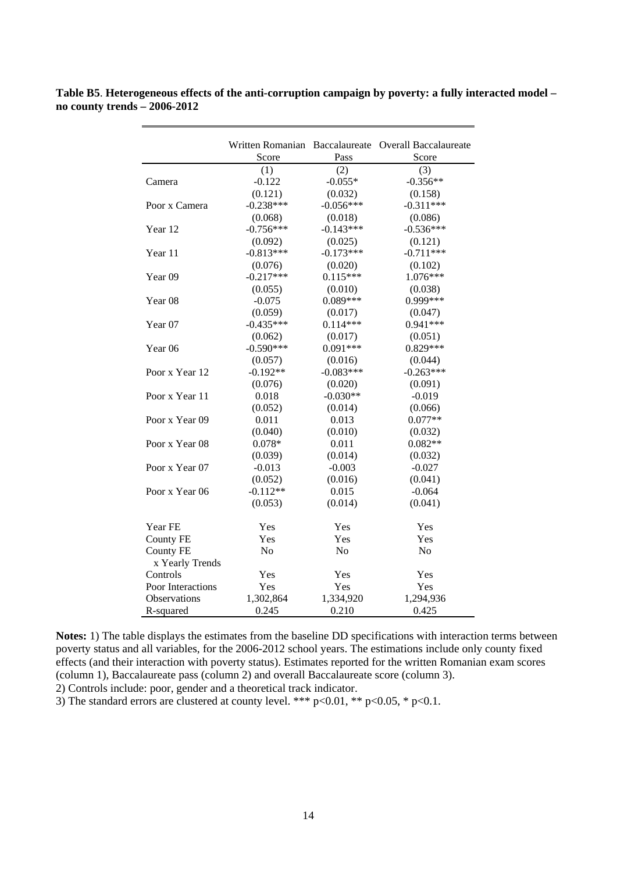**Table B5**. **Heterogeneous effects of the anti-corruption campaign by poverty: a fully interacted model – no county trends – 2006-2012** 

|                     |                |             | Written Romanian Baccalaureate Overall Baccalaureate |
|---------------------|----------------|-------------|------------------------------------------------------|
|                     | Score          | Pass        | Score                                                |
|                     | (1)            | (2)         | (3)                                                  |
| Camera              | $-0.122$       | $-0.055*$   | $-0.356**$                                           |
|                     | (0.121)        | (0.032)     | (0.158)                                              |
| Poor x Camera       | $-0.238***$    | $-0.056***$ | $-0.311***$                                          |
|                     | (0.068)        | (0.018)     | (0.086)                                              |
| Year 12             | $-0.756***$    | $-0.143***$ | $-0.536***$                                          |
|                     | (0.092)        | (0.025)     | (0.121)                                              |
| Year 11             | $-0.813***$    | $-0.173***$ | $-0.711***$                                          |
|                     | (0.076)        | (0.020)     | (0.102)                                              |
| Year <sub>09</sub>  | $-0.217***$    | $0.115***$  | 1.076***                                             |
|                     | (0.055)        | (0.010)     | (0.038)                                              |
| Year <sub>08</sub>  | $-0.075$       | $0.089***$  | 0.999***                                             |
|                     | (0.059)        | (0.017)     | (0.047)                                              |
| Year 07             | $-0.435***$    | $0.114***$  | $0.941***$                                           |
|                     | (0.062)        | (0.017)     | (0.051)                                              |
| Year <sub>06</sub>  | $-0.590***$    | $0.091***$  | $0.829***$                                           |
|                     | (0.057)        | (0.016)     | (0.044)                                              |
| Poor x Year 12      | $-0.192**$     | $-0.083***$ | $-0.263***$                                          |
|                     | (0.076)        | (0.020)     | (0.091)                                              |
| Poor x Year 11      | 0.018          | $-0.030**$  | $-0.019$                                             |
|                     | (0.052)        | (0.014)     | (0.066)                                              |
| Poor x Year 09      | 0.011          | 0.013       | $0.077**$                                            |
|                     | (0.040)        | (0.010)     | (0.032)                                              |
| Poor x Year 08      | $0.078*$       | 0.011       | $0.082**$                                            |
|                     | (0.039)        | (0.014)     | (0.032)                                              |
| Poor x Year 07      | $-0.013$       | $-0.003$    | $-0.027$                                             |
|                     | (0.052)        | (0.016)     | (0.041)                                              |
| Poor x Year 06      | $-0.112**$     | 0.015       | $-0.064$                                             |
|                     | (0.053)        | (0.014)     | (0.041)                                              |
|                     |                |             |                                                      |
| Year FE             | Yes            | Yes         | Yes                                                  |
| <b>County FE</b>    | Yes            | Yes         | Yes                                                  |
| <b>County FE</b>    | N <sub>o</sub> | No          | N <sub>o</sub>                                       |
| x Yearly Trends     |                |             |                                                      |
| Controls            | Yes            | Yes         | Yes                                                  |
| Poor Interactions   | Yes            | Yes         | Yes                                                  |
| <b>Observations</b> | 1,302,864      | 1,334,920   | 1,294,936                                            |
| R-squared           | 0.245          | 0.210       | 0.425                                                |
|                     |                |             |                                                      |

**Notes:** 1) The table displays the estimates from the baseline DD specifications with interaction terms between poverty status and all variables, for the 2006-2012 school years. The estimations include only county fixed effects (and their interaction with poverty status). Estimates reported for the written Romanian exam scores (column 1), Baccalaureate pass (column 2) and overall Baccalaureate score (column 3).

2) Controls include: poor, gender and a theoretical track indicator.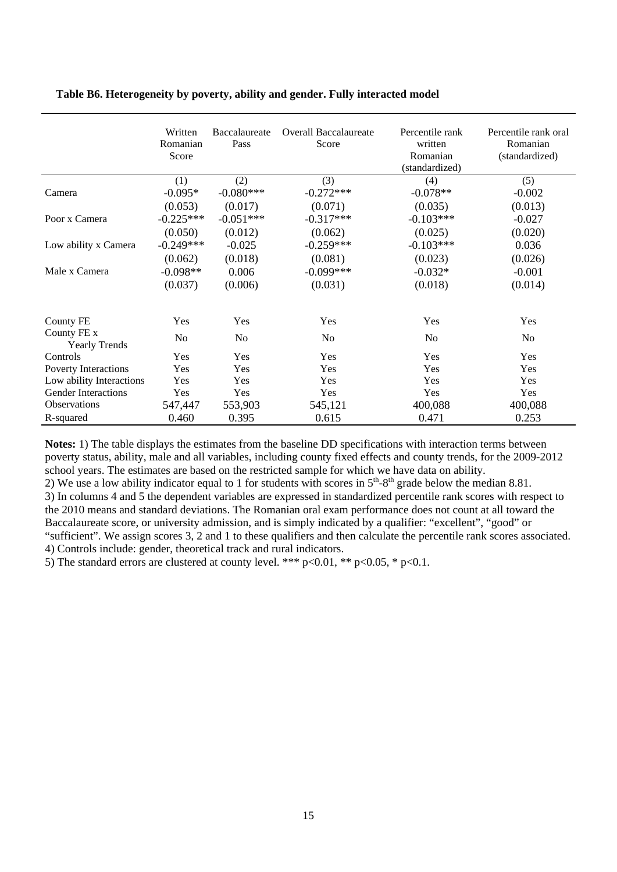|                                     | Written<br>Romanian<br>Score | Baccalaureate<br>Pass | <b>Overall Baccalaureate</b><br>Score | Percentile rank<br>written<br>Romanian<br>(standardized) | Percentile rank oral<br>Romanian<br>(standardized) |
|-------------------------------------|------------------------------|-----------------------|---------------------------------------|----------------------------------------------------------|----------------------------------------------------|
|                                     | (1)                          | (2)                   | (3)                                   | (4)                                                      | (5)                                                |
| Camera                              | $-0.095*$                    | $-0.080***$           | $-0.272***$                           | $-0.078**$                                               | $-0.002$                                           |
|                                     | (0.053)                      | (0.017)               | (0.071)                               | (0.035)                                                  | (0.013)                                            |
| Poor x Camera                       | $-0.225***$                  | $-0.051***$           | $-0.317***$                           | $-0.103***$                                              | $-0.027$                                           |
|                                     | (0.050)                      | (0.012)               | (0.062)                               | (0.025)                                                  | (0.020)                                            |
| Low ability x Camera                | $-0.249***$                  | $-0.025$              | $-0.259***$                           | $-0.103***$                                              | 0.036                                              |
|                                     | (0.062)                      | (0.018)               | (0.081)                               | (0.023)                                                  | (0.026)                                            |
| Male x Camera                       | $-0.098**$                   | 0.006                 | $-0.099***$                           | $-0.032*$                                                | $-0.001$                                           |
|                                     | (0.037)                      | (0.006)               | (0.031)                               | (0.018)                                                  | (0.014)                                            |
| County FE                           | Yes                          | Yes                   | Yes                                   | Yes                                                      | Yes                                                |
| County FE x<br><b>Yearly Trends</b> | N <sub>0</sub>               | N <sub>0</sub>        | N <sub>0</sub>                        | N <sub>0</sub>                                           | N <sub>0</sub>                                     |
| Controls                            | Yes                          | Yes                   | Yes                                   | Yes                                                      | Yes                                                |
| Poverty Interactions                | Yes                          | Yes                   | Yes                                   | Yes                                                      | Yes                                                |
| Low ability Interactions            | Yes                          | Yes                   | Yes                                   | Yes                                                      | Yes                                                |
| <b>Gender Interactions</b>          | Yes                          | Yes                   | Yes                                   | Yes                                                      | Yes                                                |
| <b>Observations</b>                 | 547,447                      | 553,903               | 545,121                               | 400,088                                                  | 400,088                                            |
| R-squared                           | 0.460                        | 0.395                 | 0.615                                 | 0.471                                                    | 0.253                                              |

### **Table B6. Heterogeneity by poverty, ability and gender. Fully interacted model**

**Notes:** 1) The table displays the estimates from the baseline DD specifications with interaction terms between poverty status, ability, male and all variables, including county fixed effects and county trends, for the 2009-2012 school years. The estimates are based on the restricted sample for which we have data on ability.

2) We use a low ability indicator equal to 1 for students with scores in  $5<sup>th</sup>-8<sup>th</sup>$  grade below the median 8.81. 3) In columns 4 and 5 the dependent variables are expressed in standardized percentile rank scores with respect to the 2010 means and standard deviations. The Romanian oral exam performance does not count at all toward the Baccalaureate score, or university admission, and is simply indicated by a qualifier: "excellent", "good" or "sufficient". We assign scores 3, 2 and 1 to these qualifiers and then calculate the percentile rank scores associated. 4) Controls include: gender, theoretical track and rural indicators.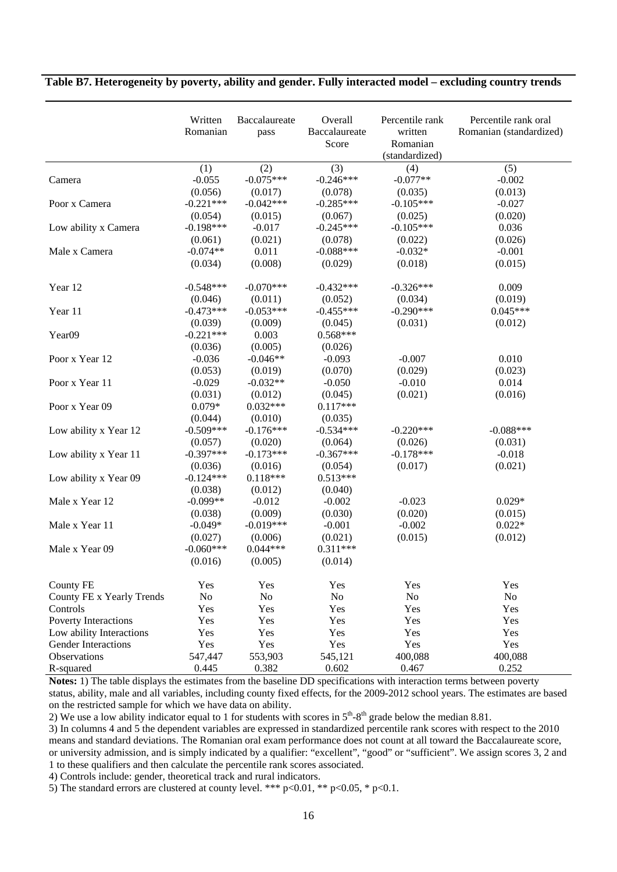|                            | Written<br>Romanian | Baccalaureate<br>pass | Overall<br>Baccalaureate<br>Score | Percentile rank<br>written<br>Romanian<br>(standardized) | Percentile rank oral<br>Romanian (standardized) |
|----------------------------|---------------------|-----------------------|-----------------------------------|----------------------------------------------------------|-------------------------------------------------|
|                            | (1)                 | (2)                   | (3)                               | (4)                                                      | (5)                                             |
| Camera                     | $-0.055$            | $-0.075***$           | $-0.246***$                       | $-0.077**$                                               | $-0.002$                                        |
|                            | (0.056)             | (0.017)               | (0.078)                           | (0.035)                                                  | (0.013)                                         |
| Poor x Camera              | $-0.221***$         | $-0.042***$           | $-0.285***$                       | $-0.105***$                                              | $-0.027$                                        |
|                            | (0.054)             | (0.015)               | (0.067)                           | (0.025)                                                  | (0.020)                                         |
| Low ability x Camera       | $-0.198***$         | $-0.017$              | $-0.245***$                       | $-0.105***$                                              | 0.036                                           |
|                            | (0.061)             | (0.021)               | (0.078)                           | (0.022)                                                  | (0.026)                                         |
| Male x Camera              | $-0.074**$          | 0.011                 | $-0.088***$                       | $-0.032*$                                                | $-0.001$                                        |
|                            | (0.034)             | (0.008)               | (0.029)                           | (0.018)                                                  | (0.015)                                         |
| Year 12                    | $-0.548***$         | $-0.070***$           | $-0.432***$                       | $-0.326***$                                              | 0.009                                           |
|                            | (0.046)             | (0.011)               | (0.052)                           | (0.034)                                                  | (0.019)                                         |
| Year 11                    | $-0.473***$         | $-0.053***$           | $-0.455***$                       | $-0.290***$                                              | $0.045***$                                      |
|                            | (0.039)             | (0.009)               | (0.045)                           | (0.031)                                                  | (0.012)                                         |
| Year09                     | $-0.221***$         | 0.003                 | $0.568***$                        |                                                          |                                                 |
|                            | (0.036)             | (0.005)               | (0.026)                           |                                                          |                                                 |
| Poor x Year 12             | $-0.036$            | $-0.046**$            | $-0.093$                          | $-0.007$                                                 | 0.010                                           |
|                            | (0.053)             | (0.019)               | (0.070)                           | (0.029)                                                  | (0.023)                                         |
| Poor x Year 11             | $-0.029$            | $-0.032**$            | $-0.050$                          | $-0.010$                                                 | 0.014                                           |
|                            | (0.031)             | (0.012)               | (0.045)                           | (0.021)                                                  | (0.016)                                         |
| Poor x Year 09             | $0.079*$            | $0.032***$            | $0.117***$                        |                                                          |                                                 |
|                            | (0.044)             | (0.010)               | (0.035)                           |                                                          |                                                 |
| Low ability x Year 12      | $-0.509***$         | $-0.176***$           | $-0.534***$                       | $-0.220***$                                              | $-0.088***$                                     |
|                            | (0.057)             | (0.020)               | (0.064)                           | (0.026)                                                  | (0.031)                                         |
| Low ability x Year 11      | $-0.397***$         | $-0.173***$           | $-0.367***$                       | $-0.178***$                                              | $-0.018$                                        |
|                            | (0.036)             | (0.016)               | (0.054)                           | (0.017)                                                  | (0.021)                                         |
| Low ability x Year 09      | $-0.124***$         | $0.118***$            | $0.513***$                        |                                                          |                                                 |
|                            | (0.038)             | (0.012)               | (0.040)                           |                                                          |                                                 |
| Male x Year 12             | $-0.099**$          | $-0.012$              | $-0.002$                          | $-0.023$                                                 | $0.029*$                                        |
|                            | (0.038)             | (0.009)               | (0.030)                           | (0.020)                                                  | (0.015)                                         |
| Male x Year 11             | $-0.049*$           | $-0.019***$           | $-0.001$                          | $-0.002$                                                 | $0.022*$                                        |
|                            | (0.027)             | (0.006)               | (0.021)                           | (0.015)                                                  | (0.012)                                         |
| Male x Year 09             | $-0.060***$         | $0.044***$            | $0.311***$                        |                                                          |                                                 |
|                            | (0.016)             | (0.005)               | (0.014)                           |                                                          |                                                 |
| County FE                  | Yes                 | Yes                   | Yes                               | Yes                                                      | Yes                                             |
| County FE x Yearly Trends  | N <sub>o</sub>      | No                    | N <sub>o</sub>                    | No                                                       | No                                              |
| Controls                   | Yes                 | Yes                   | Yes                               | Yes                                                      | Yes                                             |
| Poverty Interactions       | Yes                 | Yes                   | Yes                               | Yes                                                      | Yes                                             |
| Low ability Interactions   | Yes                 | Yes                   | Yes                               | Yes                                                      | Yes                                             |
| <b>Gender Interactions</b> | Yes                 | Yes                   | Yes                               | Yes                                                      | Yes                                             |
| Observations               | 547,447             | 553,903               | 545,121                           | 400,088                                                  | 400,088                                         |
| R-squared                  | 0.445               | 0.382                 | 0.602                             | 0.467                                                    | 0.252                                           |

### **Table B7. Heterogeneity by poverty, ability and gender. Fully interacted model – excluding country trends**

**Notes:** 1) The table displays the estimates from the baseline DD specifications with interaction terms between poverty status, ability, male and all variables, including county fixed effects, for the 2009-2012 school years. The estimates are based on the restricted sample for which we have data on ability.

2) We use a low ability indicator equal to 1 for students with scores in  $5<sup>th</sup>-8<sup>th</sup>$  grade below the median 8.81.

3) In columns 4 and 5 the dependent variables are expressed in standardized percentile rank scores with respect to the 2010 means and standard deviations. The Romanian oral exam performance does not count at all toward the Baccalaureate score, or university admission, and is simply indicated by a qualifier: "excellent", "good" or "sufficient". We assign scores 3, 2 and 1 to these qualifiers and then calculate the percentile rank scores associated.

4) Controls include: gender, theoretical track and rural indicators.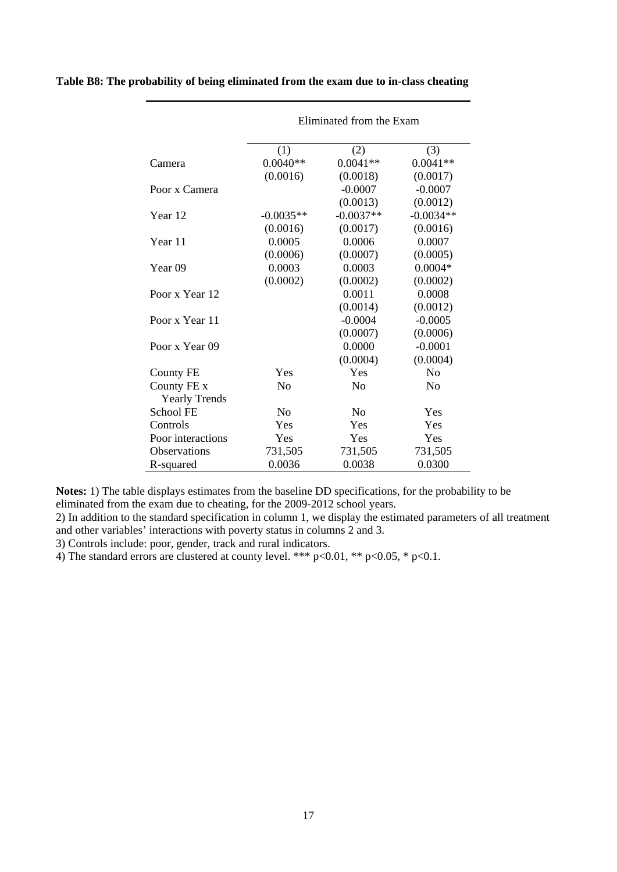|                      | Eliminated from the Exam |                |                |  |  |  |
|----------------------|--------------------------|----------------|----------------|--|--|--|
|                      | (1)                      | (2)            | (3)            |  |  |  |
| Camera               | $0.0040**$               | $0.0041**$     | $0.0041**$     |  |  |  |
|                      | (0.0016)                 | (0.0018)       | (0.0017)       |  |  |  |
| Poor x Camera        |                          | $-0.0007$      | $-0.0007$      |  |  |  |
|                      |                          | (0.0013)       | (0.0012)       |  |  |  |
| Year 12              | $-0.0035**$              | $-0.0037**$    | $-0.0034**$    |  |  |  |
|                      | (0.0016)                 | (0.0017)       | (0.0016)       |  |  |  |
| Year 11              | 0.0005                   | 0.0006         | 0.0007         |  |  |  |
|                      | (0.0006)                 | (0.0007)       | (0.0005)       |  |  |  |
| Year <sub>09</sub>   | 0.0003                   | 0.0003         | $0.0004*$      |  |  |  |
|                      | (0.0002)                 | (0.0002)       | (0.0002)       |  |  |  |
| Poor x Year 12       |                          | 0.0011         | 0.0008         |  |  |  |
|                      |                          | (0.0014)       | (0.0012)       |  |  |  |
| Poor x Year 11       |                          | $-0.0004$      | $-0.0005$      |  |  |  |
|                      |                          | (0.0007)       | (0.0006)       |  |  |  |
| Poor x Year 09       |                          | 0.0000         | $-0.0001$      |  |  |  |
|                      |                          | (0.0004)       | (0.0004)       |  |  |  |
| <b>County FE</b>     | Yes                      | Yes            | No             |  |  |  |
| County FE x          | N <sub>0</sub>           | N <sub>0</sub> | N <sub>0</sub> |  |  |  |
| <b>Yearly Trends</b> |                          |                |                |  |  |  |
| School FE            | N <sub>0</sub>           | No             | Yes            |  |  |  |
| Controls             | Yes                      | Yes            | Yes            |  |  |  |
| Poor interactions    | Yes                      | Yes            | Yes            |  |  |  |
| <b>Observations</b>  | 731,505                  | 731,505        | 731,505        |  |  |  |
| R-squared            | 0.0036                   | 0.0038         | 0.0300         |  |  |  |

**Table B8: The probability of being eliminated from the exam due to in-class cheating**

**Notes:** 1) The table displays estimates from the baseline DD specifications, for the probability to be eliminated from the exam due to cheating, for the 2009-2012 school years.

2) In addition to the standard specification in column 1, we display the estimated parameters of all treatment and other variables' interactions with poverty status in columns 2 and 3.

3) Controls include: poor, gender, track and rural indicators.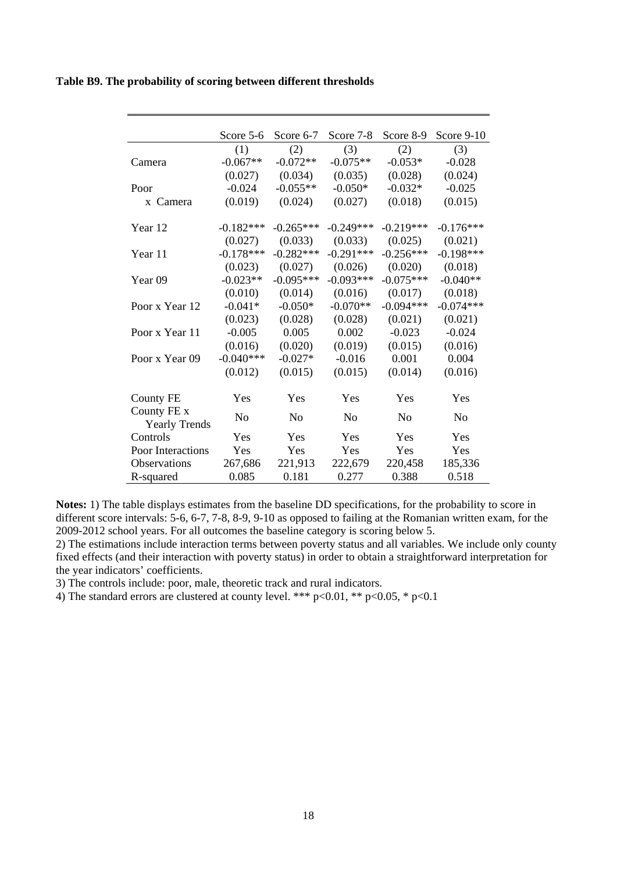|  |  |  | Table B9. The probability of scoring between different thresholds |
|--|--|--|-------------------------------------------------------------------|
|  |  |  |                                                                   |

|                                     | Score 5-6      | Score 6-7      | Score 7-8      | Score 8-9      | Score 9-10     |
|-------------------------------------|----------------|----------------|----------------|----------------|----------------|
|                                     | (1)            | (2)            | (3)            | (2)            | (3)            |
| Camera                              | $-0.067**$     | $-0.072**$     | $-0.075**$     | $-0.053*$      | $-0.028$       |
|                                     | (0.027)        | (0.034)        | (0.035)        | (0.028)        | (0.024)        |
| Poor                                | $-0.024$       | $-0.055**$     | $-0.050*$      | $-0.032*$      | $-0.025$       |
| x Camera                            | (0.019)        | (0.024)        | (0.027)        | (0.018)        | (0.015)        |
| Year 12                             | $-0.182***$    | $-0.265***$    | $-0.249***$    | $-0.219***$    | $-0.176***$    |
|                                     | (0.027)        | (0.033)        | (0.033)        | (0.025)        | (0.021)        |
| Year 11                             | $-0.178***$    | $-0.282***$    | $-0.291***$    | $-0.256***$    | $-0.198***$    |
|                                     | (0.023)        | (0.027)        | (0.026)        | (0.020)        | (0.018)        |
| Year 09                             | $-0.023**$     | $-0.095***$    | $-0.093***$    | $-0.075***$    | $-0.040**$     |
|                                     | (0.010)        | (0.014)        | (0.016)        | (0.017)        | (0.018)        |
| Poor x Year 12                      | $-0.041*$      | $-0.050*$      | $-0.070**$     | $-0.094***$    | $-0.074***$    |
|                                     | (0.023)        | (0.028)        | (0.028)        | (0.021)        | (0.021)        |
| Poor x Year 11                      | $-0.005$       | 0.005          | 0.002          | $-0.023$       | $-0.024$       |
|                                     | (0.016)        | (0.020)        | (0.019)        | (0.015)        | (0.016)        |
| Poor x Year 09                      | $-0.040***$    | $-0.027*$      | $-0.016$       | 0.001          | 0.004          |
|                                     | (0.012)        | (0.015)        | (0.015)        | (0.014)        | (0.016)        |
|                                     |                |                |                |                |                |
| <b>County FE</b>                    | Yes            | Yes            | Yes            | Yes            | Yes            |
| County FE x<br><b>Yearly Trends</b> | N <sub>0</sub> | N <sub>0</sub> | N <sub>0</sub> | N <sub>0</sub> | N <sub>0</sub> |
| Controls                            | Yes            | Yes            | Yes            | Yes            | Yes            |
| Poor Interactions                   | Yes            | Yes            | Yes            | Yes            | Yes            |
| Observations                        | 267,686        | 221,913        | 222,679        | 220,458        | 185,336        |
| R-squared                           | 0.085          | 0.181          | 0.277          | 0.388          | 0.518          |

**Notes:** 1) The table displays estimates from the baseline DD specifications, for the probability to score in different score intervals: 5-6, 6-7, 7-8, 8-9, 9-10 as opposed to failing at the Romanian written exam, for the 2009-2012 school years. For all outcomes the baseline category is scoring below 5.

2) The estimations include interaction terms between poverty status and all variables. We include only county fixed effects (and their interaction with poverty status) in order to obtain a straightforward interpretation for the year indicators' coefficients.

3) The controls include: poor, male, theoretic track and rural indicators.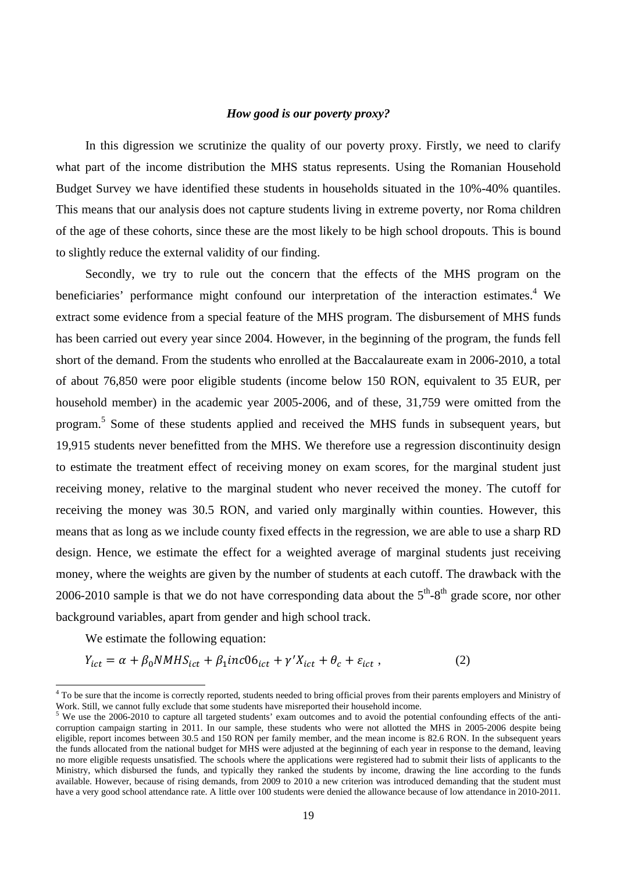### *How good is our poverty proxy?*

In this digression we scrutinize the quality of our poverty proxy. Firstly, we need to clarify what part of the income distribution the MHS status represents. Using the Romanian Household Budget Survey we have identified these students in households situated in the 10%-40% quantiles. This means that our analysis does not capture students living in extreme poverty, nor Roma children of the age of these cohorts, since these are the most likely to be high school dropouts. This is bound to slightly reduce the external validity of our finding.

Secondly, we try to rule out the concern that the effects of the MHS program on the beneficiaries' performance might confound our interpretation of the interaction estimates.<sup>4</sup> We extract some evidence from a special feature of the MHS program. The disbursement of MHS funds has been carried out every year since 2004. However, in the beginning of the program, the funds fell short of the demand. From the students who enrolled at the Baccalaureate exam in 2006-2010, a total of about 76,850 were poor eligible students (income below 150 RON, equivalent to 35 EUR, per household member) in the academic year 2005-2006, and of these, 31,759 were omitted from the program.<sup>5</sup> Some of these students applied and received the MHS funds in subsequent years, but 19,915 students never benefitted from the MHS. We therefore use a regression discontinuity design to estimate the treatment effect of receiving money on exam scores, for the marginal student just receiving money, relative to the marginal student who never received the money. The cutoff for receiving the money was 30.5 RON, and varied only marginally within counties. However, this means that as long as we include county fixed effects in the regression, we are able to use a sharp RD design. Hence, we estimate the effect for a weighted average of marginal students just receiving money, where the weights are given by the number of students at each cutoff. The drawback with the 2006-2010 sample is that we do not have corresponding data about the  $5<sup>th</sup>$ -8<sup>th</sup> grade score, nor other background variables, apart from gender and high school track.

We estimate the following equation:

 $Y_{ict} = \alpha + \beta_0 N M H S_{ict} + \beta_1 i n c 06_{ict} + \gamma' X_{ict} + \theta_c + \varepsilon_{ict}$ , (2)

To be sure that the income is correctly reported, students needed to bring official proves from their parents employers and Ministry of  $^4$  To be sure that the income is correctly reported, students needed to bring offici Work. Still, we cannot fully exclude that some students have misreported their household income.

<sup>&</sup>lt;sup>5</sup> We use the 2006-2010 to capture all targeted students' exam outcomes and to avoid the potential confounding effects of the anticorruption campaign starting in 2011. In our sample, these students who were not allotted the MHS in 2005-2006 despite being eligible, report incomes between 30.5 and 150 RON per family member, and the mean income is 82.6 RON. In the subsequent years the funds allocated from the national budget for MHS were adjusted at the beginning of each year in response to the demand, leaving no more eligible requests unsatisfied. The schools where the applications were registered had to submit their lists of applicants to the Ministry, which disbursed the funds, and typically they ranked the students by income, drawing the line according to the funds available. However, because of rising demands, from 2009 to 2010 a new criterion was introduced demanding that the student must have a very good school attendance rate. A little over 100 students were denied the allowance because of low attendance in 2010-2011.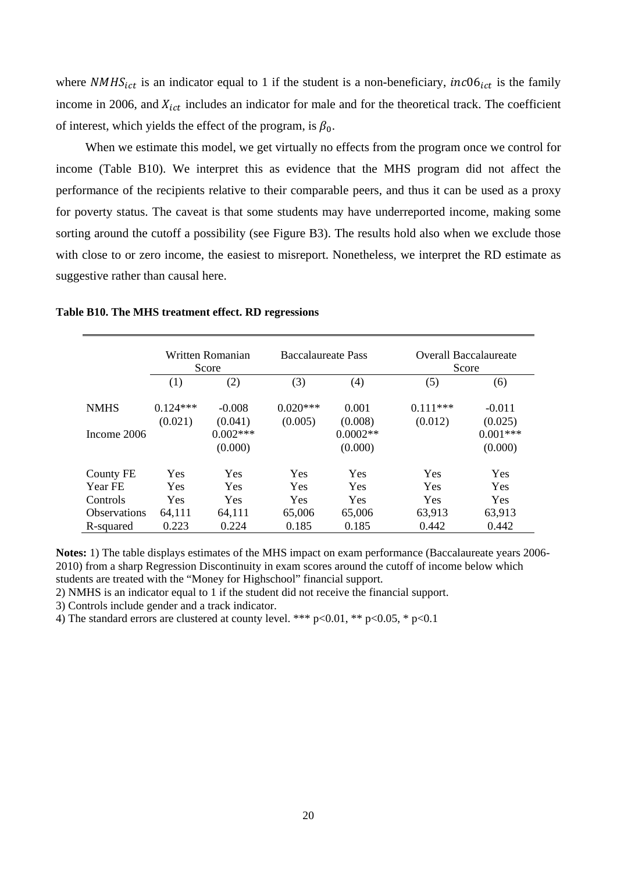where  $NMHS<sub>ict</sub>$  is an indicator equal to 1 if the student is a non-beneficiary,  $inc06<sub>ict</sub>$  is the family income in 2006, and  $X_{ict}$  includes an indicator for male and for the theoretical track. The coefficient of interest, which yields the effect of the program, is  $\beta_0$ .

When we estimate this model, we get virtually no effects from the program once we control for income (Table B10). We interpret this as evidence that the MHS program did not affect the performance of the recipients relative to their comparable peers, and thus it can be used as a proxy for poverty status. The caveat is that some students may have underreported income, making some sorting around the cutoff a possibility (see Figure B3). The results hold also when we exclude those with close to or zero income, the easiest to misreport. Nonetheless, we interpret the RD estimate as suggestive rather than causal here.

|                     | Written Romanian<br>Score |                       | <b>Baccalaureate Pass</b> |                       | <b>Overall Baccalaureate</b><br>Score |                       |
|---------------------|---------------------------|-----------------------|---------------------------|-----------------------|---------------------------------------|-----------------------|
|                     | (1)                       | (2)                   | (3)                       | (4)                   | (5)                                   | (6)                   |
| <b>NMHS</b>         | $0.124***$<br>(0.021)     | $-0.008$<br>(0.041)   | $0.020***$<br>(0.005)     | 0.001<br>(0.008)      | $0.111***$<br>(0.012)                 | $-0.011$<br>(0.025)   |
| Income 2006         |                           | $0.002***$<br>(0.000) |                           | $0.0002**$<br>(0.000) |                                       | $0.001***$<br>(0.000) |
| County FE           | Yes                       | Yes                   | Yes                       | Yes                   | Yes                                   | Yes                   |
| Year FE             | <b>Yes</b>                | Yes                   | Yes                       | <b>Yes</b>            | <b>Yes</b>                            | <b>Yes</b>            |
| Controls            | <b>Yes</b>                | Yes                   | Yes                       | <b>Yes</b>            | Yes                                   | <b>Yes</b>            |
| <b>Observations</b> | 64,111                    | 64,111                | 65,006                    | 65,006                | 63,913                                | 63,913                |
| R-squared           | 0.223                     | 0.224                 | 0.185                     | 0.185                 | 0.442                                 | 0.442                 |

**Table B10. The MHS treatment effect. RD regressions** 

**Notes:** 1) The table displays estimates of the MHS impact on exam performance (Baccalaureate years 2006- 2010) from a sharp Regression Discontinuity in exam scores around the cutoff of income below which students are treated with the "Money for Highschool" financial support.

2) NMHS is an indicator equal to 1 if the student did not receive the financial support.

3) Controls include gender and a track indicator.